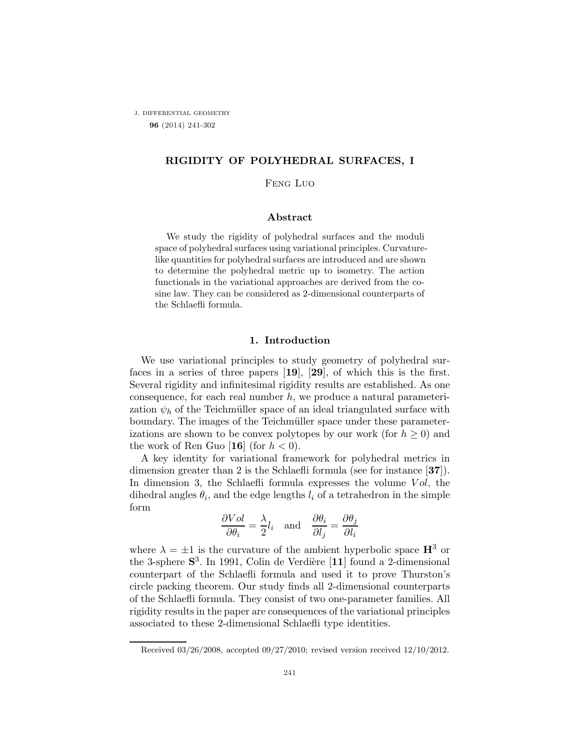j. differential geometry 96 (2014) 241-302

# RIGIDITY OF POLYHEDRAL SURFACES, I

### Feng Luo

### Abstract

We study the rigidity of polyhedral surfaces and the moduli space of polyhedral surfaces using variational principles. Curvaturelike quantities for polyhedral surfaces are introduced and are shown to determine the polyhedral metric up to isometry. The action functionals in the variational approaches are derived from the cosine law. They can be considered as 2-dimensional counterparts of the Schlaefli formula.

### 1. Introduction

We use variational principles to study geometry of polyhedral surfaces in a series of three papers [19], [29], of which this is the first. Several rigidity and infinitesimal rigidity results are established. As one consequence, for each real number  $h$ , we produce a natural parameterization  $\psi_h$  of the Teichmüller space of an ideal triangulated surface with boundary. The images of the Teichmüller space under these parameterizations are shown to be convex polytopes by our work (for  $h \geq 0$ ) and the work of Ren Guo [16] (for  $h < 0$ ).

A key identity for variational framework for polyhedral metrics in dimension greater than 2 is the Schlaefli formula (see for instance [37]). In dimension 3, the Schlaefli formula expresses the volume  $Vol$ , the dihedral angles  $\theta_i$ , and the edge lengths  $l_i$  of a tetrahedron in the simple form

$$
\frac{\partial Vol}{\partial \theta_i} = \frac{\lambda}{2} l_i \quad \text{and} \quad \frac{\partial \theta_i}{\partial l_j} = \frac{\partial \theta_j}{\partial l_i}
$$

where  $\lambda = \pm 1$  is the curvature of the ambient hyperbolic space  $\mathbf{H}^3$  or the 3-sphere  $S^3$ . In 1991, Colin de Verdière [11] found a 2-dimensional counterpart of the Schlaefli formula and used it to prove Thurston's circle packing theorem. Our study finds all 2-dimensional counterparts of the Schlaefli formula. They consist of two one-parameter families. All rigidity results in the paper are consequences of the variational principles associated to these 2-dimensional Schlaefli type identities.

Received 03/26/2008, accepted 09/27/2010; revised version received 12/10/2012.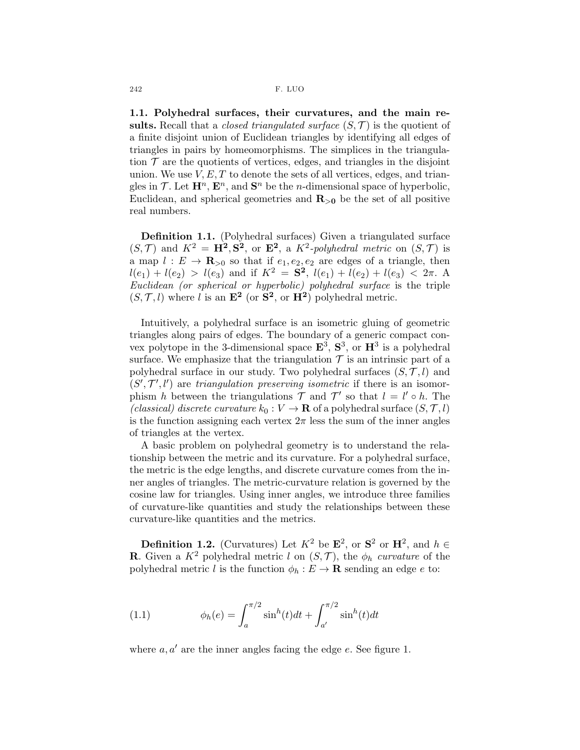1.1. Polyhedral surfaces, their curvatures, and the main results. Recall that a *closed triangulated surface*  $(S, \mathcal{T})$  is the quotient of a finite disjoint union of Euclidean triangles by identifying all edges of triangles in pairs by homeomorphisms. The simplices in the triangulation  $\mathcal T$  are the quotients of vertices, edges, and triangles in the disjoint union. We use  $V, E, T$  to denote the sets of all vertices, edges, and triangles in  $\mathcal{T}$ . Let  $\mathbf{H}^n$ ,  $\mathbf{E}^n$ , and  $\mathbf{S}^n$  be the *n*-dimensional space of hyperbolic, Euclidean, and spherical geometries and  $\mathbf{R}_{>0}$  be the set of all positive real numbers.

Definition 1.1. (Polyhedral surfaces) Given a triangulated surface  $(S,\mathcal{T})$  and  $K^2 = \mathbf{H}^2, \mathbf{S}^2$ , or  $\mathbf{E}^2$ , a  $K^2$ -polyhedral metric on  $(S,\mathcal{T})$  is a map  $l: E \to \mathbf{R}_{>0}$  so that if  $e_1, e_2, e_2$  are edges of a triangle, then  $l(e_1) + l(e_2) > l(e_3)$  and if  $K^2 = \mathbf{S}^2$ ,  $l(e_1) + l(e_2) + l(e_3) < 2\pi$ . A Euclidean (or spherical or hyperbolic) polyhedral surface is the triple  $(S, \mathcal{T}, l)$  where l is an  $\mathbf{E}^2$  (or  $\mathbf{S}^2$ , or  $\mathbf{H}^2$ ) polyhedral metric.

Intuitively, a polyhedral surface is an isometric gluing of geometric triangles along pairs of edges. The boundary of a generic compact convex polytope in the 3-dimensional space  $\mathbf{E}^3$ ,  $\mathbf{S}^3$ , or  $\mathbf{H}^3$  is a polyhedral surface. We emphasize that the triangulation  $\mathcal T$  is an intrinsic part of a polyhedral surface in our study. Two polyhedral surfaces  $(S, \mathcal{T}, l)$  and  $(S', \mathcal{T}', l')$  are triangulation preserving isometric if there is an isomorphism h between the triangulations  $\mathcal{T}$  and  $\mathcal{T}'$  so that  $l = l' \circ h$ . The (classical) discrete curvature  $k_0 : V \to \mathbf{R}$  of a polyhedral surface  $(S, \mathcal{T}, l)$ is the function assigning each vertex  $2\pi$  less the sum of the inner angles of triangles at the vertex.

A basic problem on polyhedral geometry is to understand the relationship between the metric and its curvature. For a polyhedral surface, the metric is the edge lengths, and discrete curvature comes from the inner angles of triangles. The metric-curvature relation is governed by the cosine law for triangles. Using inner angles, we introduce three families of curvature-like quantities and study the relationships between these curvature-like quantities and the metrics.

**Definition 1.2.** (Curvatures) Let  $K^2$  be  $\mathbf{E}^2$ , or  $\mathbf{S}^2$  or  $\mathbf{H}^2$ , and  $h \in \mathbb{R}$ **R**. Given a  $K^2$  polyhedral metric l on  $(S, \mathcal{T})$ , the  $\phi_h$  curvature of the polyhedral metric l is the function  $\phi_h : E \to \mathbf{R}$  sending an edge e to:

(1.1) 
$$
\phi_h(e) = \int_a^{\pi/2} \sin^h(t)dt + \int_{a'}^{\pi/2} \sin^h(t)dt
$$

where  $a, a'$  are the inner angles facing the edge  $e$ . See figure 1.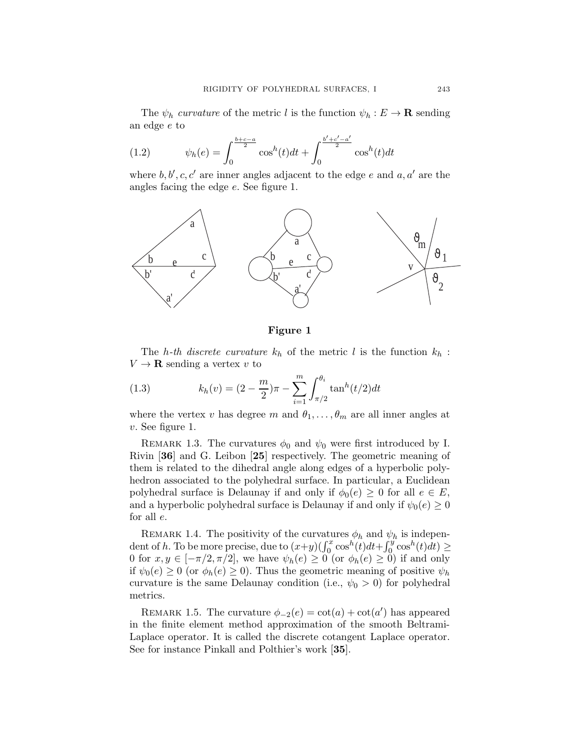The  $\psi_h$  curvature of the metric l is the function  $\psi_h : E \to \mathbf{R}$  sending an edge e to

(1.2) 
$$
\psi_h(e) = \int_0^{\frac{b+c-a}{2}} \cos^h(t)dt + \int_0^{\frac{b'+c'-a'}{2}} \cos^h(t)dt
$$

where  $b, b', c, c'$  are inner angles adjacent to the edge e and  $a, a'$  are the angles facing the edge e. See figure 1.



### Figure 1

The h-th discrete curvature  $k_h$  of the metric l is the function  $k_h$ :  $V \to \mathbf{R}$  sending a vertex v to

(1.3) 
$$
k_h(v) = (2 - \frac{m}{2})\pi - \sum_{i=1}^m \int_{\pi/2}^{\theta_i} \tan^h(t/2) dt
$$

where the vertex v has degree m and  $\theta_1, \ldots, \theta_m$  are all inner angles at v. See figure 1.

REMARK 1.3. The curvatures  $\phi_0$  and  $\psi_0$  were first introduced by I. Rivin [36] and G. Leibon [25] respectively. The geometric meaning of them is related to the dihedral angle along edges of a hyperbolic polyhedron associated to the polyhedral surface. In particular, a Euclidean polyhedral surface is Delaunay if and only if  $\phi_0(e) \geq 0$  for all  $e \in E$ , and a hyperbolic polyhedral surface is Delaunay if and only if  $\psi_0(e) \geq 0$ for all e.

REMARK 1.4. The positivity of the curvatures  $\phi_h$  and  $\psi_h$  is independent of h. To be more precise, due to  $(x+y)(\int_0^x \cos^h(t)dt + \int_0^y \cos^h(t)dt) \ge$ 0 for  $x, y \in [-\pi/2, \pi/2]$ , we have  $\psi_h(e) \geq 0$  (or  $\phi_h(e) \geq 0$ ) if and only if  $\psi_0(e) \geq 0$  (or  $\phi_h(e) \geq 0$ ). Thus the geometric meaning of positive  $\psi_h$ curvature is the same Delaunay condition (i.e.,  $\psi_0 > 0$ ) for polyhedral metrics.

REMARK 1.5. The curvature  $\phi_{-2}(e) = \cot(a) + \cot(a')$  has appeared in the finite element method approximation of the smooth Beltrami-Laplace operator. It is called the discrete cotangent Laplace operator. See for instance Pinkall and Polthier's work [35].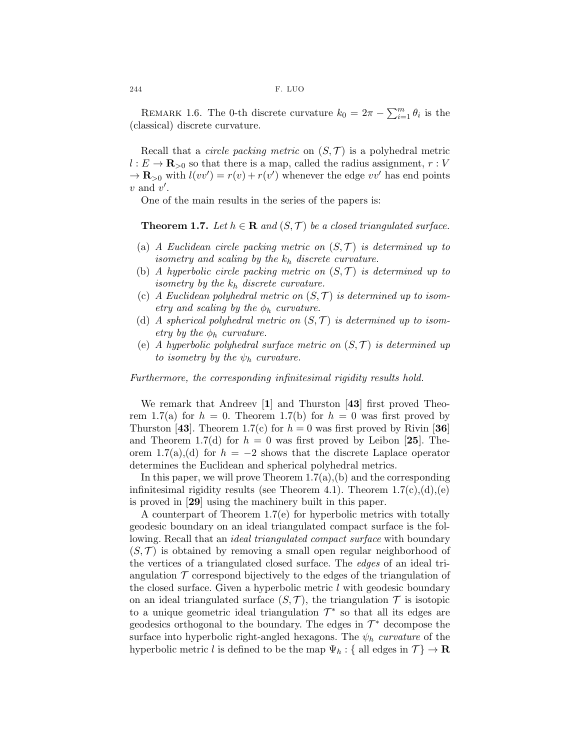REMARK 1.6. The 0-th discrete curvature  $k_0 = 2\pi - \sum_{i=1}^m \theta_i$  is the (classical) discrete curvature.

Recall that a *circle packing metric* on  $(S, \mathcal{T})$  is a polyhedral metric  $l: E \to \mathbf{R}_{>0}$  so that there is a map, called the radius assignment,  $r: V$  $\rightarrow \mathbf{R}_{>0}$  with  $l(vv') = r(v) + r(v')$  whenever the edge vv' has end points  $v$  and  $v'$ .

One of the main results in the series of the papers is:

**Theorem 1.7.** Let  $h \in \mathbf{R}$  and  $(S, \mathcal{T})$  be a closed triangulated surface.

- (a) A Euclidean circle packing metric on  $(S,\mathcal{T})$  is determined up to isometry and scaling by the  $k_h$  discrete curvature.
- (b) A hyperbolic circle packing metric on  $(S, \mathcal{T})$  is determined up to isometry by the  $k_h$  discrete curvature.
- (c) A Euclidean polyhedral metric on  $(S, \mathcal{T})$  is determined up to isometry and scaling by the  $\phi_h$  curvature.
- (d) A spherical polyhedral metric on  $(S, \mathcal{T})$  is determined up to isometry by the  $\phi_h$  curvature.
- (e) A hyperbolic polyhedral surface metric on  $(S,\mathcal{T})$  is determined up to isometry by the  $\psi_h$  curvature.

Furthermore, the corresponding infinitesimal rigidity results hold.

We remark that Andreev [1] and Thurston [43] first proved Theorem 1.7(a) for  $h = 0$ . Theorem 1.7(b) for  $h = 0$  was first proved by Thurston [43]. Theorem 1.7(c) for  $h = 0$  was first proved by Rivin [36] and Theorem 1.7(d) for  $h = 0$  was first proved by Leibon [25]. Theorem 1.7(a),(d) for  $h = -2$  shows that the discrete Laplace operator determines the Euclidean and spherical polyhedral metrics.

In this paper, we will prove Theorem  $1.7(a)$ , (b) and the corresponding infinitesimal rigidity results (see Theorem 4.1). Theorem  $1.7(c)$ , (d), (e) is proved in [29] using the machinery built in this paper.

A counterpart of Theorem 1.7(e) for hyperbolic metrics with totally geodesic boundary on an ideal triangulated compact surface is the following. Recall that an *ideal triangulated compact surface* with boundary  $(S, \mathcal{T})$  is obtained by removing a small open regular neighborhood of the vertices of a triangulated closed surface. The edges of an ideal triangulation  $\mathcal T$  correspond bijectively to the edges of the triangulation of the closed surface. Given a hyperbolic metric l with geodesic boundary on an ideal triangulated surface  $(S, \mathcal{T})$ , the triangulation  $\mathcal{T}$  is isotopic to a unique geometric ideal triangulation  $\mathcal{T}^*$  so that all its edges are geodesics orthogonal to the boundary. The edges in  $\mathcal{T}^*$  decompose the surface into hyperbolic right-angled hexagons. The  $\psi_h$  curvature of the hyperbolic metric l is defined to be the map  $\Psi_h$  : { all edges in  $\mathcal{T}\}\to\mathbf{R}$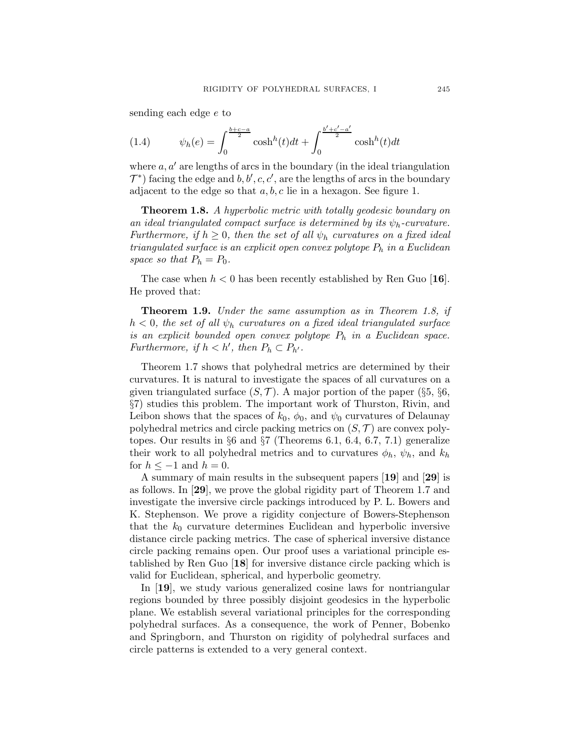sending each edge e to

(1.4) 
$$
\psi_h(e) = \int_0^{\frac{b+c-a}{2}} \cosh^h(t)dt + \int_0^{\frac{b'+c'-a'}{2}} \cosh^h(t)dt
$$

where  $a, a'$  are lengths of arcs in the boundary (in the ideal triangulation  $\mathcal{T}^*$ ) facing the edge and  $b, b', c, c',$  are the lengths of arcs in the boundary adjacent to the edge so that  $a, b, c$  lie in a hexagon. See figure 1.

Theorem 1.8. A hyperbolic metric with totally geodesic boundary on an ideal triangulated compact surface is determined by its  $\psi_h$ -curvature. Furthermore, if  $h \geq 0$ , then the set of all  $\psi_h$  curvatures on a fixed ideal triangulated surface is an explicit open convex polytope  $P_h$  in a Euclidean space so that  $P_h = P_0$ .

The case when  $h < 0$  has been recently established by Ren Guo [16]. He proved that:

Theorem 1.9. Under the same assumption as in Theorem 1.8, if  $h < 0$ , the set of all  $\psi_h$  curvatures on a fixed ideal triangulated surface is an explicit bounded open convex polytope  $P_h$  in a Euclidean space. Furthermore, if  $h < h'$ , then  $P_h \subset P_{h'}$ .

Theorem 1.7 shows that polyhedral metrics are determined by their curvatures. It is natural to investigate the spaces of all curvatures on a given triangulated surface  $(S, \mathcal{T})$ . A major portion of the paper  $(\S_5, \S_6, \S_7)$ §7) studies this problem. The important work of Thurston, Rivin, and Leibon shows that the spaces of  $k_0$ ,  $\phi_0$ , and  $\psi_0$  curvatures of Delaunay polyhedral metrics and circle packing metrics on  $(S, \mathcal{T})$  are convex polytopes. Our results in  $\S 6$  and  $\S 7$  (Theorems 6.1, 6.4, 6.7, 7.1) generalize their work to all polyhedral metrics and to curvatures  $\phi_h$ ,  $\psi_h$ , and  $k_h$ for  $h \leq -1$  and  $h = 0$ .

A summary of main results in the subsequent papers [19] and [29] is as follows. In [29], we prove the global rigidity part of Theorem 1.7 and investigate the inversive circle packings introduced by P. L. Bowers and K. Stephenson. We prove a rigidity conjecture of Bowers-Stephenson that the  $k_0$  curvature determines Euclidean and hyperbolic inversive distance circle packing metrics. The case of spherical inversive distance circle packing remains open. Our proof uses a variational principle established by Ren Guo [18] for inversive distance circle packing which is valid for Euclidean, spherical, and hyperbolic geometry.

In [19], we study various generalized cosine laws for nontriangular regions bounded by three possibly disjoint geodesics in the hyperbolic plane. We establish several variational principles for the corresponding polyhedral surfaces. As a consequence, the work of Penner, Bobenko and Springborn, and Thurston on rigidity of polyhedral surfaces and circle patterns is extended to a very general context.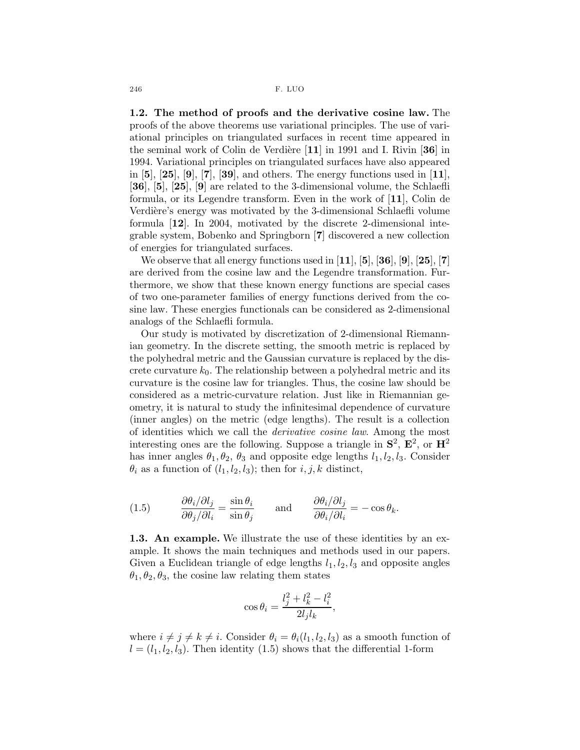1.2. The method of proofs and the derivative cosine law. The proofs of the above theorems use variational principles. The use of variational principles on triangulated surfaces in recent time appeared in the seminal work of Colin de Verdière  $[11]$  in 1991 and I. Rivin [36] in 1994. Variational principles on triangulated surfaces have also appeared in  $[5]$ ,  $[25]$ ,  $[9]$ ,  $[7]$ ,  $[39]$ , and others. The energy functions used in  $[11]$ , [36], [5], [25], [9] are related to the 3-dimensional volume, the Schlaefli formula, or its Legendre transform. Even in the work of [11], Colin de Verdière's energy was motivated by the 3-dimensional Schlaefli volume formula [12]. In 2004, motivated by the discrete 2-dimensional integrable system, Bobenko and Springborn [7] discovered a new collection of energies for triangulated surfaces.

We observe that all energy functions used in  $[11]$ ,  $[5]$ ,  $[36]$ ,  $[9]$ ,  $[25]$ ,  $[7]$ are derived from the cosine law and the Legendre transformation. Furthermore, we show that these known energy functions are special cases of two one-parameter families of energy functions derived from the cosine law. These energies functionals can be considered as 2-dimensional analogs of the Schlaefli formula.

Our study is motivated by discretization of 2-dimensional Riemannian geometry. In the discrete setting, the smooth metric is replaced by the polyhedral metric and the Gaussian curvature is replaced by the discrete curvature  $k_0$ . The relationship between a polyhedral metric and its curvature is the cosine law for triangles. Thus, the cosine law should be considered as a metric-curvature relation. Just like in Riemannian geometry, it is natural to study the infinitesimal dependence of curvature (inner angles) on the metric (edge lengths). The result is a collection of identities which we call the derivative cosine law. Among the most interesting ones are the following. Suppose a triangle in  $S^2$ ,  $E^2$ , or  $H^2$ has inner angles  $\theta_1, \theta_2, \theta_3$  and opposite edge lengths  $l_1, l_2, l_3$ . Consider  $\theta_i$  as a function of  $(l_1, l_2, l_3)$ ; then for  $i, j, k$  distinct,

(1.5) 
$$
\frac{\partial \theta_i/\partial l_j}{\partial \theta_j/\partial l_i} = \frac{\sin \theta_i}{\sin \theta_j} \quad \text{and} \quad \frac{\partial \theta_i/\partial l_j}{\partial \theta_i/\partial l_i} = -\cos \theta_k.
$$

1.3. An example. We illustrate the use of these identities by an example. It shows the main techniques and methods used in our papers. Given a Euclidean triangle of edge lengths  $l_1, l_2, l_3$  and opposite angles  $\theta_1, \theta_2, \theta_3$ , the cosine law relating them states

$$
\cos\theta_i = \frac{l_j^2 + l_k^2 - l_i^2}{2l_jl_k},
$$

where  $i \neq j \neq k \neq i$ . Consider  $\theta_i = \theta_i(l_1, l_2, l_3)$  as a smooth function of  $l = (l_1, l_2, l_3)$ . Then identity (1.5) shows that the differential 1-form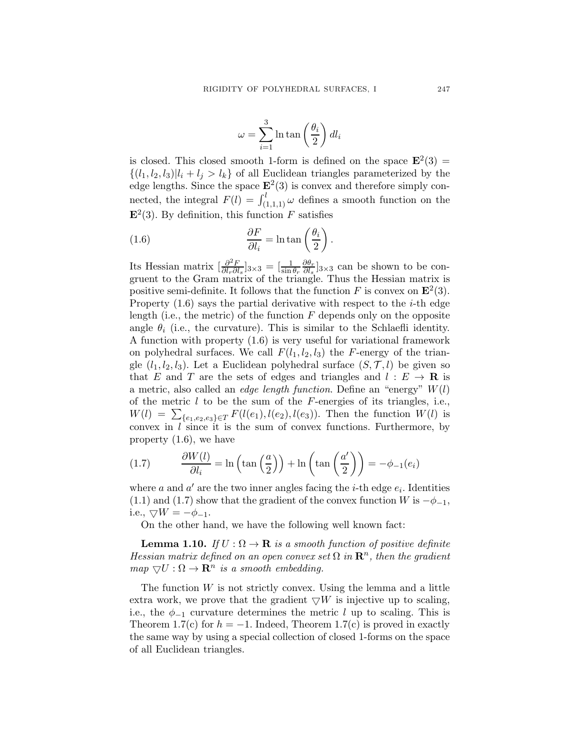$$
\omega = \sum_{i=1}^{3} \ln \tan \left( \frac{\theta_i}{2} \right) dl_i
$$

is closed. This closed smooth 1-form is defined on the space  $\mathbf{E}^2(3) =$  $\{(l_1, l_2, l_3)|l_i + l_j > l_k\}$  of all Euclidean triangles parameterized by the edge lengths. Since the space  $\mathbf{E}^2(3)$  is convex and therefore simply connected, the integral  $F(l) = \int_{(1,1,1)}^{l} \omega$  defines a smooth function on the  $\mathbf{E}^2(3)$ . By definition, this function F satisfies

(1.6) 
$$
\frac{\partial F}{\partial l_i} = \ln \tan \left( \frac{\theta_i}{2} \right).
$$

Its Hessian matrix  $\left[\frac{\partial^2 F}{\partial l_0 \partial l_1}\right]$  $\frac{\partial^2 F}{\partial l_r \partial l_s}$ ]<sub>3×3</sub> =  $\left[\frac{1}{\sin \theta_r}\right]$  $\partial \theta_r$  $\frac{\partial \theta_r}{\partial l_s}$ <sub>3×3</sub> can be shown to be congruent to the Gram matrix of the triangle. Thus the Hessian matrix is positive semi-definite. It follows that the function F is convex on  $\mathbf{E}^2(3)$ . Property  $(1.6)$  says the partial derivative with respect to the *i*-th edge length (i.e., the metric) of the function  $F$  depends only on the opposite angle  $\theta_i$  (i.e., the curvature). This is similar to the Schlaefli identity. A function with property (1.6) is very useful for variational framework on polyhedral surfaces. We call  $F(l_1, l_2, l_3)$  the F-energy of the triangle  $(l_1, l_2, l_3)$ . Let a Euclidean polyhedral surface  $(S, \mathcal{T}, l)$  be given so that E and T are the sets of edges and triangles and  $l : E \to \mathbf{R}$  is a metric, also called an *edge length function*. Define an "energy"  $W(l)$ of the metric  $l$  to be the sum of the  $F$ -energies of its triangles, i.e.,  $W(l) = \sum_{\{e_1, e_2, e_3\} \in T} F(l(e_1), l(e_2), l(e_3))$ . Then the function  $W(l)$  is convex in  $l$  since it is the sum of convex functions. Furthermore, by property (1.6), we have

(1.7) 
$$
\frac{\partial W(l)}{\partial l_i} = \ln\left(\tan\left(\frac{a}{2}\right)\right) + \ln\left(\tan\left(\frac{a'}{2}\right)\right) = -\phi_{-1}(e_i)
$$

where a and  $a'$  are the two inner angles facing the *i*-th edge  $e_i$ . Identities (1.1) and (1.7) show that the gradient of the convex function W is  $-\phi_{-1}$ , i.e.,  $\bigtriangledown W = -\phi_{-1}$ .

On the other hand, we have the following well known fact:

**Lemma 1.10.** If  $U : \Omega \to \mathbf{R}$  is a smooth function of positive definite Hessian matrix defined on an open convex set  $\Omega$  in  $\mathbb{R}^n$ , then the gradient  $map \ \nabla U : \Omega \to \mathbf{R}^n$  is a smooth embedding.

The function  $W$  is not strictly convex. Using the lemma and a little extra work, we prove that the gradient  $\nabla W$  is injective up to scaling, i.e., the  $\phi_{-1}$  curvature determines the metric l up to scaling. This is Theorem 1.7(c) for  $h = -1$ . Indeed, Theorem 1.7(c) is proved in exactly the same way by using a special collection of closed 1-forms on the space of all Euclidean triangles.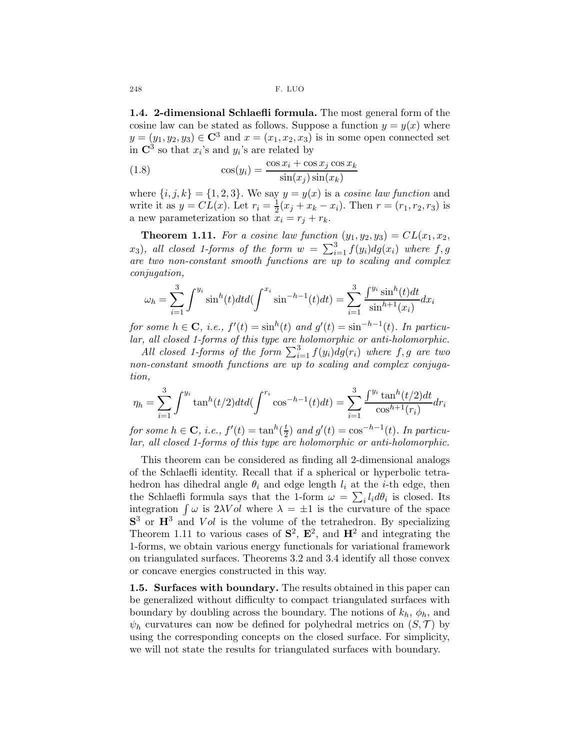1.4. 2-dimensional Schlaefli formula. The most general form of the cosine law can be stated as follows. Suppose a function  $y = y(x)$  where  $y = (y_1, y_2, y_3) \in \mathbb{C}^3$  and  $x = (x_1, x_2, x_3)$  is in some open connected set in  $\mathbb{C}^3$  so that  $x_i$ 's and  $y_i$ 's are related by

(1.8) 
$$
\cos(y_i) = \frac{\cos x_i + \cos x_j \cos x_k}{\sin(x_j)\sin(x_k)}
$$

where  $\{i, j, k\} = \{1, 2, 3\}$ . We say  $y = y(x)$  is a cosine law function and write it as  $y = CL(x)$ . Let  $r_i = \frac{1}{2}$  $\frac{1}{2}(x_j + x_k - x_i)$ . Then  $r = (r_1, r_2, r_3)$  is a new parameterization so that  $x_i = r_j + r_k$ .

**Theorem 1.11.** For a cosine law function  $(y_1, y_2, y_3) = CL(x_1, x_2, y_3)$  $(x_3)$ , all closed 1-forms of the form  $w = \sum_{i=1}^{3} f(y_i) dg(x_i)$  where  $f, g$ are two non-constant smooth functions are up to scaling and complex conjugation,

$$
\omega_h = \sum_{i=1}^3 \int^{y_i} \sin^h(t) dt d\left(\int^{x_i} \sin^{-h-1}(t) dt\right) = \sum_{i=1}^3 \frac{\int^{y_i} \sin^h(t) dt}{\sin^{h+1}(x_i)} dx_i
$$

for some  $h \in \mathbf{C}$ , i.e.,  $f'(t) = \sin^h(t)$  and  $g'(t) = \sin^{-h-1}(t)$ . In particular, all closed 1-forms of this type are holomorphic or anti-holomorphic.

All closed 1-forms of the form  $\sum_{i=1}^{3} f(y_i) dg(r_i)$  where  $f, g$  are two non-constant smooth functions are up to scaling and complex conjugation,

$$
\eta_h = \sum_{i=1}^3 \int^{y_i} \tan^h(t/2) dt d\left(\int^{r_i} \cos^{-h-1}(t) dt\right) = \sum_{i=1}^3 \frac{\int^{y_i} \tan^h(t/2) dt}{\cos^{h+1}(r_i)} dr_i
$$

for some  $h \in \mathbf{C}$ , i.e.,  $f'(t) = \tan^h(\frac{t}{2})$  $\frac{t}{2}$ ) and  $g'(t) = \cos^{-h-1}(t)$ . In particular, all closed 1-forms of this type are holomorphic or anti-holomorphic.

This theorem can be considered as finding all 2-dimensional analogs of the Schlaefli identity. Recall that if a spherical or hyperbolic tetrahedron has dihedral angle  $\theta_i$  and edge length  $l_i$  at the *i*-th edge, then the Schlaefli formula says that the 1-form  $\omega = \sum_i l_i d\theta_i$  is closed. Its integration  $\int \omega$  is 2λV ol where  $\lambda = \pm 1$  is the curvature of the space  $S<sup>3</sup>$  or  $H<sup>3</sup>$  and  $Vol$  is the volume of the tetrahedron. By specializing Theorem 1.11 to various cases of  $S^2$ ,  $E^2$ , and  $H^2$  and integrating the 1-forms, we obtain various energy functionals for variational framework on triangulated surfaces. Theorems 3.2 and 3.4 identify all those convex or concave energies constructed in this way.

1.5. Surfaces with boundary. The results obtained in this paper can be generalized without difficulty to compact triangulated surfaces with boundary by doubling across the boundary. The notions of  $k_h$ ,  $\phi_h$ , and  $\psi_h$  curvatures can now be defined for polyhedral metrics on  $(S, \mathcal{T})$  by using the corresponding concepts on the closed surface. For simplicity, we will not state the results for triangulated surfaces with boundary.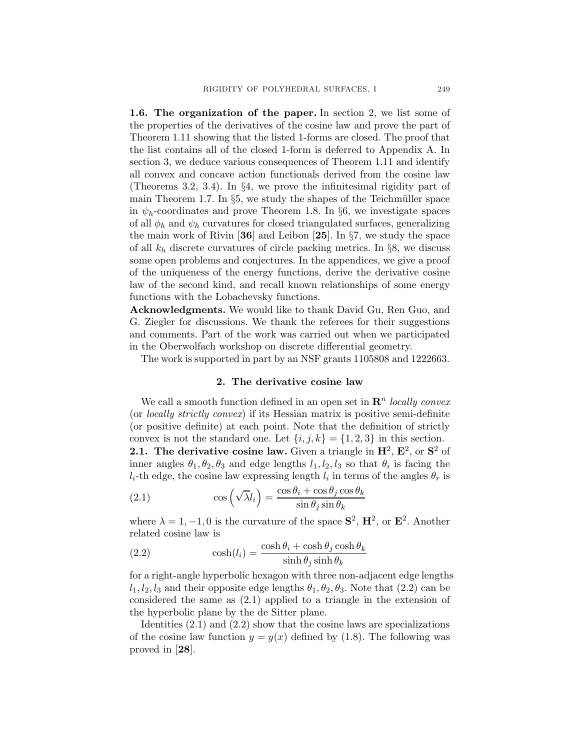1.6. The organization of the paper. In section 2, we list some of the properties of the derivatives of the cosine law and prove the part of Theorem 1.11 showing that the listed 1-forms are closed. The proof that the list contains all of the closed 1-form is deferred to Appendix A. In section 3, we deduce various consequences of Theorem 1.11 and identify all convex and concave action functionals derived from the cosine law (Theorems 3.2, 3.4). In §4, we prove the infinitesimal rigidity part of main Theorem 1.7. In  $\S5$ , we study the shapes of the Teichmüller space in  $\psi_h$ -coordinates and prove Theorem 1.8. In §6, we investigate spaces of all  $\phi_h$  and  $\psi_h$  curvatures for closed triangulated surfaces, generalizing the main work of Rivin [36] and Leibon [25]. In  $\S7$ , we study the space of all  $k_h$  discrete curvatures of circle packing metrics. In §8, we discuss some open problems and conjectures. In the appendices, we give a proof of the uniqueness of the energy functions, derive the derivative cosine law of the second kind, and recall known relationships of some energy functions with the Lobachevsky functions.

Acknowledgments. We would like to thank David Gu, Ren Guo, and G. Ziegler for discussions. We thank the referees for their suggestions and comments. Part of the work was carried out when we participated in the Oberwolfach workshop on discrete differential geometry.

The work is supported in part by an NSF grants 1105808 and 1222663.

#### 2. The derivative cosine law

We call a smooth function defined in an open set in  $\mathbb{R}^n$  locally convex (or locally strictly convex) if its Hessian matrix is positive semi-definite (or positive definite) at each point. Note that the definition of strictly convex is not the standard one. Let  $\{i, j, k\} = \{1, 2, 3\}$  in this section. **2.1.** The derivative cosine law. Given a triangle in  $\mathbf{H}^2$ ,  $\mathbf{E}^2$ , or  $\mathbf{S}^2$  of inner angles  $\theta_1, \theta_2, \theta_3$  and edge lengths  $l_1, l_2, l_3$  so that  $\theta_i$  is facing the  $l_i$ -th edge, the cosine law expressing length  $l_i$  in terms of the angles  $\theta_r$  is

(2.1) 
$$
\cos\left(\sqrt{\lambda}l_i\right) = \frac{\cos\theta_i + \cos\theta_j\cos\theta_k}{\sin\theta_j\sin\theta_k}
$$

where  $\lambda = 1, -1, 0$  is the curvature of the space  $S^2$ ,  $H^2$ , or  $E^2$ . Another related cosine law is

(2.2) 
$$
\cosh(l_i) = \frac{\cosh\theta_i + \cosh\theta_j \cosh\theta_k}{\sinh\theta_j \sinh\theta_k}
$$

for a right-angle hyperbolic hexagon with three non-adjacent edge lengths  $l_1, l_2, l_3$  and their opposite edge lengths  $\theta_1, \theta_2, \theta_3$ . Note that (2.2) can be considered the same as (2.1) applied to a triangle in the extension of the hyperbolic plane by the de Sitter plane.

Identities (2.1) and (2.2) show that the cosine laws are specializations of the cosine law function  $y = y(x)$  defined by (1.8). The following was proved in [28].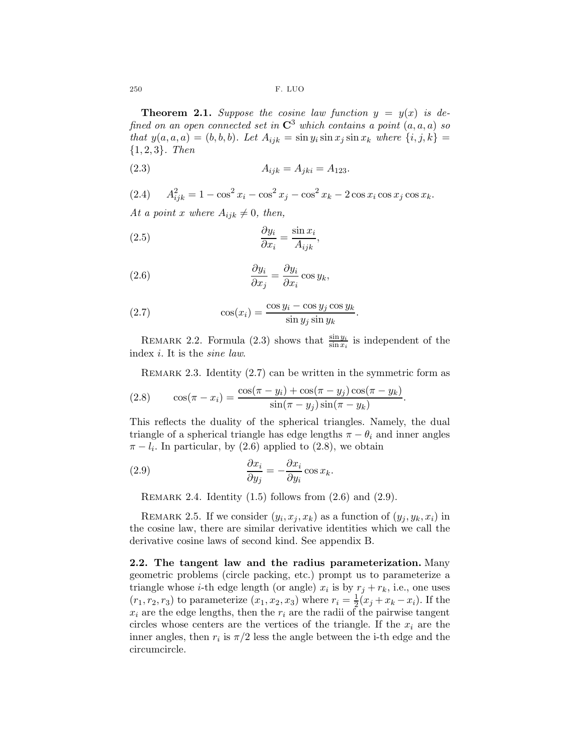**Theorem 2.1.** Suppose the cosine law function  $y = y(x)$  is defined on an open connected set in  $\mathbb{C}^3$  which contains a point  $(a, a, a)$  so that  $y(a, a, a) = (b, b, b)$ . Let  $A_{ijk} = \sin y_i \sin x_j \sin x_k$  where  $\{i, j, k\} =$  ${1, 2, 3}.$  Then

(2.3) 
$$
A_{ijk} = A_{jki} = A_{123}.
$$

(2.4) 
$$
A_{ijk}^2 = 1 - \cos^2 x_i - \cos^2 x_j - \cos^2 x_k - 2\cos x_i \cos x_j \cos x_k.
$$

At a point x where  $A_{ijk} \neq 0$ , then,

(2.5) 
$$
\frac{\partial y_i}{\partial x_i} = \frac{\sin x_i}{A_{ijk}},
$$

(2.6) 
$$
\frac{\partial y_i}{\partial x_j} = \frac{\partial y_i}{\partial x_i} \cos y_k,
$$

(2.7) 
$$
\cos(x_i) = \frac{\cos y_i - \cos y_j \cos y_k}{\sin y_j \sin y_k}.
$$

REMARK 2.2. Formula (2.3) shows that  $\frac{\sin y_i}{\sin x_i}$  is independent of the index i. It is the sine law.

REMARK 2.3. Identity  $(2.7)$  can be written in the symmetric form as

(2.8) 
$$
\cos(\pi - x_i) = \frac{\cos(\pi - y_i) + \cos(\pi - y_j)\cos(\pi - y_k)}{\sin(\pi - y_j)\sin(\pi - y_k)}.
$$

This reflects the duality of the spherical triangles. Namely, the dual triangle of a spherical triangle has edge lengths  $\pi - \theta_i$  and inner angles  $\pi - l_i$ . In particular, by (2.6) applied to (2.8), we obtain

(2.9) 
$$
\frac{\partial x_i}{\partial y_j} = -\frac{\partial x_i}{\partial y_i} \cos x_k.
$$

REMARK 2.4. Identity  $(1.5)$  follows from  $(2.6)$  and  $(2.9)$ .

REMARK 2.5. If we consider  $(y_i, x_j, x_k)$  as a function of  $(y_j, y_k, x_i)$  in the cosine law, there are similar derivative identities which we call the derivative cosine laws of second kind. See appendix B.

2.2. The tangent law and the radius parameterization. Many geometric problems (circle packing, etc.) prompt us to parameterize a triangle whose *i*-th edge length (or angle)  $x_i$  is by  $r_j + r_k$ , i.e., one uses  $(r_1, r_2, r_3)$  to parameterize  $(x_1, x_2, x_3)$  where  $r_i = \frac{1}{2}$  $\frac{1}{2}(x_j+x_k-x_i)$ . If the  $x_i$  are the edge lengths, then the  $r_i$  are the radii of the pairwise tangent circles whose centers are the vertices of the triangle. If the  $x_i$  are the inner angles, then  $r_i$  is  $\pi/2$  less the angle between the i-th edge and the circumcircle.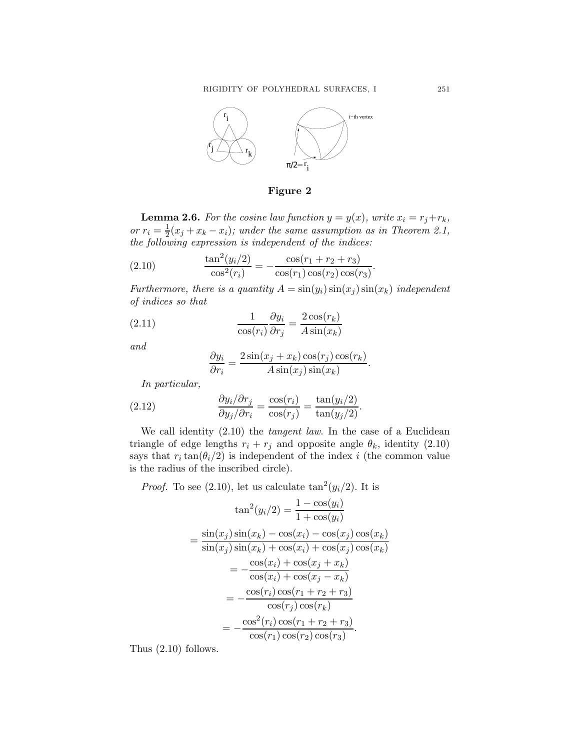

Figure 2

**Lemma 2.6.** For the cosine law function  $y = y(x)$ , write  $x_i = r_j + r_k$ , or  $r_i = \frac{1}{2}$  $\frac{1}{2}(x_j + x_k - x_i)$ ; under the same assumption as in Theorem 2.1, the following expression is independent of the indices:

(2.10) 
$$
\frac{\tan^2(y_i/2)}{\cos^2(r_i)} = -\frac{\cos(r_1 + r_2 + r_3)}{\cos(r_1)\cos(r_2)\cos(r_3)}
$$

Furthermore, there is a quantity  $A = sin(y_i) sin(x_j) sin(x_k)$  independent of indices so that

.

(2.11) 
$$
\frac{1}{\cos(r_i)} \frac{\partial y_i}{\partial r_j} = \frac{2 \cos(r_k)}{A \sin(x_k)}
$$

and

$$
\frac{\partial y_i}{\partial r_i} = \frac{2\sin(x_j + x_k)\cos(r_j)\cos(r_k)}{A\sin(x_j)\sin(x_k)}.
$$

In particular,

(2.12) 
$$
\frac{\partial y_i/\partial r_j}{\partial y_j/\partial r_i} = \frac{\cos(r_i)}{\cos(r_j)} = \frac{\tan(y_i/2)}{\tan(y_j/2)}
$$

We call identity (2.10) the *tangent law*. In the case of a Euclidean triangle of edge lengths  $r_i + r_j$  and opposite angle  $\theta_k$ , identity (2.10) says that  $r_i \tan(\theta_i/2)$  is independent of the index i (the common value is the radius of the inscribed circle).

*Proof.* To see (2.10), let us calculate  $\tan^2(y_i/2)$ . It is

$$
\tan^2(y_i/2) = \frac{1 - \cos(y_i)}{1 + \cos(y_i)}
$$
  
= 
$$
\frac{\sin(x_j)\sin(x_k) - \cos(x_i) - \cos(x_j)\cos(x_k)}{\sin(x_j)\sin(x_k) + \cos(x_i) + \cos(x_j)\cos(x_k)}
$$
  
= 
$$
-\frac{\cos(x_i) + \cos(x_j + x_k)}{\cos(x_i) + \cos(x_j - x_k)}
$$
  
= 
$$
-\frac{\cos(r_i)\cos(r_1 + r_2 + r_3)}{\cos(r_j)\cos(r_k)}
$$
  
= 
$$
-\frac{\cos^2(r_i)\cos(r_1 + r_2 + r_3)}{\cos(r_1)\cos(r_2)\cos(r_3)}
$$
.

Thus (2.10) follows.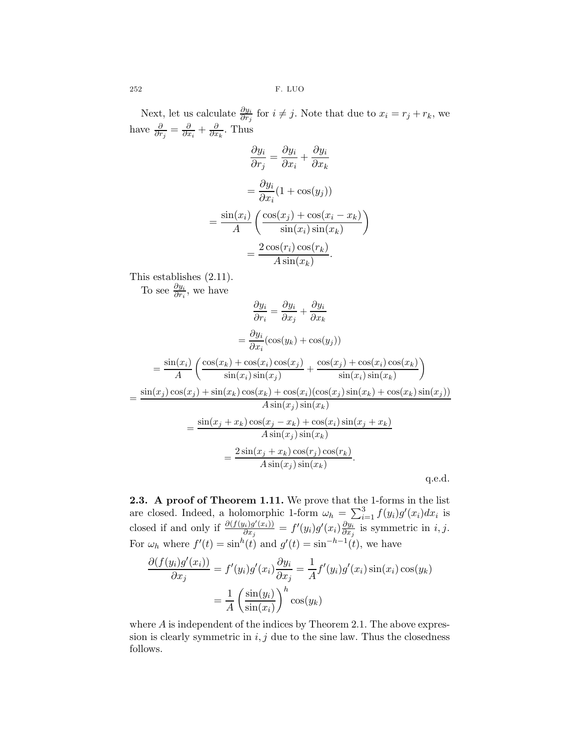Next, let us calculate  $\frac{\partial y_i}{\partial r_j}$  for  $i \neq j$ . Note that due to  $x_i = r_j + r_k$ , we have  $\frac{\partial}{\partial r_j} = \frac{\partial}{\partial x_i} + \frac{\partial}{\partial x_k}$ . Thus

$$
\frac{\partial y_i}{\partial r_j} = \frac{\partial y_i}{\partial x_i} + \frac{\partial y_i}{\partial x_k}
$$

$$
= \frac{\partial y_i}{\partial x_i} (1 + \cos(y_j))
$$

$$
= \frac{\sin(x_i)}{A} \left( \frac{\cos(x_j) + \cos(x_i - x_k)}{\sin(x_i)\sin(x_k)} \right)
$$

$$
= \frac{2\cos(r_i)\cos(r_k)}{A\sin(x_k)}.
$$

This establishes (2.11).

To see  $\frac{\partial y_i}{\partial r_i}$ , we have

$$
\frac{\partial y_i}{\partial r_i} = \frac{\partial y_i}{\partial x_j} + \frac{\partial y_i}{\partial x_k}
$$

$$
= \frac{\partial y_i}{\partial x_i}(\cos(y_k) + \cos(y_j))
$$

$$
= \frac{\sin(x_i)}{A} \left( \frac{\cos(x_k) + \cos(x_i)\cos(x_j)}{\sin(x_i)\sin(x_j)} + \frac{\cos(x_j) + \cos(x_i)\cos(x_k)}{\sin(x_i)\sin(x_k)} \right)
$$

$$
= \frac{\sin(x_j)\cos(x_j) + \sin(x_k)\cos(x_k) + \cos(x_i)(\cos(x_j)\sin(x_k) + \cos(x_k)\sin(x_j))}{A\sin(x_j)\sin(x_k)}
$$

$$
= \frac{\sin(x_j + x_k)\cos(x_j - x_k) + \cos(x_i)\sin(x_j + x_k)}{A\sin(x_j)\sin(x_k)}
$$

$$
= \frac{2\sin(x_j + x_k)\cos(r_j)\cos(r_k)}{A\sin(x_j)\sin(x_k)}
$$
q.e.d.

2.3. A proof of Theorem 1.11. We prove that the 1-forms in the list are closed. Indeed, a holomorphic 1-form  $\omega_h = \sum_{i=1}^3 f(y_i)g'(x_i)dx_i$  is closed if and only if  $\frac{\partial (f(y_i)g'(x_i))}{\partial x_i}$  $\frac{\partial g_{ij}(x_i))}{\partial x_j}=f'(y_i)g'(x_i)\frac{\partial y_i}{\partial x_j}$  $\frac{\partial y_i}{\partial x_j}$  is symmetric in *i*, *j*. For  $\omega_h$  where  $f'(t) = \sin^h(t)$  and  $g'(t) = \sin^{-h-1}(t)$ , we have

$$
\frac{\partial (f(y_i)g'(x_i))}{\partial x_j} = f'(y_i)g'(x_i)\frac{\partial y_i}{\partial x_j} = \frac{1}{A}f'(y_i)g'(x_i)\sin(x_i)\cos(y_k)
$$

$$
= \frac{1}{A} \left(\frac{\sin(y_i)}{\sin(x_i)}\right)^h \cos(y_k)
$$

where  $A$  is independent of the indices by Theorem 2.1. The above expression is clearly symmetric in  $i, j$  due to the sine law. Thus the closedness follows.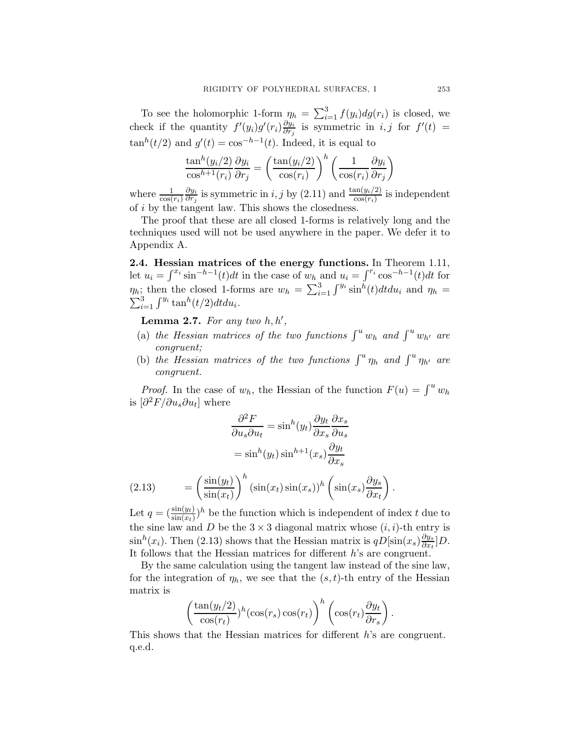To see the holomorphic 1-form  $\eta_h = \sum_{i=1}^3 f(y_i) dg(r_i)$  is closed, we check if the quantity  $f'(y_i)g'(r_i)\frac{\partial y_i}{\partial r_i}$  $\frac{\partial y_i}{\partial r_j}$  is symmetric in *i*, *j* for  $f'(t) =$  $\tan^{h}(t/2)$  and  $g'(t) = \cos^{-h-1}(t)$ . Indeed, it is equal to

$$
\frac{\tan^h(y_i/2)}{\cos^{h+1}(r_i)} \frac{\partial y_i}{\partial r_j} = \left(\frac{\tan(y_i/2)}{\cos(r_i)}\right)^h \left(\frac{1}{\cos(r_i)} \frac{\partial y_i}{\partial r_j}\right)
$$

where  $\frac{1}{\cos(r_i)}$  $\partial y_i$  $\frac{\partial y_i}{\partial r_j}$  is symmetric in *i*, *j* by (2.11) and  $\frac{\tan(y_i/2)}{\cos(r_i)}$  is independent of i by the tangent law. This shows the closedness.

The proof that these are all closed 1-forms is relatively long and the techniques used will not be used anywhere in the paper. We defer it to Appendix A.

2.4. Hessian matrices of the energy functions. In Theorem 1.11, let  $u_i = \int^{x_i} \sin^{-h-1}(t) dt$  in the case of  $w_h$  and  $u_i = \int^{r_i} \cos^{-h-1}(t) dt$  for  $\eta_h$ ; then the closed 1-forms are  $w_h = \sum_{i=1}^3 \int^{y_i} \sin^h(t) dt du_i$  and  $\eta_h =$  $\sum_{i=1}^3 \int^{y_i} \tan^h(t/2) dt du_i.$ 

**Lemma 2.7.** For any two  $h, h'$ ,

- (a) the Hessian matrices of the two functions  $\int^u w_h$  and  $\int^u w_{h'}$  are congruent;
- (b) the Hessian matrices of the two functions  $\int^u \eta_h$  and  $\int^u \eta_{h'}$  are congruent.

*Proof.* In the case of  $w_h$ , the Hessian of the function  $F(u) = \int^u w_h$ is  $\left[\partial^2 F/\partial u_s \partial u_t\right]$  where

$$
\frac{\partial^2 F}{\partial u_s \partial u_t} = \sin^h(y_t) \frac{\partial y_t}{\partial x_s} \frac{\partial x_s}{\partial u_s}
$$

$$
= \sin^h(y_t) \sin^{h+1}(x_s) \frac{\partial y_t}{\partial x_s}
$$

$$
= \left(\sin(y_t)\right)^h (\sin(x_s) \sin(x_s))^h (\sin(x_s) \frac{\partial y_s}{\partial u_s})
$$

(2.13) = 
$$
\left(\frac{\sin(y_t)}{\sin(x_t)}\right) (\sin(x_t)\sin(x_s))^h \left(\sin(x_s)\frac{U_s}{\partial x_t}\right)
$$
.  
Let  $q = (\frac{\sin(y_t)}{\sin(x_t)})^h$  be the function which is independent of index *t* due to

the sine law and D be the  $3 \times 3$  diagonal matrix whose  $(i, i)$ -th entry is  $\sin^{h}(x_i)$ . Then (2.13) shows that the Hessian matrix is  $qD[\sin(x_s)\frac{\partial y_s}{\partial x_s}]$  $\frac{\partial y_s}{\partial x_t}$ ]D. It follows that the Hessian matrices for different h's are congruent.

By the same calculation using the tangent law instead of the sine law, for the integration of  $\eta_h$ , we see that the  $(s, t)$ -th entry of the Hessian matrix is

$$
\left(\frac{\tan(y_t/2)}{\cos(r_t)}\right)^h \left(\cos(r_s)\cos(r_t)\right)^h \left(\cos(r_t)\frac{\partial y_t}{\partial r_s}\right).
$$

This shows that the Hessian matrices for different h's are congruent. q.e.d.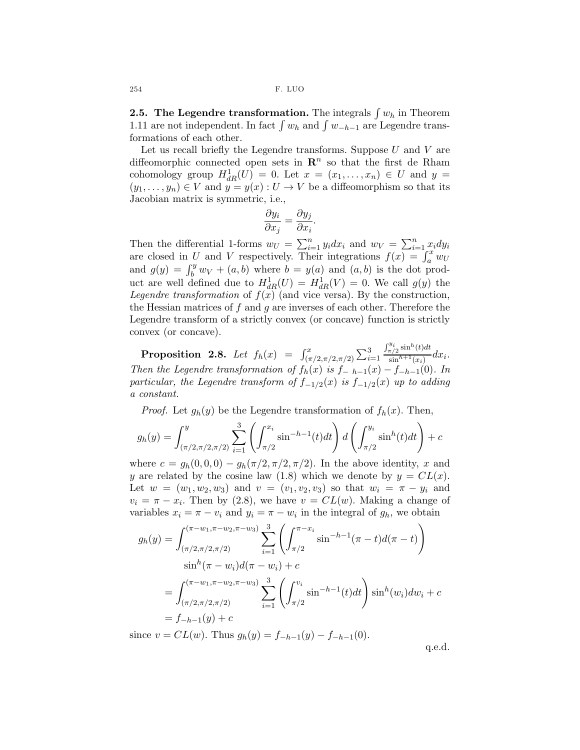**2.5. The Legendre transformation.** The integrals  $\int w_h$  in Theorem 1.11 are not independent. In fact  $\int w_h$  and  $\int w_{-h-1}$  are Legendre transformations of each other.

Let us recall briefly the Legendre transforms. Suppose  $U$  and  $V$  are diffeomorphic connected open sets in  $\mathbb{R}^n$  so that the first de Rham cohomology group  $H_{dR}^1(U) = 0$ . Let  $x = (x_1, \ldots, x_n) \in U$  and  $y =$  $(y_1, \ldots, y_n) \in V$  and  $y = y(x) : U \to V$  be a diffeomorphism so that its Jacobian matrix is symmetric, i.e.,

$$
\frac{\partial y_i}{\partial x_j} = \frac{\partial y_j}{\partial x_i}.
$$

Then the differential 1-forms  $w_U = \sum_{i=1}^n y_i dx_i$  and  $w_V = \sum_{i=1}^n x_i dy_i$ are closed in U and V respectively. Their integrations  $f(x) = \int_a^x w \, du$ and  $g(y) = \int_b^y w_V + (a, b)$  where  $b = y(a)$  and  $(a, b)$  is the dot product are well defined due to  $H_{dR}^1(U) = H_{dR}^1(V) = 0$ . We call  $g(y)$  the Legendre transformation of  $f(x)$  (and vice versa). By the construction, the Hessian matrices of f and g are inverses of each other. Therefore the Legendre transform of a strictly convex (or concave) function is strictly convex (or concave).

**Proposition 2.8.** Let  $f_h(x) = \int_{(\pi/2, \pi/2, \pi/2)}^x \sum_{i=1}^3$  $\int_{\pi/2}^{y_i} \sinh(t) dt$  $\frac{\sin^{h+1}(x_i)}{\sin^{h+1}(x_i)} dx_i$ . Then the Legendre transformation of  $f_h(x)$  is  $f_{-h-1}(x) - f_{-h-1}(0)$ . In particular, the Legendre transform of  $f_{-1/2}(x)$  is  $f_{-1/2}(x)$  up to adding a constant.

*Proof.* Let  $g_h(y)$  be the Legendre transformation of  $f_h(x)$ . Then,

$$
g_h(y) = \int_{(\pi/2, \pi/2, \pi/2)}^y \sum_{i=1}^3 \left( \int_{\pi/2}^{x_i} \sin^{-h-1}(t) dt \right) d\left( \int_{\pi/2}^{y_i} \sin^h(t) dt \right) + c
$$

where  $c = g_h(0, 0, 0) - g_h(\pi/2, \pi/2, \pi/2)$ . In the above identity, x and y are related by the cosine law (1.8) which we denote by  $y = CL(x)$ . Let  $w = (w_1, w_2, w_3)$  and  $v = (v_1, v_2, v_3)$  so that  $w_i = \pi - y_i$  and  $v_i = \pi - x_i$ . Then by (2.8), we have  $v = CL(w)$ . Making a change of variables  $x_i = \pi - v_i$  and  $y_i = \pi - w_i$  in the integral of  $g_h$ , we obtain

$$
g_h(y) = \int_{(\pi/2, \pi/2, \pi/2)}^{(\pi-w_1, \pi-w_2, \pi-w_3)} \sum_{i=1}^3 \left( \int_{\pi/2}^{\pi-x_i} \sin^{-h-1}(\pi-t) d(\pi-t) \right)
$$
  
\n
$$
\sin^h(\pi-w_i) d(\pi-w_i) + c
$$
  
\n
$$
= \int_{(\pi/2, \pi/2, \pi/2)}^{(\pi-w_1, \pi-w_2, \pi-w_3)} \sum_{i=1}^3 \left( \int_{\pi/2}^{v_i} \sin^{-h-1}(t) dt \right) \sin^h(w_i) dw_i + c
$$
  
\n
$$
= f_{-h-1}(y) + c
$$
  
\n
$$
= c L(w).
$$
 Thus  $g_h(y) = f_{-h-1}(y) - f_{-h-1}(0).$ 

since  $v = CL(w)$ . Thus  $g_h(y) = J_{-h-1}(y) - J_{-h-1}(y)$ .

q.e.d.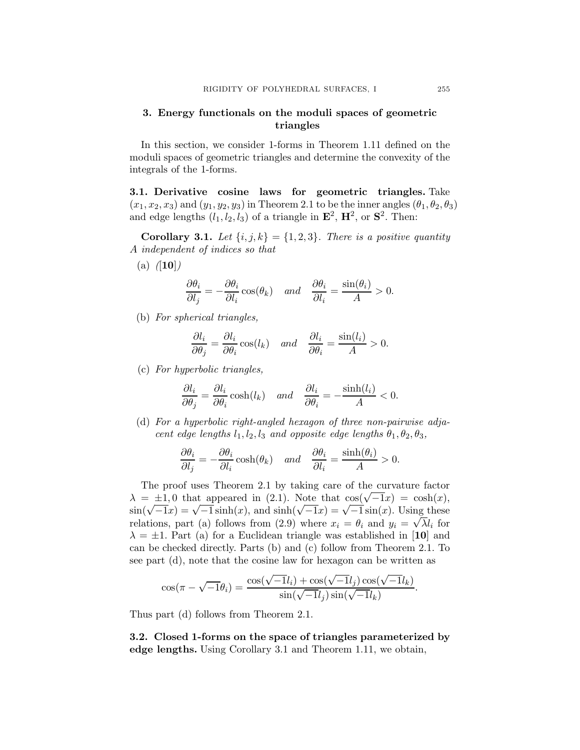## 3. Energy functionals on the moduli spaces of geometric triangles

In this section, we consider 1-forms in Theorem 1.11 defined on the moduli spaces of geometric triangles and determine the convexity of the integrals of the 1-forms.

3.1. Derivative cosine laws for geometric triangles. Take  $(x_1, x_2, x_3)$  and  $(y_1, y_2, y_3)$  in Theorem 2.1 to be the inner angles  $(\theta_1, \theta_2, \theta_3)$ and edge lengths  $(l_1, l_2, l_3)$  of a triangle in  $\mathbf{E}^2$ ,  $\mathbf{H}^2$ , or  $\mathbf{S}^2$ . Then:

Corollary 3.1. Let  $\{i, j, k\} = \{1, 2, 3\}$ . There is a positive quantity A independent of indices so that

(a)  $([10])$ 

$$
\frac{\partial \theta_i}{\partial l_j} = -\frac{\partial \theta_i}{\partial l_i} \cos(\theta_k) \quad \text{and} \quad \frac{\partial \theta_i}{\partial l_i} = \frac{\sin(\theta_i)}{A} > 0.
$$

(b) For spherical triangles,

$$
\frac{\partial l_i}{\partial \theta_j} = \frac{\partial l_i}{\partial \theta_i} \cos(l_k) \quad and \quad \frac{\partial l_i}{\partial \theta_i} = \frac{\sin(l_i)}{A} > 0.
$$

(c) For hyperbolic triangles,

$$
\frac{\partial l_i}{\partial \theta_j} = \frac{\partial l_i}{\partial \theta_i} \cosh(l_k) \quad \text{and} \quad \frac{\partial l_i}{\partial \theta_i} = -\frac{\sinh(l_i)}{A} < 0.
$$

(d) For a hyperbolic right-angled hexagon of three non-pairwise adjacent edge lengths  $l_1, l_2, l_3$  and opposite edge lengths  $\theta_1, \theta_2, \theta_3$ ,

$$
\frac{\partial \theta_i}{\partial l_j} = -\frac{\partial \theta_i}{\partial l_i} \cosh(\theta_k) \quad \text{and} \quad \frac{\partial \theta_i}{\partial l_i} = \frac{\sinh(\theta_i)}{A} > 0.
$$

The proof uses Theorem 2.1 by taking care of the curvature factor  $\lambda = \pm 1.0$  that appeared in (2.1). Note that  $\cos(\sqrt{-1}x) = \cosh(x)$ ,  $\sin(\sqrt{-1}x) = \sqrt{-1} \sinh(x)$ , and  $\sinh(\sqrt{-1}x) = \sqrt{-1} \sin(x)$ . Using these relations, part (a) follows from (2.9) where  $x_i = \theta_i$  and  $y_i = \sqrt{\lambda}l_i$  for  $\lambda = \pm 1$ . Part (a) for a Euclidean triangle was established in [10] and can be checked directly. Parts (b) and (c) follow from Theorem 2.1. To see part (d), note that the cosine law for hexagon can be written as

$$
\cos(\pi - \sqrt{-1}\theta_i) = \frac{\cos(\sqrt{-1}l_i) + \cos(\sqrt{-1}l_j)\cos(\sqrt{-1}l_k)}{\sin(\sqrt{-1}l_j)\sin(\sqrt{-1}l_k)}.
$$

Thus part (d) follows from Theorem 2.1.

3.2. Closed 1-forms on the space of triangles parameterized by edge lengths. Using Corollary 3.1 and Theorem 1.11, we obtain,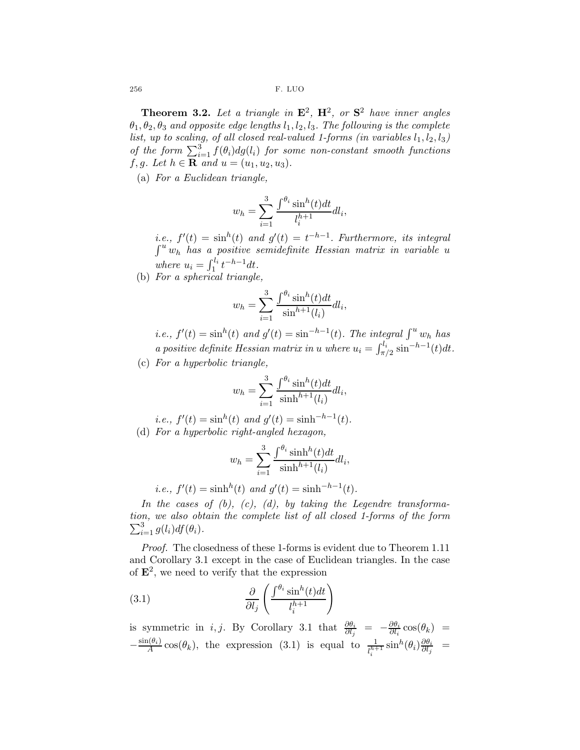256 F. LUO

**Theorem 3.2.** Let a triangle in  $\mathbf{E}^2$ ,  $\mathbf{H}^2$ , or  $\mathbf{S}^2$  have inner angles  $\theta_1, \theta_2, \theta_3$  and opposite edge lengths  $l_1, l_2, l_3$ . The following is the complete list, up to scaling, of all closed real-valued 1-forms (in variables  $l_1, l_2, l_3$ ) of the form  $\sum_{i=1}^{3} f(\theta_i) dg(l_i)$  for some non-constant smooth functions f, g. Let  $h \in \mathbf{R}$  and  $u = (u_1, u_2, u_3)$ .

(a) For a Euclidean triangle,

$$
w_h = \sum_{i=1}^{3} \frac{\int^{\theta_i} \sin^h(t)dt}{l_i^{h+1}} dl_i,
$$

*i.e.*,  $f'(t) = \sinh(t)$  and  $g'(t) = t^{-h-1}$ . Furthermore, its integral  $\int^u w_h$  has a positive semidefinite Hessian matrix in variable u where  $u_i = \int_1^{l_i} t^{-h-1} dt$ .

(b) For a spherical triangle,

$$
w_h = \sum_{i=1}^3 \frac{\int_{0}^{\theta_i} \sin^h(t) dt}{\sin^{h+1}(l_i)} dl_i,
$$

*i.e.*,  $f'(t) = \sinh(t)$  and  $g'(t) = \sinh^{-h-1}(t)$ . The integral  $\int^u w_h$  has a positive definite Hessian matrix in u where  $u_i = \int_{\pi/2}^{l_i} \sin^{-h-1}(t) dt$ .

(c) For a hyperbolic triangle,

$$
w_h = \sum_{i=1}^3 \frac{\int^{\theta_i} \sin^h(t)dt}{\sinh^{h+1}(l_i)}dl_i,
$$

i.e., 
$$
f'(t) = \sin^h(t)
$$
 and  $g'(t) = \sinh^{-h-1}(t)$ .  
(d) For a hyperbolic right-angled hexagon,

$$
w_h = \sum_{i=1}^{3} \frac{\int^{\theta_i} \sinh^h(t)dt}{\sinh^{h+1}(l_i)} dl_i,
$$

*i.e.*, 
$$
f'(t) = \sinh^{h}(t)
$$
 and  $g'(t) = \sinh^{-h-1}(t)$ .

In the cases of  $(b)$ ,  $(c)$ ,  $(d)$ , by taking the Legendre transformation, we also obtain the complete list of all closed 1-forms o f the form  $\sum_{i=1}^{3} g(l_i) df(\theta_i)$ .

Proof. The closedness of these 1-forms is evident due to Theorem 1.11 and Corollary 3.1 except in the case of Euclidean triangles. In the case of  $\mathbf{E}^2$ , we need to verify that the expression

(3.1) 
$$
\frac{\partial}{\partial l_j} \left( \frac{\int^{\theta_i} \sin^h(t) dt}{l_i^{h+1}} \right)
$$

is symmetric in *i*, *j*. By Corollary 3.1 that  $\frac{\partial \theta_i}{\partial l_j} = -\frac{\partial \theta_i}{\partial l_i}$  $\frac{\partial \theta_i}{\partial l_i} \cos(\theta_k) =$  $-\frac{\sin(\theta_i)}{A}$  $\frac{\partial h_i}{\partial A}$  cos( $\theta_k$ ), the expression (3.1) is equal to  $\frac{1}{l_i^{h+1}}\sinh(\theta_i)\frac{\partial \theta_i}{\partial l_j}$  $\frac{\partial \theta_i}{\partial l_j}$  =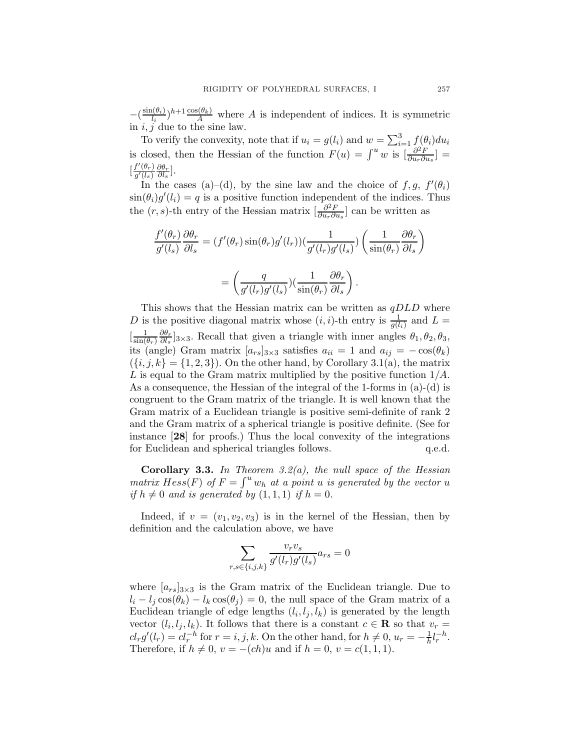$-(\frac{\sin(\theta_i)}{l_i})$  $\frac{\mu(\theta_i)}{l_i}$   $h+1 \frac{\cos(\theta_k)}{A}$  where A is independent of indices. It is symmetric in  $i, j$  due to the sine law.

To verify the convexity, note that if  $u_i = g(l_i)$  and  $w = \sum_{i=1}^{3} f(\theta_i) du_i$ is closed, then the Hessian of the function  $F(u) = \int^u w$  is  $\left[\frac{\partial^2 F}{\partial u \cdot \partial v}\right]$  $\frac{\partial^2 F}{\partial u_r \partial u_s}$ ] =  $\left[\frac{f'(\theta_r)}{a'(1)}\right]$  $\frac{f'(\theta_r)}{g'(l_s)} \frac{\partial \theta_r}{\partial l_s}$  $\frac{\partial \theta_r}{\partial l_s}$ .

In the cases (a)–(d), by the sine law and the choice of  $f, g, f'(\theta_i)$  $\sin(\theta_i)g'(l_i) = q$  is a positive function independent of the indices. Thus the  $(r, s)$ -th entry of the Hessian matrix  $\left[\frac{\partial^2 F}{\partial u_0 \partial v_0}\right]$  $\frac{\partial^2 F}{\partial u_r \partial u_s}$  can be written as

$$
\frac{f'(\theta_r)}{g'(l_s)} \frac{\partial \theta_r}{\partial l_s} = (f'(\theta_r) \sin(\theta_r) g'(l_r)) \left(\frac{1}{g'(l_r)g'(l_s)}\right) \left(\frac{1}{\sin(\theta_r)} \frac{\partial \theta_r}{\partial l_s}\right)
$$

$$
= \left(\frac{q}{g'(l_r)g'(l_s)}\right) \left(\frac{1}{\sin(\theta_r)} \frac{\partial \theta_r}{\partial l_s}\right).
$$

This shows that the Hessian matrix can be written as  $qDLD$  where D is the positive diagonal matrix whose  $(i, i)$ -th entry is  $\frac{1}{g(l_i)}$  and  $L =$  $\left[\frac{1}{\sin \theta}\right]$  $\sin(\theta_r)$  $\partial \theta_r$  $\frac{\partial \theta_r}{\partial l_s}$ <sub>3×3</sub>. Recall that given a triangle with inner angles  $\theta_1, \theta_2, \theta_3$ , its (angle) Gram matrix  $[a_{rs}]_{3\times 3}$  satisfies  $a_{ii} = 1$  and  $a_{ij} = -\cos(\theta_k)$  $({i, j, k} = {1, 2, 3})$ . On the other hand, by Corollary 3.1(a), the matrix L is equal to the Gram matrix multiplied by the positive function  $1/A$ . As a consequence, the Hessian of the integral of the 1-forms in (a)-(d) is congruent to the Gram matrix of the triangle. It is well known that the Gram matrix of a Euclidean triangle is positive semi-definite of rank 2 and the Gram matrix of a spherical triangle is positive definite. (See for instance [28] for proofs.) Thus the local convexity of the integrations for Euclidean and spherical triangles follows.  $q.e.d.$ 

**Corollary 3.3.** In Theorem  $3.2(a)$ , the null space of the Hessian matrix  $Hess(F)$  of  $F = \int^u w_h$  at a point u is generated by the vector u if  $h \neq 0$  and is generated by  $(1, 1, 1)$  if  $h = 0$ .

Indeed, if  $v = (v_1, v_2, v_3)$  is in the kernel of the Hessian, then by definition and the calculation above, we have

$$
\sum_{r,s \in \{i,j,k\}} \frac{v_r v_s}{g'(l_r)g'(l_s)} a_{rs} = 0
$$

where  $[a_{rs}]_{3\times 3}$  is the Gram matrix of the Euclidean triangle. Due to  $l_i - l_j \cos(\theta_k) - l_k \cos(\theta_j) = 0$ , the null space of the Gram matrix of a Euclidean triangle of edge lengths  $(l_i, l_j, l_k)$  is generated by the length vector  $(l_i, l_j, l_k)$ . It follows that there is a constant  $c \in \mathbf{R}$  so that  $v_r =$  $cl_r g'(l_r) = cl_r^{-h}$  for  $r = i, j, k$ . On the other hand, for  $h \neq 0, u_r = -\frac{1}{h}$  $\frac{1}{h}l_r^{-h}$ . Therefore, if  $h \neq 0$ ,  $v = -(ch)u$  and if  $h = 0$ ,  $v = c(1, 1, 1)$ .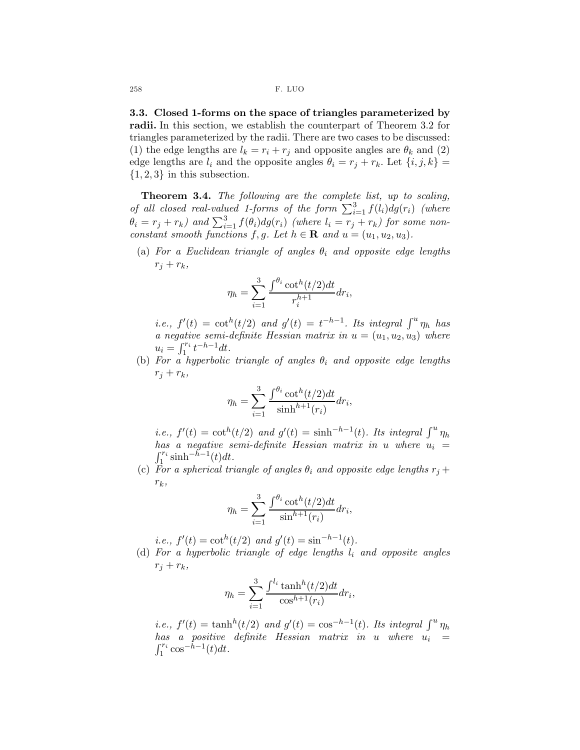3.3. Closed 1-forms on the space of triangles parameterized by radii. In this section, we establish the counterpart of Theorem 3.2 for triangles parameterized by the radii. There are two cases to be discussed: (1) the edge lengths are  $l_k = r_i + r_j$  and opposite angles are  $\theta_k$  and (2) edge lengths are  $l_i$  and the opposite angles  $\theta_i = r_j + r_k$ . Let  $\{i, j, k\}$  $\{1, 2, 3\}$  in this subsection.

Theorem 3.4. The following are the complete list, up to scaling, of all closed real-valued 1-forms of the form  $\sum_{i=1}^{3} f(l_i) dg(r_i)$  (where  $\theta_i = r_j + r_k)$  and  $\sum_{i=1}^3 f(\theta_i) dg(r_i)$  (where  $l_i = r_j + r_k$ ) for some nonconstant smooth functions f, g. Let  $h \in \mathbf{R}$  and  $u = (u_1, u_2, u_3)$ .

(a) For a Euclidean triangle of angles  $\theta_i$  and opposite edge lengths  $r_i + r_k$ 

$$
\eta_h = \sum_{i=1}^3 \frac{\int^{\theta_i} \cot^h(t/2) dt}{r_i^{h+1}} dr_i,
$$

*i.e.*,  $f'(t) = \cot^{h}(t/2)$  and  $g'(t) = t^{-h-1}$ . Its integral  $\int^{u} \eta_h$  has a negative semi-definite Hessian matrix in  $u = (u_1, u_2, u_3)$  where  $u_i = \int_1^{r_i} t^{-h-1} dt.$ 

(b) For a hyperbolic triangle of angles  $\theta_i$  and opposite edge lengths  $r_j + r_k$ 

$$
\eta_h = \sum_{i=1}^3 \frac{\int^{\theta_i} \cot^h(t/2) dt}{\sinh^{h+1}(r_i)} dr_i,
$$

*i.e.*,  $f'(t) = \cot^{h}(t/2)$  and  $g'(t) = \sinh^{-h-1}(t)$ . Its integral  $\int^{u} \eta_h$ has a negative semi-definite Hessian matrix in  $u$  where  $u_i =$  $\int_1^{r_i} \sinh^{-\tilde{h}-1}(t) dt.$ 

(c) For a spherical triangle of angles  $\theta_i$  and opposite edge lengths  $r_j +$  $r_k$ ,

$$
\eta_h = \sum_{i=1}^3 \frac{\int^{\theta_i} \cot^h(t/2)dt}{\sin^{h+1}(r_i)} dr_i,
$$

*i.e.*,  $f'(t) = \cot^{h}(t/2)$  and  $g'(t) = \sin^{-h-1}(t)$ .

(d) For a hyperbolic triangle of edge lengths  $l_i$  and opposite angles  $r_j + r_k$ 

$$
\eta_h = \sum_{i=1}^3 \frac{\int^{l_i} \tanh^h(t/2) dt}{\cos^{h+1}(r_i)} dr_i,
$$

*i.e.*,  $f'(t) = \tanh^{h}(t/2)$  and  $g'(t) = \cos^{-h-1}(t)$ . Its integral  $\int^{u} \eta_h$  $has$  a positive definite Hessian matrix in  $u$  where  $u_i =$  $\int_1^{r_i}$  $\int_1^{r_i} \cos^{-h-1}(t)dt$ .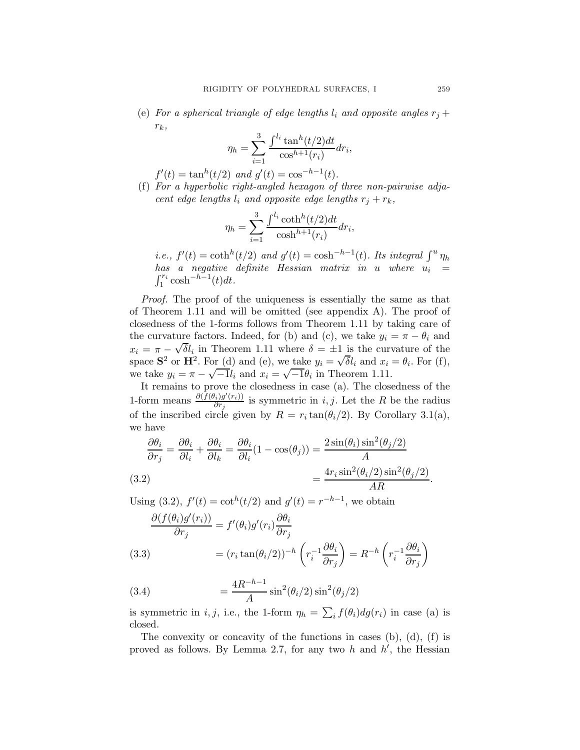(e) For a spherical triangle of edge lengths  $l_i$  and opposite angles  $r_i +$  $r_k$ ,

$$
\eta_h = \sum_{i=1}^3 \frac{\int_{-i}^{l_i} \tan^h(t/2) dt}{\cos^{h+1}(r_i)} dr_i,
$$

- $f'(t) = \tan^{h}(t/2)$  and  $g'(t) = \cos^{-h-1}(t)$ .
- (f) For a hyperbolic right-angled hexagon of three non-pairwise adjacent edge lengths  $l_i$  and opposite edge lengths  $r_j + r_k$ ,

$$
\eta_h = \sum_{i=1}^{3} \frac{\int^{l_i} \coth^h(t/2) dt}{\cosh^{h+1}(r_i)} dr_i,
$$

*i.e.*,  $f'(t) = \coth^{h}(t/2)$  and  $g'(t) = \cosh^{-h-1}(t)$ . Its integral  $\int^{u} \eta_h$  $has$  a negative definite Hessian matrix in u where  $u_i =$  $\int_1^{r_i} \cosh^{-h-1}(t) dt$ .

Proof. The proof of the uniqueness is essentially the same as that of Theorem 1.11 and will be omitted (see appendix A). The proof of closedness of the 1-forms follows from Theorem 1.11 by taking care of the curvature factors. Indeed, for (b) and (c), we take  $y_i = \pi - \theta_i$  and  $x_i = \pi - \sqrt{\delta}l_i$  in Theorem 1.11 where  $\delta = \pm 1$  is the curvature of the space  $S^2$  or  $H^2$ . For (d) and (e), we take  $y_i = \sqrt{\delta}l_i$  and  $x_i = \theta_i$ . For (f), we take  $y_i = \pi - \sqrt{-1}l_i$  and  $x_i = \sqrt{-1}\theta_i$  in Theorem 1.11.

It remains to prove the closedness in case (a). The closedness of the 1-form means  $\frac{\partial (f(\theta_i)g'(r_i))}{\partial r_i}$  $\frac{i\{g(r_i)\}}{\partial r_j}$  is symmetric in i, j. Let the R be the radius of the inscribed circle given by  $R = r_i \tan(\theta_i/2)$ . By Corollary 3.1(a), we have

$$
\frac{\partial \theta_i}{\partial r_j} = \frac{\partial \theta_i}{\partial l_i} + \frac{\partial \theta_i}{\partial l_k} = \frac{\partial \theta_i}{\partial l_i} (1 - \cos(\theta_j)) = \frac{2 \sin(\theta_i) \sin^2(\theta_j/2)}{A}
$$
  
(3.2)  

$$
= \frac{4r_i \sin^2(\theta_i/2) \sin^2(\theta_j/2)}{AR}.
$$

Using (3.2),  $f'(t) = \cot^{h}(t/2)$  and  $g'(t) = r^{-h-1}$ , we obtain

$$
\frac{\partial (f(\theta_i)g'(r_i))}{\partial r_j} = f'(\theta_i)g'(r_i)\frac{\partial \theta_i}{\partial r_j}
$$
\n(3.3)\n
$$
= (r_i \tan(\theta_i/2))^{-h} \left(r_i^{-1} \frac{\partial \theta_i}{\partial r_j}\right) = R^{-h} \left(r_i^{-1} \frac{\partial \theta_i}{\partial r_j}\right)
$$

(3.4) 
$$
= \frac{4R^{-h-1}}{A} \sin^2(\theta_i/2) \sin^2(\theta_j/2)
$$

is symmetric in *i*, *j*, i.e., the 1-form  $\eta_h = \sum_i f(\theta_i) dg(r_i)$  in case (a) is closed.

The convexity or concavity of the functions in cases  $(b)$ ,  $(d)$ ,  $(f)$  is proved as follows. By Lemma 2.7, for any two  $h$  and  $h'$ , the Hessian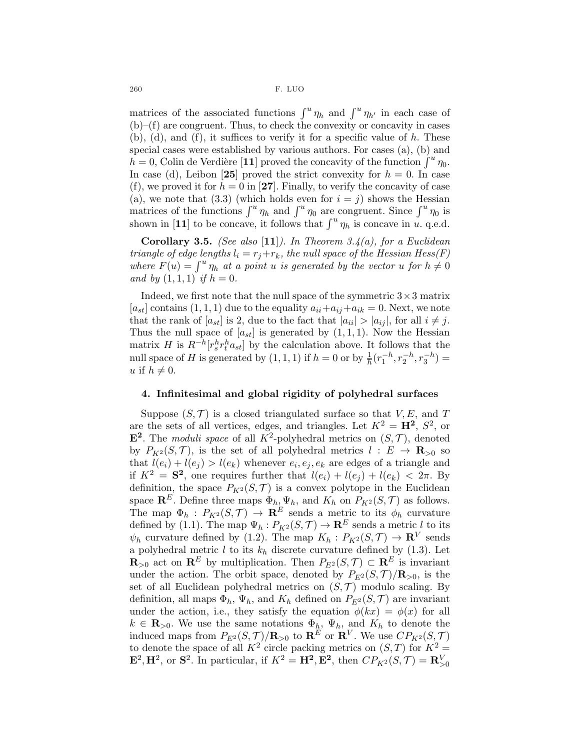matrices of the associated functions  $\int^u \eta_h$  and  $\int^u \eta_{h'}$  in each case of (b)–(f) are congruent. Thus, to check the convexity or concavity in cases  $(b)$ ,  $(d)$ , and  $(f)$ , it suffices to verify it for a specific value of h. These special cases were established by various authors. For cases (a), (b) and  $h = 0$ , Colin de Verdière [11] proved the concavity of the function  $\int^u \eta_0$ . In case (d), Leibon [25] proved the strict convexity for  $h = 0$ . In case (f), we proved it for  $h = 0$  in [27]. Finally, to verify the concavity of case (a), we note that (3.3) (which holds even for  $i = j$ ) shows the Hessian matrices of the functions  $\int^u \eta_h$  and  $\int^u \eta_0$  are congruent. Since  $\int^u \eta_0$  is shown in [11] to be concave, it follows that  $\int^u \eta_h$  is concave in u. q.e.d.

**Corollary 3.5.** (See also [11]). In Theorem 3.4(a), for a Euclidean triangle of edge lengths  $l_i = r_j + r_k$ , the null space of the Hessian Hess $(F)$ where  $F(u) = \int^u \eta_h$  at a point u is generated by the vector u for  $h \neq 0$ and by  $(1, 1, 1)$  if  $h = 0$ .

Indeed, we first note that the null space of the symmetric  $3 \times 3$  matrix  $[a_{st}]$  contains  $(1, 1, 1)$  due to the equality  $a_{ii}+a_{ij}+a_{ik}=0$ . Next, we note that the rank of  $[a_{st}]$  is 2, due to the fact that  $|a_{ii}| > |a_{ij}|$ , for all  $i \neq j$ . Thus the null space of  $[a_{st}]$  is generated by  $(1, 1, 1)$ . Now the Hessian matrix H is  $R^{-h}[r_s^h r_t^h a_{st}]$  by the calculation above. It follows that the null space of H is generated by  $(1, 1, 1)$  if  $h = 0$  or by  $\frac{1}{h}(r_1^{-h}, r_2^{-h}, r_3^{-h}) =$ u if  $h \neq 0$ .

#### 4. Infinitesimal and global rigidity of polyhedral surfaces

Suppose  $(S, \mathcal{T})$  is a closed triangulated surface so that V, E, and T are the sets of all vertices, edges, and triangles. Let  $K^2 = \mathbf{H}^2$ ,  $S^2$ , or  $\mathbf{E}^2$ . The *moduli space* of all  $K^2$ -polyhedral metrics on  $(S, \mathcal{T})$ , denoted by  $P_{K^2}(S, \mathcal{T})$ , is the set of all polyhedral metrics  $l : E \to \mathbf{R}_{>0}$  so that  $l(e_i) + l(e_j) > l(e_k)$  whenever  $e_i, e_j, e_k$  are edges of a triangle and if  $K^2 = S^2$ , one requires further that  $l(e_i) + l(e_j) + l(e_k) < 2\pi$ . By definition, the space  $P_{K^2}(S, \mathcal{T})$  is a convex polytope in the Euclidean space  $\mathbf{R}^E$ . Define three maps  $\Phi_h, \Psi_h$ , and  $K_h$  on  $P_{K^2}(S, \mathcal{T})$  as follows. The map  $\Phi_h$ :  $P_{K^2}(S,\mathcal{T}) \rightarrow \mathbf{R}^E$  sends a metric to its  $\phi_h$  curvature defined by (1.1). The map  $\Psi_h: P_{K^2}(S, \mathcal{T}) \to \mathbf{R}^E$  sends a metric l to its  $\psi_h$  curvature defined by (1.2). The map  $K_h: P_{K^2}(S, \mathcal{T}) \to \mathbf{R}^V$  sends a polyhedral metric  $l$  to its  $k_h$  discrete curvature defined by (1.3). Let  $\mathbf{R}_{>0}$  act on  $\mathbf{R}^E$  by multiplication. Then  $P_{E^2}(S, \mathcal{T}) \subset \mathbf{R}^E$  is invariant under the action. The orbit space, denoted by  $P_{E^2}(S, \mathcal{T})/\mathbf{R}_{>0}$ , is the set of all Euclidean polyhedral metrics on  $(S, \mathcal{T})$  modulo scaling. By definition, all maps  $\Phi_h$ ,  $\Psi_h$ , and  $K_h$  defined on  $P_{E^2}(S, \mathcal{T})$  are invariant under the action, i.e., they satisfy the equation  $\phi(kx) = \phi(x)$  for all  $k \in \mathbf{R}_{>0}$ . We use the same notations  $\Phi_h$ ,  $\Psi_h$ , and  $K_h$  to denote the induced maps from  $P_{E^2}(S,\mathcal{T})/\mathbf{R}_{>0}$  to  $\mathbf{R}^E$  or  $\mathbf{R}^V$ . We use  $CP_{K^2}(S,\mathcal{T})$ to denote the space of all  $K^2$  circle packing metrics on  $(S,T)$  for  $K^2 =$  $\mathbf{E}^2, \mathbf{H}^2$ , or  $\mathbf{S}^2$ . In particular, if  $K^2 = \mathbf{H}^2, \mathbf{E}^2$ , then  $CP_{K^2}(S, \mathcal{T}) = \mathbf{R}_{>0}^V$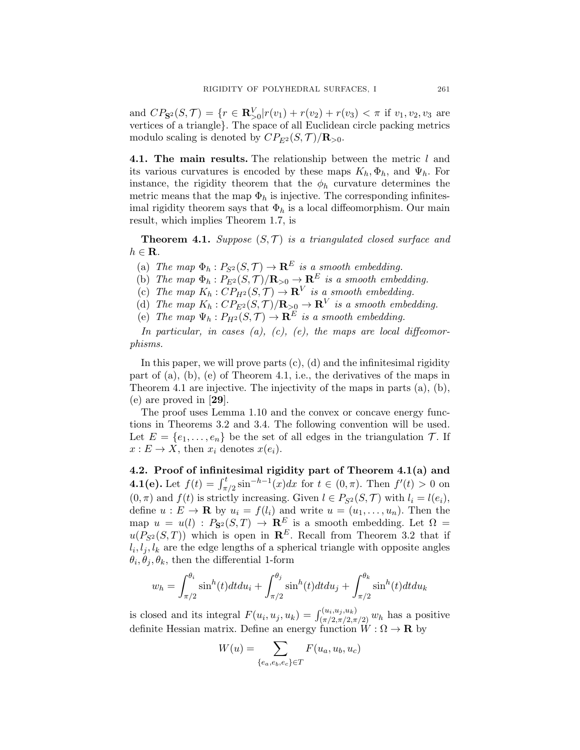and  $CP_{\mathbf{S}^2}(S, \mathcal{T}) = \{r \in \mathbf{R}_{>0}^V | r(v_1) + r(v_2) + r(v_3) < \pi \text{ if } v_1, v_2, v_3 \text{ are }$ vertices of a triangle}. The space of all Euclidean circle packing metrics modulo scaling is denoted by  $CP_{E^2}(S, \mathcal{T})/\mathbf{R}_{>0}$ .

4.1. The main results. The relationship between the metric l and its various curvatures is encoded by these maps  $K_h, \Phi_h$ , and  $\Psi_h$ . For instance, the rigidity theorem that the  $\phi_h$  curvature determines the metric means that the map  $\Phi_h$  is injective. The corresponding infinitesimal rigidity theorem says that  $\Phi_h$  is a local diffeomorphism. Our main result, which implies Theorem 1.7, is

**Theorem 4.1.** Suppose  $(S, \mathcal{T})$  is a triangulated closed surface and  $h \in \mathbf{R}$ .

- (a) The map  $\Phi_h : P_{S^2}(S, \mathcal{T}) \to \mathbf{R}^E$  is a smooth embedding.
- (b) The map  $\Phi_h : P_{E^2}(S, \mathcal{T})/R_{>0} \to \mathbb{R}^E$  is a smooth embedding.
- (c) The map  $K_h: CP_{H^2}(S, \mathcal{T}) \to \mathbf{R}^V$  is a smooth embedding.
- (d) The map  $K_h: CP_{E^2}(S,\mathcal{T})/\mathbf{R}_{\geq 0} \to \mathbf{R}^V$  is a smooth embedding.
- (e) The map  $\Psi_h : P_{H^2}(S, \mathcal{T}) \to \mathbf{R}^E$  is a smooth embedding.

In particular, in cases  $(a)$ ,  $(c)$ ,  $(e)$ , the maps are local diffeomorphisms.

In this paper, we will prove parts  $(c)$ ,  $(d)$  and the infinitesimal rigidity part of (a), (b), (e) of Theorem 4.1, i.e., the derivatives of the maps in Theorem 4.1 are injective. The injectivity of the maps in parts (a), (b), (e) are proved in [29].

The proof uses Lemma 1.10 and the convex or concave energy functions in Theorems 3.2 and 3.4. The following convention will be used. Let  $E = \{e_1, \ldots, e_n\}$  be the set of all edges in the triangulation  $\mathcal{T}$ . If  $x: E \to X$ , then  $x_i$  denotes  $x(e_i)$ .

4.2. Proof of infinitesimal rigidity part of Theorem 4.1(a) and **4.1(e).** Let  $f(t) = \int_{\pi/2}^{t} \sin^{-h-1}(x) dx$  for  $t \in (0, \pi)$ . Then  $f'(t) > 0$  on  $(0, \pi)$  and  $f(t)$  is strictly increasing. Given  $l \in P_{S^2}(S, \mathcal{T})$  with  $l_i = l(e_i)$ , define  $u : E \to \mathbf{R}$  by  $u_i = f(l_i)$  and write  $u = (u_1, \dots, u_n)$ . Then the map  $u = u(l)$ :  $P_{S^2}(S,T) \rightarrow \mathbb{R}^E$  is a smooth embedding. Let  $\Omega =$  $u(P_{S^2}(S,T))$  which is open in  $\mathbb{R}^E$ . Recall from Theorem 3.2 that if  $l_i, l_j, l_k$  are the edge lengths of a spherical triangle with opposite angles  $\theta_i, \theta_j, \theta_k$ , then the differential 1-form

$$
w_h = \int_{\pi/2}^{\theta_i} \sin^h(t) dt du_i + \int_{\pi/2}^{\theta_j} \sin^h(t) dt du_j + \int_{\pi/2}^{\theta_k} \sin^h(t) dt du_k
$$

is closed and its integral  $F(u_i, u_j, u_k) = \int_{(\pi/2, \pi/2, \pi/2)}^{(u_i, u_j, u_k)} w_h$  has a positive definite Hessian matrix. Define an energy function  $W : \Omega \to \mathbf{R}$  by

$$
W(u) = \sum_{\{e_a, e_b, e_c\} \in T} F(u_a, u_b, u_c)
$$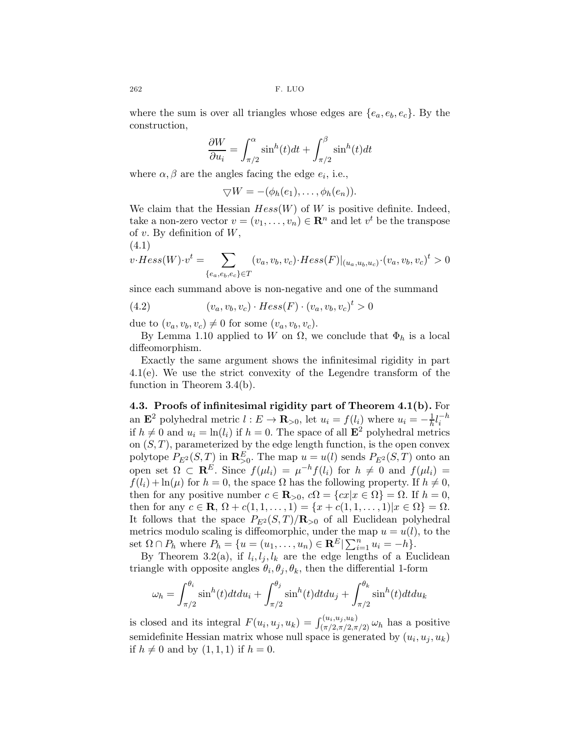where the sum is over all triangles whose edges are  $\{e_a, e_b, e_c\}$ . By the construction,

$$
\frac{\partial W}{\partial u_i} = \int_{\pi/2}^{\alpha} \sin^h(t)dt + \int_{\pi/2}^{\beta} \sin^h(t)dt
$$

where  $\alpha, \beta$  are the angles facing the edge  $e_i$ , i.e.,

$$
\bigtriangledown W = -(\phi_h(e_1), \ldots, \phi_h(e_n)).
$$

We claim that the Hessian  $Hess(W)$  of W is positive definite. Indeed, take a non-zero vector  $v = (v_1, \ldots, v_n) \in \mathbb{R}^n$  and let  $v^t$  be the transpose of  $v$ . By definition of  $W$ ,  $(4.1)$ 

$$
v \cdot Hess(W) \cdot v^t = \sum_{\{e_a,e_b,e_c\} \in T} (v_a, v_b, v_c) \cdot Hess(F)|_{(u_a, u_b, u_c)} \cdot (v_a, v_b, v_c)^t > 0
$$

since each summand above is non-negative and one of the summand

(4.2) 
$$
(v_a, v_b, v_c) \cdot Hess(F) \cdot (v_a, v_b, v_c)^t > 0
$$

due to  $(v_a, v_b, v_c) \neq 0$  for some  $(v_a, v_b, v_c)$ .

By Lemma 1.10 applied to W on  $\Omega$ , we conclude that  $\Phi_h$  is a local diffeomorphism.

Exactly the same argument shows the infinitesimal rigidity in part 4.1(e). We use the strict convexity of the Legendre transform of the function in Theorem 3.4(b).

4.3. Proofs of infinitesimal rigidity part of Theorem 4.1(b). For an  $\mathbf{E}^2$  polyhedral metric  $l : E \to \mathbf{R}_{>0}$ , let  $u_i = f(l_i)$  where  $u_i = -\frac{1}{h}$  $\frac{1}{h}l_i^{-h}$ if  $h \neq 0$  and  $u_i = \ln(l_i)$  if  $h = 0$ . The space of all  $\mathbf{E}^2$  polyhedral metrics on  $(S, T)$ , parameterized by the edge length function, is the open convex polytope  $P_{E^2}(S,T)$  in  $\mathbf{R}_{>0}^E$ . The map  $u = u(l)$  sends  $P_{E^2}(S,T)$  onto an open set  $\Omega \subset \mathbf{R}^E$ . Since  $f(\mu l_i) = \mu^{-h} f(l_i)$  for  $h \neq 0$  and  $f(\mu l_i) =$  $f(l_i) + \ln(\mu)$  for  $h = 0$ , the space  $\Omega$  has the following property. If  $h \neq 0$ , then for any positive number  $c \in \mathbb{R}_{>0}$ ,  $c\Omega = \{cx | x \in \Omega\} = \Omega$ . If  $h = 0$ , then for any  $c \in \mathbf{R}, \, \Omega + c(1, 1, \dots, 1) = \{x + c(1, 1, \dots, 1)|x \in \Omega\} = \Omega.$ It follows that the space  $P_{E^2}(S,T)/\mathbf{R}_{>0}$  of all Euclidean polyhedral metrics modulo scaling is diffeomorphic, under the map  $u = u(l)$ , to the set  $\Omega \cap P_h$  where  $P_h = \{u = (u_1, \ldots, u_n) \in \mathbb{R}^E | \sum_{i=1}^n u_i = -h\}.$ 

By Theorem 3.2(a), if  $l_i, l_j, l_k$  are the edge lengths of a Euclidean triangle with opposite angles  $\theta_i, \theta_j, \theta_k$ , then the differential 1-form

$$
\omega_h = \int_{\pi/2}^{\theta_i} \sin^h(t) dt du_i + \int_{\pi/2}^{\theta_j} \sin^h(t) dt du_j + \int_{\pi/2}^{\theta_k} \sin^h(t) dt du_k
$$

is closed and its integral  $F(u_i, u_j, u_k) = \int_{(\pi/2, \pi/2, \pi/2)}^{(u_i, u_j, u_k)} \omega_h$  has a positive semidefinite Hessian matrix whose null space is generated by  $(u_i, u_j, u_k)$ if  $h \neq 0$  and by  $(1, 1, 1)$  if  $h = 0$ .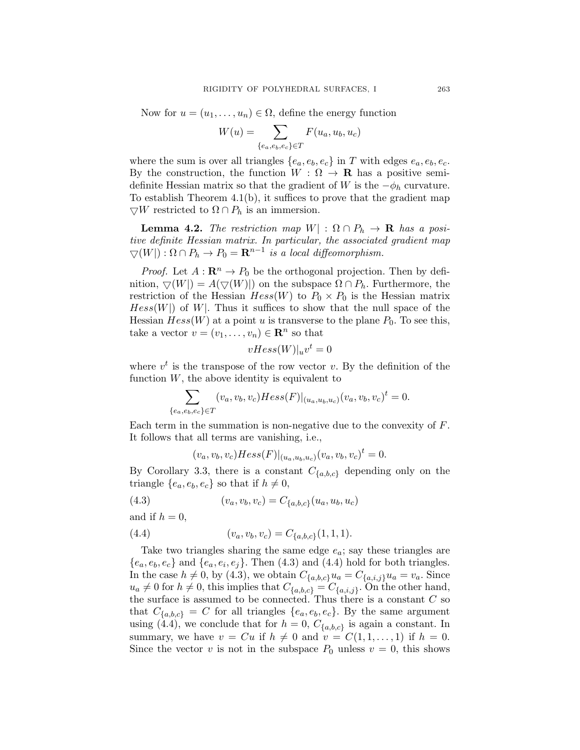Now for  $u = (u_1, \ldots, u_n) \in \Omega$ , define the energy function

$$
W(u) = \sum_{\{e_a, e_b, e_c\} \in T} F(u_a, u_b, u_c)
$$

where the sum is over all triangles  $\{e_a, e_b, e_c\}$  in T with edges  $e_a, e_b, e_c$ . By the construction, the function  $W : \Omega \to \mathbf{R}$  has a positive semidefinite Hessian matrix so that the gradient of W is the  $-\phi_h$  curvature. To establish Theorem  $4.1(b)$ , it suffices to prove that the gradient map  $\bigtriangledown W$  restricted to  $\Omega \cap P_h$  is an immersion.

**Lemma 4.2.** The restriction map  $W$  :  $\Omega \cap P_h \to \mathbf{R}$  has a positive definite Hessian matrix. In particular, the associated gradient map  $\bigtriangledown(W|): \Omega \cap P_h \to P_0 = \mathbf{R}^{n-1}$  is a local diffeomorphism.

*Proof.* Let  $A: \mathbb{R}^n \to P_0$  be the orthogonal projection. Then by definition,  $\bigtriangledown(W) = A(\bigtriangledown(W))$  on the subspace  $\Omega \cap P_h$ . Furthermore, the restriction of the Hessian  $Hess(W)$  to  $P_0 \times P_0$  is the Hessian matrix  $Hess(W)$  of W. Thus it suffices to show that the null space of the Hessian  $Hess(W)$  at a point u is transverse to the plane  $P_0$ . To see this, take a vector  $v = (v_1, \ldots, v_n) \in \mathbb{R}^n$  so that

$$
vHess(W)|_uv^t = 0
$$

where  $v^t$  is the transpose of the row vector v. By the definition of the function  $W$ , the above identity is equivalent to

$$
\sum_{\{e_a,e_b,e_c\} \in T} (v_a,v_b,v_c)Hess(F)|_{(u_a,u_b,u_c)}(v_a,v_b,v_c)^t = 0.
$$

Each term in the summation is non-negative due to the convexity of  $F$ . It follows that all terms are vanishing, i.e.,

$$
(v_a, v_b, v_c) Hess(F)|_{(u_a, u_b, u_c)} (v_a, v_b, v_c)^t = 0.
$$

By Corollary 3.3, there is a constant  $C_{\{a,b,c\}}$  depending only on the triangle  $\{e_a, e_b, e_c\}$  so that if  $h \neq 0$ ,

(4.3) 
$$
(v_a, v_b, v_c) = C_{\{a,b,c\}}(u_a, u_b, u_c)
$$

and if  $h = 0$ ,

(4.4) 
$$
(v_a, v_b, v_c) = C_{\{a, b, c\}}(1, 1, 1).
$$

Take two triangles sharing the same edge  $e_a$ ; say these triangles are  ${e_a, e_b, e_c}$  and  ${e_a, e_i, e_j}$ . Then (4.3) and (4.4) hold for both triangles. In the case  $h \neq 0$ , by (4.3), we obtain  $C_{\{a,b,c\}}u_a = C_{\{a,i,j\}}u_a = v_a$ . Since  $u_a \neq 0$  for  $h \neq 0$ , this implies that  $C_{\{a,b,c\}} = C_{\{a,i,j\}}$ . On the other hand, the surface is assumed to be connected. Thus there is a constant  $C$  so that  $C_{\{a,b,c\}} = C$  for all triangles  $\{e_a, e_b, e_c\}$ . By the same argument using (4.4), we conclude that for  $h = 0$ ,  $C_{\{a,b,c\}}$  is again a constant. In summary, we have  $v = Cu$  if  $h \neq 0$  and  $v = C(1, 1, \ldots, 1)$  if  $h = 0$ . Since the vector v is not in the subspace  $P_0$  unless  $v = 0$ , this shows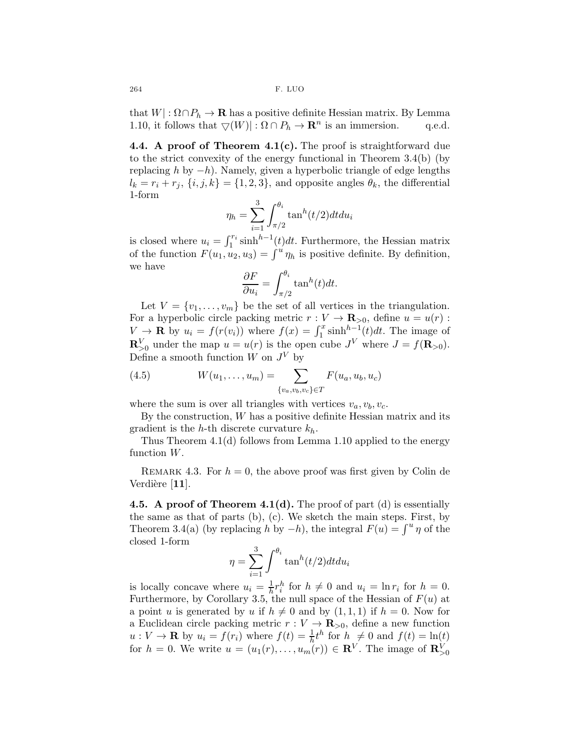that  $W | : \Omega \cap P_h \to \mathbf{R}$  has a positive definite Hessian matrix. By Lemma 1.10, it follows that  $\bigtriangledown(W) | : \Omega \cap P_h \to \mathbf{R}^n$  is an immersion. q.e.d. 1.10, it follows that  $\bigtriangledown(W) : \Omega \cap P_h \to \mathbf{R}^n$  is an immersion. q.e.d.

4.4. A proof of Theorem  $4.1(c)$ . The proof is straightforward due to the strict convexity of the energy functional in Theorem 3.4(b) (by replacing h by  $-h$ ). Namely, given a hyperbolic triangle of edge lengths  $l_k = r_i + r_j$ ,  $\{i, j, k\} = \{1, 2, 3\}$ , and opposite angles  $\theta_k$ , the differential 1-form

$$
\eta_h = \sum_{i=1}^3 \int_{\pi/2}^{\theta_i} \tan^h(t/2) dt du_i
$$

is closed where  $u_i = \int_1^{r_i} \sinh^{h-1}(t) dt$ . Furthermore, the Hessian matrix of the function  $F(u_1, u_2, u_3) = \int^u \eta_h$  is positive definite. By definition, we have

$$
\frac{\partial F}{\partial u_i} = \int_{\pi/2}^{\theta_i} \tan^h(t) dt.
$$

Let  $V = \{v_1, \ldots, v_m\}$  be the set of all vertices in the triangulation. For a hyperbolic circle packing metric  $r : V \to \mathbf{R}_{>0}$ , define  $u = u(r)$ :  $V \to \mathbf{R}$  by  $u_i = f(r(v_i))$  where  $f(x) = \int_1^x \sinh^{h-1}(t) dt$ . The image of  $\mathbf{R}_{\geq 0}^V$  under the map  $u = u(r)$  is the open cube  $J^V$  where  $J = f(\mathbf{R}_{\geq 0})$ . Define a smooth function  $W$  on  $J^V$  by

(4.5) 
$$
W(u_1, ..., u_m) = \sum_{\{v_a, v_b, v_c\} \in T} F(u_a, u_b, u_c)
$$

where the sum is over all triangles with vertices  $v_a, v_b, v_c$ .

By the construction, W has a positive definite Hessian matrix and its gradient is the h-th discrete curvature  $k_h$ .

Thus Theorem 4.1(d) follows from Lemma 1.10 applied to the energy function W.

REMARK 4.3. For  $h = 0$ , the above proof was first given by Colin de Verdière  $[11]$ .

4.5. A proof of Theorem 4.1(d). The proof of part  $(d)$  is essentially the same as that of parts (b), (c). We sketch the main steps. First, by Theorem 3.4(a) (by replacing h by  $-h$ ), the integral  $F(u) = \int^u \eta$  of the closed 1-form

$$
\eta = \sum_{i=1}^{3} \int^{\theta_i} \tan^h(t/2) dt du_i
$$

is locally concave where  $u_i = \frac{1}{h}$  $\frac{1}{h}r_i^h$  for  $h \neq 0$  and  $u_i = \ln r_i$  for  $h = 0$ . Furthermore, by Corollary 3.5, the null space of the Hessian of  $F(u)$  at a point u is generated by u if  $h \neq 0$  and by  $(1, 1, 1)$  if  $h = 0$ . Now for a Euclidean circle packing metric  $r : V \to \mathbf{R}_{>0}$ , define a new function  $u: V \to \mathbf{R}$  by  $u_i = f(r_i)$  where  $f(t) = \frac{1}{h}t^h$  for  $h \neq 0$  and  $f(t) = \ln(t)$ for  $h = 0$ . We write  $u = (u_1(r), \ldots, u_m(r)) \in \mathbb{R}^V$ . The image of  $\mathbb{R}_{>0}^V$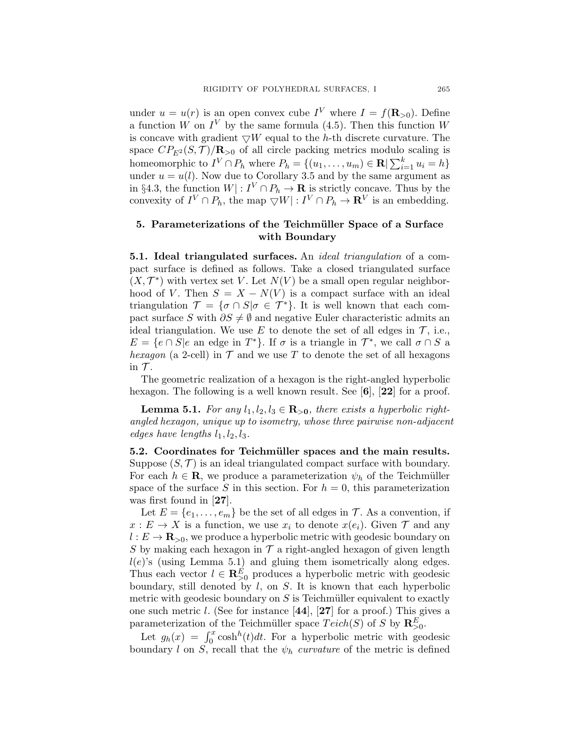under  $u = u(r)$  is an open convex cube  $I^V$  where  $I = f(\mathbf{R}_{>0})$ . Define a function W on  $I^V$  by the same formula (4.5). Then this function W is concave with gradient  $\nabla W$  equal to the h-th discrete curvature. The space  $CP_{E^2}(S, \mathcal{T})/R_{>0}$  of all circle packing metrics modulo scaling is homeomorphic to  $I^V \cap P_h$  where  $P_h = \{(u_1, \ldots, u_m) \in \mathbf{R} \mid \sum_{i=1}^k u_i = h\}$ under  $u = u(l)$ . Now due to Corollary 3.5 and by the same argument as in §4.3, the function  $W: I^V \cap P_h \to \mathbf{R}$  is strictly concave. Thus by the convexity of  $I^V \cap P_h$ , the map  $\bigtriangledown W \mid : I^V \cap P_h \to \mathbf{R}^V$  is an embedding.

# 5. Parameterizations of the Teichmüller Space of a Surface with Boundary

5.1. Ideal triangulated surfaces. An ideal triangulation of a compact surface is defined as follows. Take a closed triangulated surface  $(X, \mathcal{T}^*)$  with vertex set V. Let  $N(V)$  be a small open regular neighborhood of V. Then  $S = X - N(V)$  is a compact surface with an ideal triangulation  $\mathcal{T} = {\sigma \cap S | \sigma \in \mathcal{T}^*}.$  It is well known that each compact surface S with  $\partial S \neq \emptyset$  and negative Euler characteristic admits an ideal triangulation. We use E to denote the set of all edges in  $\mathcal{T}$ , i.e.,  $E = \{e \cap S | e$  an edge in  $T^*\}$ . If  $\sigma$  is a triangle in  $\mathcal{T}^*$ , we call  $\sigma \cap S$  a hexagon (a 2-cell) in  $\mathcal T$  and we use T to denote the set of all hexagons in  $\mathcal{T}$ .

The geometric realization of a hexagon is the right-angled hyperbolic hexagon. The following is a well known result. See  $[6]$ ,  $[22]$  for a proof.

**Lemma 5.1.** For any  $l_1, l_2, l_3 \in \mathbb{R}_{>0}$ , there exists a hyperbolic rightangled hexagon, unique up to isometry, whose three pairwise non-adjacent edges have lengths  $l_1, l_2, l_3$ .

5.2. Coordinates for Teichmüller spaces and the main results. Suppose  $(S, \mathcal{T})$  is an ideal triangulated compact surface with boundary. For each  $h \in \mathbf{R}$ , we produce a parameterization  $\psi_h$  of the Teichmüller space of the surface S in this section. For  $h = 0$ , this parameterization was first found in [27].

Let  $E = \{e_1, \ldots, e_m\}$  be the set of all edges in  $\mathcal T$ . As a convention, if  $x: E \to X$  is a function, we use  $x_i$  to denote  $x(e_i)$ . Given  $\mathcal T$  and any  $l: E \to \mathbf{R}_{>0}$ , we produce a hyperbolic metric with geodesic boundary on S by making each hexagon in  $\mathcal T$  a right-angled hexagon of given length  $l(e)$ 's (using Lemma 5.1) and gluing them isometrically along edges. Thus each vector  $l \in \mathbb{R}^E_{\geq 0}$  produces a hyperbolic metric with geodesic boundary, still denoted by  $l$ , on  $S$ . It is known that each hyperbolic metric with geodesic boundary on  $S$  is Teichmüller equivalent to exactly one such metric l. (See for instance [44], [27] for a proof.) This gives a parameterization of the Teichmüller space  $Teich(S)$  of S by  $\mathbb{R}^E_{\geq 0}$ .

Let  $g_h(x) = \int_0^x \cosh^h(t)dt$ . For a hyperbolic metric with geodesic boundary l on S, recall that the  $\psi_h$  curvature of the metric is defined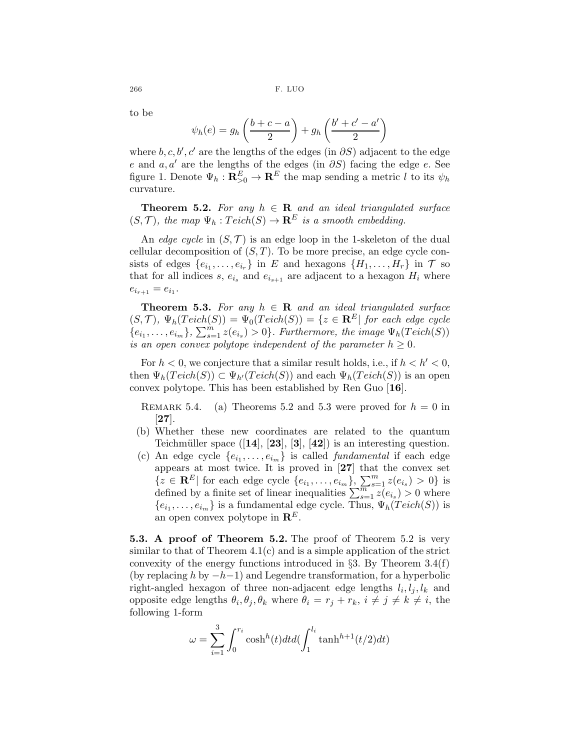to be

$$
\psi_h(e) = g_h\left(\frac{b+c-a}{2}\right) + g_h\left(\frac{b'+c'-a'}{2}\right)
$$

where  $b, c, b', c'$  are the lengths of the edges (in  $\partial S$ ) adjacent to the edge e and  $a, a'$  are the lengths of the edges (in  $\partial S$ ) facing the edge e. See figure 1. Denote  $\Psi_h: \mathbf{R}_{>0}^E \to \mathbf{R}^E$  the map sending a metric l to its  $\psi_h$ curvature.

**Theorem 5.2.** For any  $h \in \mathbf{R}$  and an ideal triangulated surface  $(S,\mathcal{T})$ , the map  $\Psi_h: Teich(S) \to \mathbf{R}^E$  is a smooth embedding.

An edge cycle in  $(S, \mathcal{T})$  is an edge loop in the 1-skeleton of the dual cellular decomposition of  $(S, T)$ . To be more precise, an edge cycle consists of edges  $\{e_{i_1}, \ldots, e_{i_r}\}$  in E and hexagons  $\{H_1, \ldots, H_r\}$  in T so that for all indices s,  $e_{i_s}$  and  $e_{i_{s+1}}$  are adjacent to a hexagon  $H_i$  where  $e_{i_{r+1}} = e_{i_1}.$ 

**Theorem 5.3.** For any  $h \in \mathbf{R}$  and an ideal triangulated surface  $(S, \mathcal{T}), \Psi_h(T \text{eich}(S)) = \Psi_0(T \text{eich}(S)) = \{z \in \mathbb{R}^E | \text{ for each edge cycle } \}$  ${e_{i_1}, \ldots, e_{i_m}}$ ,  $\sum_{s=1}^m z(e_{i_s}) > 0$ . Furthermore, the image  $\Psi_h(Teeich(S))$ is an open convex polytope independent of the parameter  $h \geq 0$ .

For  $h < 0$ , we conjecture that a similar result holds, i.e., if  $h < h' < 0$ , then  $\Psi_h(T\acute{e}ich(S)) \subset \Psi_{h'}(Teich(S))$  and each  $\Psi_h(T\acute{e}ich(S))$  is an open convex polytope. This has been established by Ren Guo [16].

REMARK 5.4. (a) Theorems 5.2 and 5.3 were proved for  $h = 0$  in [27].

- (b) Whether these new coordinates are related to the quantum Teichmüller space  $([14], [23], [3], [42])$  is an interesting question.
- (c) An edge cycle  $\{e_{i_1}, \ldots, e_{i_m}\}$  is called *fundamental* if each edge appears at most twice. It is proved in [27] that the convex set  ${z \in \mathbf{R}^E \vert \text{ for each edge cycle } \{e_{i_1}, \ldots, e_{i_m}\}, \sum_{s=1}^m z(e_{i_s}) > 0\}$  is defined by a finite set of linear inequalities  $\sum_{s=1}^{m} z(e_{i_s}) > 0$  where  ${e_{i_1}, \ldots, e_{i_m}}$  is a fundamental edge cycle. Thus,  $\Psi_h(Teich(S))$  is an open convex polytope in  $\mathbb{R}^E$ .

5.3. A proof of Theorem 5.2. The proof of Theorem 5.2 is very similar to that of Theorem  $4.1(c)$  and is a simple application of the strict convexity of the energy functions introduced in §3. By Theorem  $3.4(f)$ (by replacing h by  $-h-1$ ) and Legendre transformation, for a hyperbolic right-angled hexagon of three non-adjacent edge lengths  $l_i, l_j, l_k$  and opposite edge lengths  $\theta_i$ ,  $\theta_j$ ,  $\theta_k$  where  $\theta_i = r_j + r_k$ ,  $i \neq j \neq k \neq i$ , the following 1-form

$$
\omega = \sum_{i=1}^{3} \int_0^{r_i} \cosh^h(t) dt d(\int_1^{l_i} \tanh^{h+1}(t/2) dt)
$$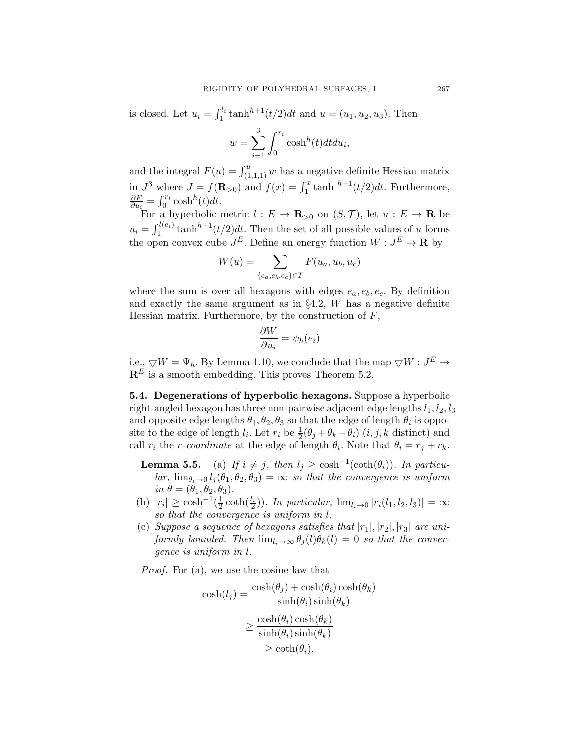is closed. Let  $u_i = \int_1^{l_i} \tanh^{h+1}(t/2)dt$  and  $u = (u_1, u_2, u_3)$ . Then

$$
w = \sum_{i=1}^{3} \int_0^{r_i} \cosh^h(t) dt du_i,
$$

and the integral  $F(u) = \int_{(1,1,1)}^u w$  has a negative definite Hessian matrix in  $J^3$  where  $J = f(\mathbf{R}_{>0})$  and  $f(x) = \int_1^x \tanh^{h+1}(t/2)dt$ . Furthermore, ∂F  $\frac{\partial F}{\partial u_i} = \int_0^{r_i} \cosh^h(t) dt.$ 

For a hyperbolic metric  $l : E \to \mathbf{R}_{>0}$  on  $(S, \mathcal{T})$ , let  $u : E \to \mathbf{R}$  be  $u_i = \int_1^{l(e_i)} \tanh^{h+1}(t/2)dt$ . Then the set of all possible values of u forms 1 the open convex cube  $J^E$ . Define an energy function  $W: J^E \to \mathbf{R}$  by

$$
W(u) = \sum_{\{e_a, e_b, e_c\} \in T} F(u_a, u_b, u_c)
$$

where the sum is over all hexagons with edges  $e_a, e_b, e_c$ . By definition and exactly the same argument as in  $\S 4.2$ , W has a negative definite Hessian matrix. Furthermore, by the construction of  $F$ ,

$$
\frac{\partial W}{\partial u_i} = \psi_h(e_i)
$$

i.e.,  $\bigtriangledown W = \Psi_h$ . By Lemma 1.10, we conclude that the map  $\bigtriangledown W : J^E \to$  $\mathbf{R}^E$  is a smooth embedding. This proves Theorem 5.2.

5.4. Degenerations of hyperbolic hexagons. Suppose a hyperbolic right-angled hexagon has three non-pairwise adjacent edge lengths  $l_1, l_2, l_3$ and opposite edge lengths  $\theta_1, \theta_2, \theta_3$  so that the edge of length  $\theta_i$  is opposite to the edge of length  $l_i$ . Let  $r_i$  be  $\frac{1}{2}(\theta_j + \theta_k - \theta_i)$   $(i, j, k$  distinct) and call  $r_i$  the *r*-coordinate at the edge of length  $\theta_i$ . Note that  $\theta_i = r_j + r_k$ .

- **Lemma 5.5.** (a) If  $i \neq j$ , then  $l_j \geq \cosh^{-1}(\coth(\theta_i))$ . In particular,  $\lim_{\theta_i\to 0} l_i(\theta_1,\theta_2,\theta_3) = \infty$  so that the convergence is uniform in  $\theta = (\theta_1, \theta_2, \theta_3).$
- (b)  $|r_i| \geq \cosh^{-1}(\frac{1}{2})$  $\frac{1}{2}\coth(\frac{l_i}{2})$ ). In particular,  $\lim_{l_i\to 0} |r_i(l_1, l_2, l_3)| = \infty$ so that the convergence is uniform in l.
- (c) Suppose a sequence of hexagons satisfies that  $|r_1|, |r_2|, |r_3|$  are uniformly bounded. Then  $\lim_{l_i\to\infty} \theta_j(l)\theta_k(l) = 0$  so that the convergence is uniform in l.

Proof. For (a), we use the cosine law that

$$
\cosh(l_j) = \frac{\cosh(\theta_j) + \cosh(\theta_i)\cosh(\theta_k)}{\sinh(\theta_i)\sinh(\theta_k)}
$$

$$
\geq \frac{\cosh(\theta_i)\cosh(\theta_k)}{\sinh(\theta_i)\sinh(\theta_k)}
$$

$$
\geq \coth(\theta_i).
$$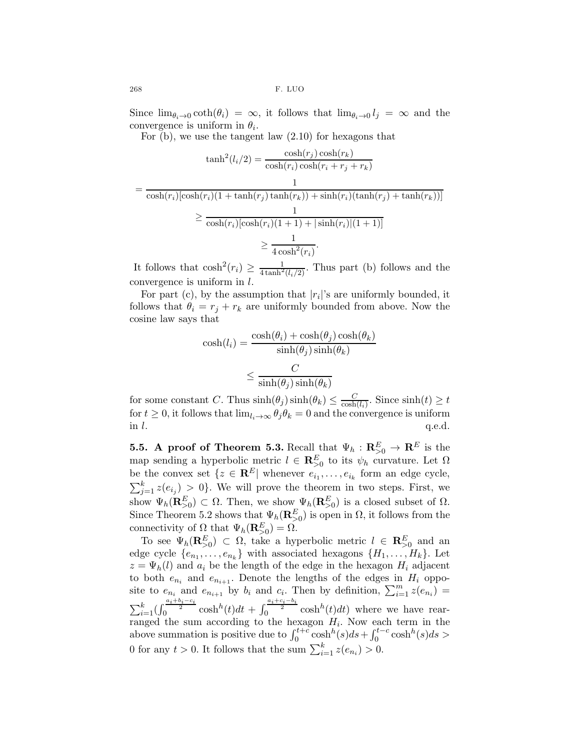Since  $\lim_{\theta_i\to 0} \coth(\theta_i) = \infty$ , it follows that  $\lim_{\theta_i\to 0} l_i = \infty$  and the convergence is uniform in  $\theta_i$ .

For (b), we use the tangent law (2.10) for hexagons that

$$
\tanh^2(l_i/2) = \frac{\cosh(r_j)\cosh(r_k)}{\cosh(r_i)\cosh(r_i + r_j + r_k)}
$$

$$
= \frac{1}{\cosh(r_i)[\cosh(r_i)(1 + \tanh(r_j)\tanh(r_k)) + \sinh(r_i)(\tanh(r_j) + \tanh(r_k))]}
$$

$$
\geq \frac{1}{\cosh(r_i)[\cosh(r_i)(1 + 1) + |\sinh(r_i)|(1 + 1)]}
$$

$$
\geq \frac{1}{4\cosh^2(r_i)}.
$$

It follows that  $\cosh^2(r_i) \geq \frac{1}{4 \tanh^2(l_i/2)}$ . Thus part (b) follows and the convergence is uniform in l.

For part (c), by the assumption that  $|r_i|$ 's are uniformly bounded, it follows that  $\theta_i = r_j + r_k$  are uniformly bounded from above. Now the cosine law says that

$$
\cosh(l_i) = \frac{\cosh(\theta_i) + \cosh(\theta_j)\cosh(\theta_k)}{\sinh(\theta_j)\sinh(\theta_k)}
$$

$$
\leq \frac{C}{\sinh(\theta_j)\sinh(\theta_k)}
$$

for some constant C. Thus  $sinh(\theta_j) sinh(\theta_k) \leq \frac{C}{cosh}$  $\frac{C}{\cosh(l_i)}$ . Since  $\sinh(t) \geq t$ for  $t \geq 0$ , it follows that  $\lim_{l_i \to \infty} \theta_j \theta_k = 0$  and the convergence is uniform in l. in  $l$ .  $q.e.d.$ 

**5.5.** A proof of Theorem 5.3. Recall that  $\Psi_h : \mathbf{R}_{>0}^E \to \mathbf{R}^E$  is the map sending a hyperbolic metric  $l \in \mathbb{R}^E_{>0}$  to its  $\psi_h$  curvature. Let  $\Omega$ be the convex set  $\{z \in \mathbf{R}^E | \text{ whenever } e_{i_1}, \ldots, e_{i_k} \text{ form an edge cycle,}\}$  $\sum_{j=1}^{k} z(e_{i_j}) > 0$ . We will prove the theorem in two steps. First, we show  $\Psi_h(\mathbf{R}_{>0}^E) \subset \Omega$ . Then, we show  $\Psi_h(\mathbf{R}_{>0}^E)$  is a closed subset of  $\Omega$ . Since Theorem 5.2 shows that  $\Psi_h(\mathbf{R}_{>0}^E)$  is open in  $\Omega$ , it follows from the connectivity of  $\Omega$  that  $\Psi_h(\mathbf{R}_{>0}^E) = \Omega$ .

To see  $\Psi_h(\mathbf{R}_{>0}^E) \subset \Omega$ , take a hyperbolic metric  $l \in \mathbf{R}_{>0}^E$  and an edge cycle  $\{e_{n_1}, \ldots, e_{n_k}\}\$  with associated hexagons  $\{H_1, \ldots, H_k\}\$ . Let  $z = \Psi_h(l)$  and  $a_i$  be the length of the edge in the hexagon  $H_i$  adjacent to both  $e_{n_i}$  and  $e_{n_{i+1}}$ . Denote the lengths of the edges in  $H_i$  opposite to  $e_{n_i}$  and  $e_{n_{i+1}}$  by  $b_i$  and  $c_i$ . Then by definition,  $\sum_{i=1}^{m} z(e_{n_i}) =$  $\sum_{i=1}^k \left(\int_0^{\frac{a_i+b_i-c_i}{2}} \cosh^h(t)dt + \int_0^{\frac{a_i+c_i-b_i}{2}} \cosh^h(t)dt\right)$  where we have rearranged the sum according to the hexagon  $H_i$ . Now each term in the above summation is positive due to  $\int_0^{t+c} \cosh^h(s)ds + \int_0^{t-c} \cosh^h(s)ds >$ 0 for any  $t > 0$ . It follows that the sum  $\sum_{i=1}^{k} z(e_{n_i}) > 0$ .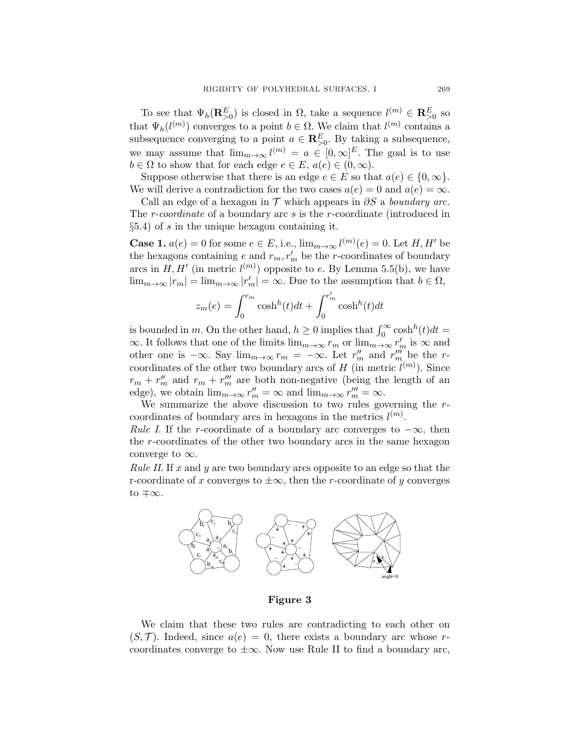To see that  $\Psi_h(\mathbf{R}_{>0}^E)$  is closed in  $\Omega$ , take a sequence  $l^{(m)} \in \mathbf{R}_{>0}^E$  so that  $\Psi_h(l^{(m)})$  converges to a point  $b \in \Omega$ . We claim that  $l^{(m)}$  contains a subsequence converging to a point  $a \in \mathbb{R}_{\geq 0}^E$ . By taking a subsequence, we may assume that  $\lim_{m\to\infty} l^{(m)} = a \in [0,\infty]^E$ . The goal is to use  $b \in \Omega$  to show that for each edge  $e \in E$ ,  $a(e) \in (0,\infty)$ .

Suppose otherwise that there is an edge  $e \in E$  so that  $a(e) \in \{0, \infty\}.$ We will derive a contradiction for the two cases  $a(e) = 0$  and  $a(e) = \infty$ .

Call an edge of a hexagon in  $\mathcal T$  which appears in  $\partial S$  a boundary arc. The *r-coordinate* of a boundary arc *s* is the *r*-coordinate (introduced in  $\S5.4$ ) of s in the unique hexagon containing it.

**Case 1.**  $a(e) = 0$  for some  $e \in E$ , i.e.,  $\lim_{m \to \infty} l^{(m)}(e) = 0$ . Let  $H, H'$  be the hexagons containing  $e$  and  $r_m$ ,  $r'_m$  be the *r*-coordinates of boundary arcs in  $H, H'$  (in metric  $l^{(m)}$ ) opposite to e. By Lemma 5.5(b), we have  $\lim_{m\to\infty}|r_m|=\lim_{m\to\infty}|r_m'|=\infty.$  Due to the assumption that  $b\in\Omega$ ,

$$
z_m(e) = \int_0^{r_m} \cosh^h(t)dt + \int_0^{r'_m} \cosh^h(t)dt
$$

is bounded in m. On the other hand,  $h \geq 0$  implies that  $\int_0^\infty \cosh^h(t)dt =$  $\infty$ . It follows that one of the limits  $\lim_{m\to\infty} r_m$  or  $\lim_{m\to\infty} r'_m$  is  $\infty$  and other one is  $-\infty$ . Say  $\lim_{m\to\infty} r_m = -\infty$ . Let  $r''_m$  and  $r'''_m$  be the rcoordinates of the other two boundary arcs of  $H$  (in metric  $l^{(m)}$ ). Since  $r_m + r''_m$  and  $r_m + r'''_m$  are both non-negative (being the length of an edge), we obtain  $\lim_{m\to\infty} r''_m = \infty$  and  $\lim_{m\to\infty} r'''_m = \infty$ .

We summarize the above discussion to two rules governing the rcoordinates of boundary arcs in hexagons in the metrics  $l^{(m)}$ .

Rule I. If the r-coordinate of a boundary arc converges to  $-\infty$ , then the r-coordinates of the other two boundary arcs in the same hexagon converge to  $\infty$ .

*Rule II.* If  $x$  and  $y$  are two boundary arcs opposite to an edge so that the r-coordinate of x converges to  $\pm \infty$ , then the r-coordinate of y converges to ∓∞.



Figure 3

We claim that these two rules are contradicting to each other on  $(S, \mathcal{T})$ . Indeed, since  $a(e) = 0$ , there exists a boundary arc whose rcoordinates converge to  $\pm \infty$ . Now use Rule II to find a boundary arc,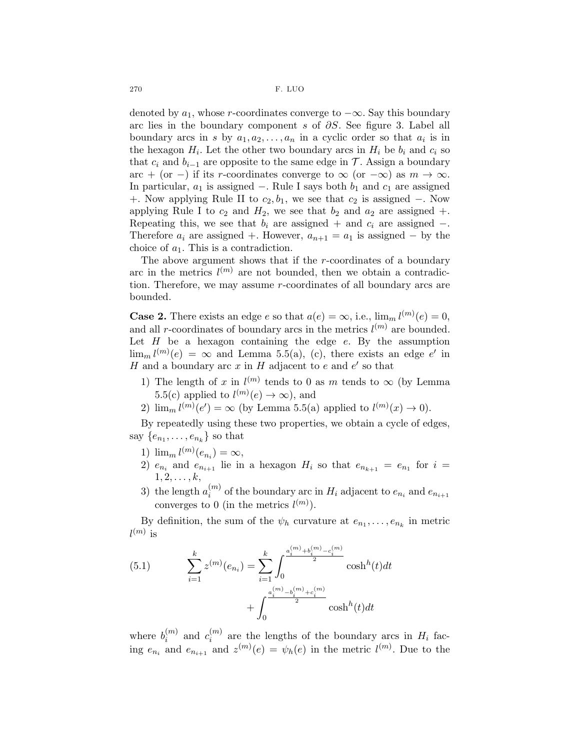denoted by  $a_1$ , whose r-coordinates converge to  $-\infty$ . Say this boundary arc lies in the boundary component s of  $\partial S$ . See figure 3. Label all boundary arcs in s by  $a_1, a_2, \ldots, a_n$  in a cyclic order so that  $a_i$  is in the hexagon  $H_i$ . Let the other two boundary arcs in  $H_i$  be  $b_i$  and  $c_i$  so that  $c_i$  and  $b_{i-1}$  are opposite to the same edge in  $\mathcal T$ . Assign a boundary arc + (or -) if its r-coordinates converge to  $\infty$  (or  $-\infty$ ) as  $m \to \infty$ . In particular,  $a_1$  is assigned −. Rule I says both  $b_1$  and  $c_1$  are assigned +. Now applying Rule II to  $c_2, b_1$ , we see that  $c_2$  is assigned −. Now applying Rule I to  $c_2$  and  $H_2$ , we see that  $b_2$  and  $a_2$  are assigned  $+$ . Repeating this, we see that  $b_i$  are assigned + and  $c_i$  are assigned -. Therefore  $a_i$  are assigned +. However,  $a_{n+1} = a_1$  is assigned – by the choice of  $a_1$ . This is a contradiction.

The above argument shows that if the  $r$ -coordinates of a boundary arc in the metrics  $l^{(m)}$  are not bounded, then we obtain a contradiction. Therefore, we may assume r-coordinates of all boundary arcs are bounded.

**Case 2.** There exists an edge e so that  $a(e) = \infty$ , i.e.,  $\lim_{n \to \infty} l^{(m)}(e) = 0$ , and all r-coordinates of boundary arcs in the metrics  $l^{(m)}$  are bounded. Let  $H$  be a hexagon containing the edge  $e$ . By the assumption  $\lim_{m} l^{(m)}(e) = \infty$  and Lemma 5.5(a), (c), there exists an edge e' in  $H$  and a boundary arc  $x$  in  $H$  adjacent to  $e$  and  $e'$  so that

- 1) The length of x in  $l^{(m)}$  tends to 0 as m tends to  $\infty$  (by Lemma 5.5(c) applied to  $l^{(m)}(e) \to \infty$ , and
- 2)  $\lim_{m} l^{(m)}(e') = \infty$  (by Lemma 5.5(a) applied to  $l^{(m)}(x) \to 0$ ).

By repeatedly using these two properties, we obtain a cycle of edges, say  $\{e_{n_1}, \ldots, e_{n_k}\}$  so that

- 1)  $\lim_{m} l^{(m)}(e_{n_i}) = \infty,$
- 2)  $e_{n_i}$  and  $e_{n_{i+1}}$  lie in a hexagon  $H_i$  so that  $e_{n_{k+1}} = e_{n_1}$  for  $i =$  $1, 2, \ldots, k,$
- 3) the length  $a_i^{(m)}$  $\binom{m}{i}$  of the boundary arc in  $H_i$  adjacent to  $e_{n_i}$  and  $e_{n_{i+1}}$ converges to 0 (in the metrics  $l^{(m)}$ ).

By definition, the sum of the  $\psi_h$  curvature at  $e_{n_1}, \ldots, e_{n_k}$  in metric  $l^{(m)}$  is

(5.1) 
$$
\sum_{i=1}^{k} z^{(m)}(e_{n_i}) = \sum_{i=1}^{k} \int_{0}^{\frac{a_i^{(m)} + b_i^{(m)} - c_i^{(m)}}{2}} \cosh^{h}(t)dt + \int_{0}^{\frac{a_i^{(m)} - b_i^{(m)} + c_i^{(m)}}{2}} \cosh^{h}(t)dt
$$

where  $b_i^{(m)}$  $\binom{m}{i}$  and  $c_i^{(m)}$  $\binom{m}{i}$  are the lengths of the boundary arcs in  $H_i$  facing  $e_{n_i}$  and  $e_{n_{i+1}}$  and  $z^{(m)}(e) = \psi_h(e)$  in the metric  $l^{(m)}$ . Due to the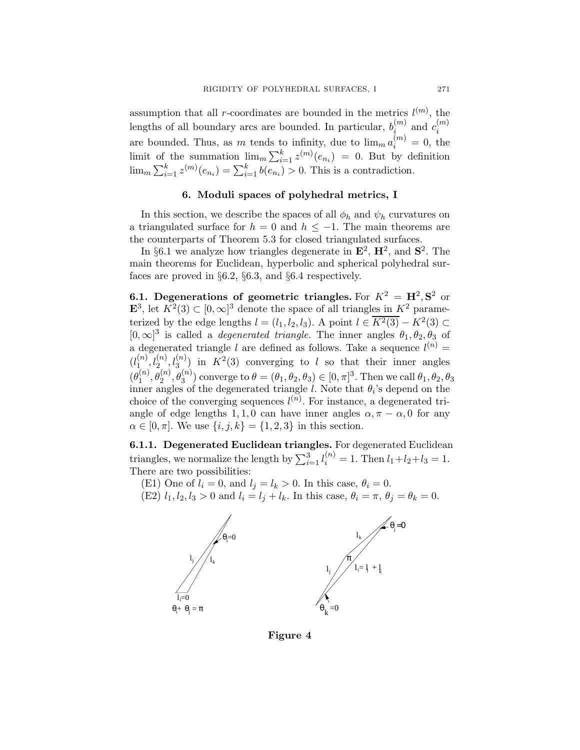assumption that all r-coordinates are bounded in the metrics  $l^{(m)}$ , the lengths of all boundary arcs are bounded. In particular,  $b_i^{(m)}$  $\binom{m}{i}$  and  $c_i^{(m)}$ i are bounded. Thus, as m tends to infinity, due to  $\lim_{m} a_i^{(m)} = 0$ , the limit of the summation  $\lim_{m} \sum_{i=1}^{k} z^{(m)}(e_{n_i}) = 0$ . But by definition  $\lim_{m} \sum_{i=1}^{k} z^{(m)}(e_{n_i}) = \sum_{i=1}^{k} b(e_{n_i}) > 0$ . This is a contradiction.

### 6. Moduli spaces of polyhedral metrics, I

In this section, we describe the spaces of all  $\phi_h$  and  $\psi_h$  curvatures on a triangulated surface for  $h = 0$  and  $h \le -1$ . The main theorems are the counterparts of Theorem 5.3 for closed triangulated surfaces.

In §6.1 we analyze how triangles degenerate in  $\mathbf{E}^2$ ,  $\mathbf{H}^2$ , and  $\mathbf{S}^2$ . The main theorems for Euclidean, hyperbolic and spherical polyhedral surfaces are proved in §6.2, §6.3, and §6.4 respectively.

6.1. Degenerations of geometric triangles. For  $K^2 = H^2$ ,  $S^2$  or  $\mathbf{E}^3$ , let  $K^2(3) \subset [0,\infty]^3$  denote the space of all triangles in  $K^2$  parameterized by the edge lengths  $l = (l_1, l_2, l_3)$ . A point  $l \in \overline{K^2(3)} - K^2(3) \subset$  $[0, \infty]^3$  is called a *degenerated triangle*. The inner angles  $\theta_1, \theta_2, \theta_3$  of a degenerated triangle l are defined as follows. Take a sequence  $l^{(n)}$  =  $(l_1^{(n)}$  $\binom{n}{1}, \binom{n}{2}, \binom{n}{3}$  in  $K^2(3)$  converging to l so that their inner angles  $(\theta_1^{(n)}$  $\mathcal{L}_1^{(n)}, \theta_2^{(n)}, \theta_3^{(n)}$  converge to  $\theta = (\theta_1, \theta_2, \theta_3) \in [0, \pi]^3$ . Then we call  $\theta_1, \theta_2, \theta_3$ inner angles of the degenerated triangle  $l$ . Note that  $\theta_i$ 's depend on the choice of the converging sequences  $l^{(n)}$ . For instance, a degenerated triangle of edge lengths 1, 1, 0 can have inner angles  $\alpha, \pi - \alpha$ , 0 for any  $\alpha \in [0, \pi]$ . We use  $\{i, j, k\} = \{1, 2, 3\}$  in this section.

6.1.1. Degenerated Euclidean triangles. For degenerated Euclidean triangles, we normalize the length by  $\sum_{i=1}^{3} l_i^{(n)} = 1$ . Then  $l_1 + l_2 + l_3 = 1$ . There are two possibilities:

(E1) One of  $l_i = 0$ , and  $l_j = l_k > 0$ . In this case,  $\theta_i = 0$ .

(E2)  $l_1, l_2, l_3 > 0$  and  $l_i = l_j + l_k$ . In this case,  $\theta_i = \pi$ ,  $\theta_j = \theta_k = 0$ .



Figure 4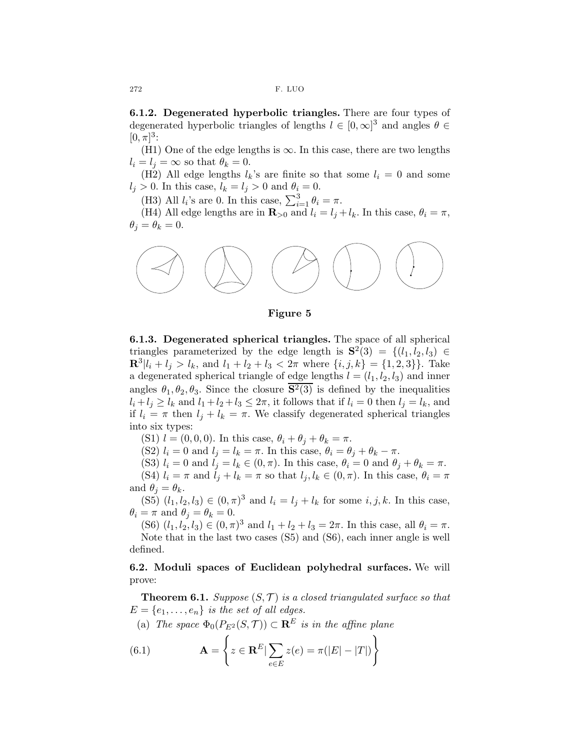6.1.2. Degenerated hyperbolic triangles. There are four types of degenerated hyperbolic triangles of lengths  $l \in [0, \infty]^3$  and angles  $\theta \in$  $[0, \pi]^3$ :

(H1) One of the edge lengths is  $\infty$ . In this case, there are two lengths  $l_i = l_j = \infty$  so that  $\theta_k = 0$ .

(H2) All edge lengths  $l_k$ 's are finite so that some  $l_i = 0$  and some  $l_j > 0$ . In this case,  $l_k = l_j > 0$  and  $\theta_i = 0$ .

(H3) All  $l_i$ 's are 0. In this case,  $\sum_{i=1}^{3} \theta_i = \pi$ .

(H4) All edge lengths are in  $\mathbf{R}_{>0}$  and  $l_i = l_j + l_k$ . In this case,  $\theta_i = \pi$ ,  $\theta_i = \theta_k = 0.$ 



Figure 5

6.1.3. Degenerated spherical triangles. The space of all spherical triangles parameterized by the edge length is  $S^2(3) = \{(l_1, l_2, l_3) \in \mathbb{R}^3 : |l_1| \leq l_2\}$  $\mathbf{R}^{3}|l_i + l_j > l_k$ , and  $l_1 + l_2 + l_3 < 2\pi$  where  $\{i, j, k\} = \{1, 2, 3\}$ . Take a degenerated spherical triangle of edge lengths  $l = (l_1, l_2, l_3)$  and inner angles  $\theta_1, \theta_2, \theta_3$ . Since the closure  $S^2(3)$  is defined by the inequalities  $l_i + l_j \geq l_k$  and  $l_1 + l_2 + l_3 \leq 2\pi$ , it follows that if  $l_i = 0$  then  $l_j = l_k$ , and if  $l_i = \pi$  then  $l_j + l_k = \pi$ . We classify degenerated spherical triangles into six types:

(S1)  $l = (0, 0, 0)$ . In this case,  $\theta_i + \theta_j + \theta_k = \pi$ .

(S2)  $l_i = 0$  and  $l_j = l_k = \pi$ . In this case,  $\theta_i = \theta_j + \theta_k - \pi$ .

(S3)  $l_i = 0$  and  $l_j = l_k \in (0, \pi)$ . In this case,  $\theta_i = 0$  and  $\theta_j + \theta_k = \pi$ .

(S4)  $l_i = \pi$  and  $l_j + l_k = \pi$  so that  $l_j, l_k \in (0, \pi)$ . In this case,  $\theta_i = \pi$ and  $\theta_i = \theta_k$ .

(S5)  $(l_1, l_2, l_3) \in (0, \pi)^3$  and  $l_i = l_j + l_k$  for some  $i, j, k$ . In this case,  $\theta_i = \pi$  and  $\theta_i = \theta_k = 0$ .

(S6)  $(l_1, l_2, l_3) \in (0, \pi)^3$  and  $l_1 + l_2 + l_3 = 2\pi$ . In this case, all  $\theta_i = \pi$ . Note that in the last two cases (S5) and (S6), each inner angle is well defined.

6.2. Moduli spaces of Euclidean polyhedral surfaces. We will prove:

**Theorem 6.1.** Suppose  $(S, \mathcal{T})$  is a closed triangulated surface so that  $E = \{e_1, \ldots, e_n\}$  is the set of all edges.

(a) The space  $\Phi_0(P_{E^2}(S,\mathcal{T})) \subset \mathbf{R}^E$  is in the affine plane

(6.1) 
$$
\mathbf{A} = \left\{ z \in \mathbf{R}^E | \sum_{e \in E} z(e) = \pi(|E| - |T|) \right\}
$$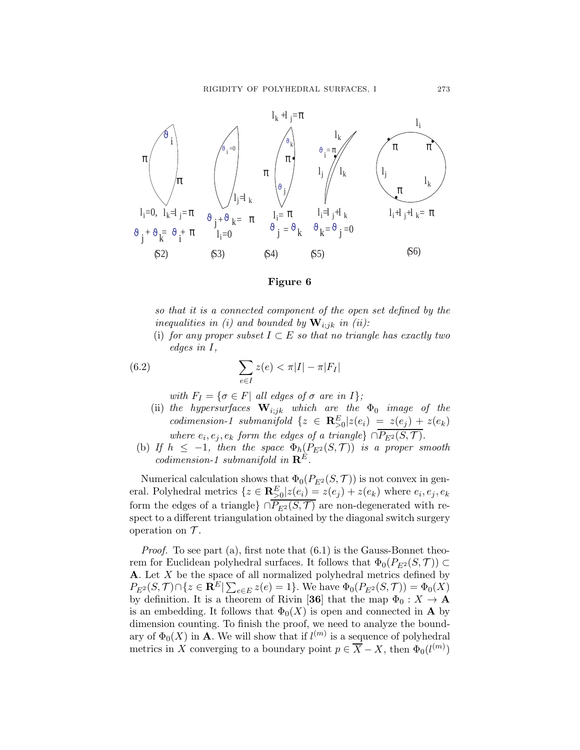

#### Figure 6

so that it is a connected component of the open set defined by the inequalities in (i) and bounded by  $\mathbf{W}_{i:jk}$  in (ii):

(i) for any proper subset  $I \subset E$  so that no triangle has exactly two edges in I,

(6.2) 
$$
\sum_{e \in I} z(e) < \pi |I| - \pi |F_I|
$$

with  $F_I = \{ \sigma \in F \mid \text{all edges of } \sigma \text{ are in } I \};$ 

- (ii) the hypersurfaces  $\mathbf{W}_{i;jk}$  which are the  $\Phi_0$  image of the codimension-1 submanifold  $\{z \in \mathbf{R}_{>0}^E | z(e_i) = z(e_j) + z(e_k) \}$ where  $e_i, e_j, e_k$  form the edges of a triangle}  $\cap P_{E^2}(S, \mathcal{T})$ .
- (b) If  $h \leq -1$ , then the space  $\Phi_h(P_{E^2}(S, \mathcal{T}))$  is a proper smooth codimension-1 submanifold in  $\mathbf{R}^E$ .

Numerical calculation shows that  $\Phi_0(P_{E^2}(S, \mathcal{T}))$  is not convex in general. Polyhedral metrics  $\{z \in \mathbf{R}_{\geq 0}^E | z(e_i) = z(e_j) + z(e_k) \text{ where } e_i, e_j, e_k\}$ form the edges of a triangle}  $\cap \overline{P_{E^2}(S,\mathcal{T})}$  are non-degenerated with respect to a different triangulation obtained by the diagonal switch surgery operation on  $\mathcal{T}$ .

Proof. To see part (a), first note that (6.1) is the Gauss-Bonnet theorem for Euclidean polyhedral surfaces. It follows that  $\Phi_0(P_{E^2}(S, \mathcal{T})) \subset$ **A**. Let  $X$  be the space of all normalized polyhedral metrics defined by  $P_{E^2}(S, \mathcal{T}) \cap \{z \in \mathbf{R}^E | \sum_{e \in E} z(e) = 1\}.$  We have  $\Phi_0(P_{E^2}(S, \mathcal{T})) = \Phi_0(X)$ by definition. It is a theorem of Rivin [36] that the map  $\Phi_0: X \to \mathbf{A}$ is an embedding. It follows that  $\Phi_0(X)$  is open and connected in **A** by dimension counting. To finish the proof, we need to analyze the boundary of  $\Phi_0(X)$  in **A**. We will show that if  $l^{(m)}$  is a sequence of polyhedral metrics in X converging to a boundary point  $p \in \overline{X} - X$ , then  $\Phi_0(l^{(m)})$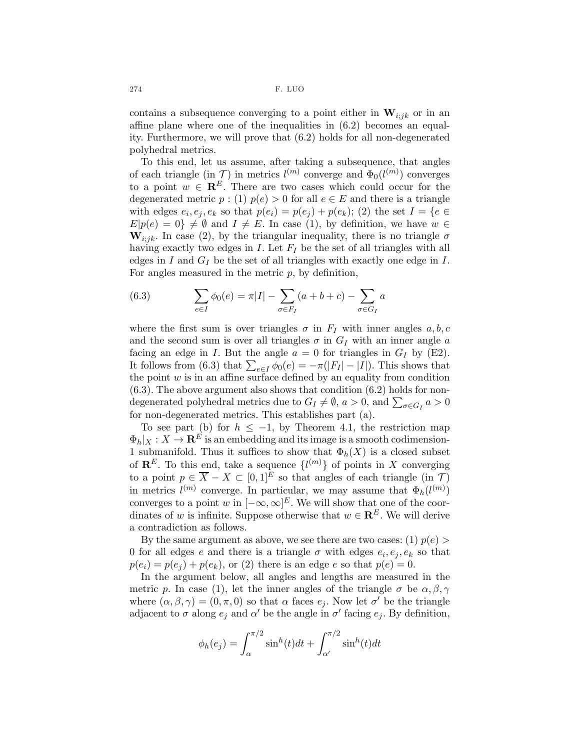274 F. LUO

contains a subsequence converging to a point either in  $\mathbf{W}_{i;jk}$  or in an affine plane where one of the inequalities in (6.2) becomes an equality. Furthermore, we will prove that (6.2) holds for all non-degenerated polyhedral metrics.

To this end, let us assume, after taking a subsequence, that angles of each triangle (in  $\mathcal{T}$ ) in metrics  $l^{(m)}$  converge and  $\Phi_0(l^{(m)})$  converges to a point  $w \in \mathbb{R}^E$ . There are two cases which could occur for the degenerated metric  $p:(1)$   $p(e) > 0$  for all  $e \in E$  and there is a triangle with edges  $e_i, e_j, e_k$  so that  $p(e_i) = p(e_j) + p(e_k)$ ; (2) the set  $I = \{e \in$  $E|p(e) = 0$   $\neq \emptyset$  and  $I \neq E$ . In case (1), by definition, we have  $w \in$  $W_{i:jk}$ . In case (2), by the triangular inequality, there is no triangle  $\sigma$ having exactly two edges in  $I$ . Let  $F_I$  be the set of all triangles with all edges in  $I$  and  $G_I$  be the set of all triangles with exactly one edge in  $I$ . For angles measured in the metric  $p$ , by definition,

(6.3) 
$$
\sum_{e \in I} \phi_0(e) = \pi |I| - \sum_{\sigma \in F_I} (a + b + c) - \sum_{\sigma \in G_I} a
$$

where the first sum is over triangles  $\sigma$  in  $F_I$  with inner angles  $a, b, c$ and the second sum is over all triangles  $\sigma$  in  $G_I$  with an inner angle a facing an edge in I. But the angle  $a = 0$  for triangles in  $G_I$  by (E2). It follows from (6.3) that  $\sum_{e \in I} \phi_0(e) = -\pi(|F_I| - |I|)$ . This shows that the point  $w$  is in an affine surface defined by an equality from condition (6.3). The above argument also shows that condition (6.2) holds for nondegenerated polyhedral metrics due to  $G_I \neq \emptyset$ ,  $a > 0$ , and  $\sum_{\sigma \in G_I} a > 0$ for non-degenerated metrics. This establishes part (a).

To see part (b) for  $h \leq -1$ , by Theorem 4.1, the restriction map  $\Phi_h|_X : X \to \mathbf{R}^E$  is an embedding and its image is a smooth codimension-1 submanifold. Thus it suffices to show that  $\Phi_h(X)$  is a closed subset of  $\mathbf{R}^E$ . To this end, take a sequence  $\{l^{(m)}\}$  of points in X converging to a point  $p \in \overline{X} - X \subset [0,1]^E$  so that angles of each triangle (in T) in metrics  $l^{(m)}$  converge. In particular, we may assume that  $\Phi_h(l^{(m)})$ converges to a point w in  $[-\infty,\infty]^E$ . We will show that one of the coordinates of w is infinite. Suppose otherwise that  $w \in \mathbb{R}^E$ . We will derive a contradiction as follows.

By the same argument as above, we see there are two cases: (1)  $p(e)$ 0 for all edges e and there is a triangle  $\sigma$  with edges  $e_i, e_j, e_k$  so that  $p(e_i) = p(e_i) + p(e_k)$ , or (2) there is an edge e so that  $p(e) = 0$ .

In the argument below, all angles and lengths are measured in the metric p. In case (1), let the inner angles of the triangle  $\sigma$  be  $\alpha, \beta, \gamma$ where  $(\alpha, \beta, \gamma) = (0, \pi, 0)$  so that  $\alpha$  faces  $e_j$ . Now let  $\sigma'$  be the triangle adjacent to  $\sigma$  along  $e_j$  and  $\alpha'$  be the angle in  $\sigma'$  facing  $e_j$ . By definition,

$$
\phi_h(e_j) = \int_{\alpha}^{\pi/2} \sin^h(t)dt + \int_{\alpha'}^{\pi/2} \sin^h(t)dt
$$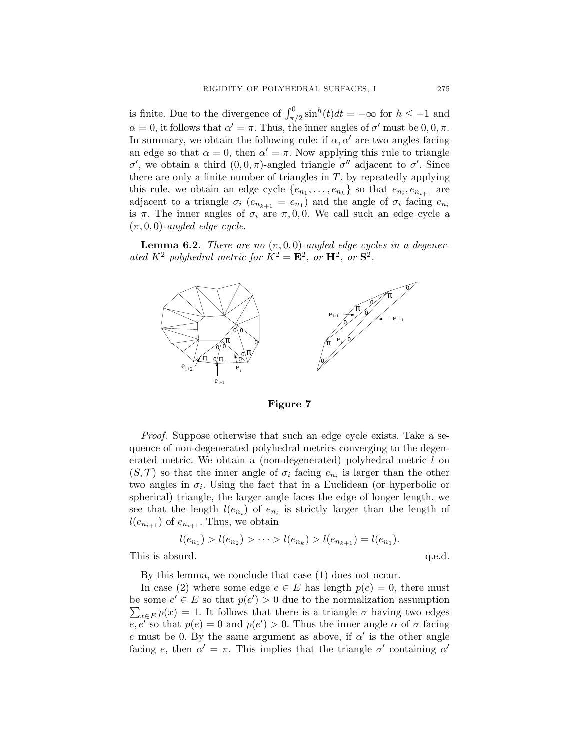is finite. Due to the divergence of  $\int_{\pi/2}^{0} \sin^{h}(t)dt = -\infty$  for  $h \le -1$  and  $\alpha = 0$ , it follows that  $\alpha' = \pi$ . Thus, the inner angles of  $\sigma'$  must be  $0, 0, \pi$ . In summary, we obtain the following rule: if  $\alpha, \alpha'$  are two angles facing an edge so that  $\alpha = 0$ , then  $\alpha' = \pi$ . Now applying this rule to triangle σ', we obtain a third  $(0,0,\pi)$ -angled triangle σ'' adjacent to σ'. Since there are only a finite number of triangles in  $T$ , by repeatedly applying this rule, we obtain an edge cycle  $\{e_{n_1}, \ldots, e_{n_k}\}$  so that  $e_{n_i}, e_{n_{i+1}}$  are adjacent to a triangle  $\sigma_i$  ( $e_{n_{k+1}} = e_{n_1}$ ) and the angle of  $\sigma_i$  facing  $e_{n_i}$ is  $\pi$ . The inner angles of  $\sigma_i$  are  $\pi$ , 0, 0. We call such an edge cycle a  $(\pi, 0, 0)$ -angled edge cycle.

**Lemma 6.2.** There are no  $(\pi, 0, 0)$ -angled edge cycles in a degenerated  $K^2$  polyhedral metric for  $K^2 = \mathbf{E}^2$ , or  $\mathbf{H}^2$ , or  $\mathbf{S}^2$ .



Figure 7

Proof. Suppose otherwise that such an edge cycle exists. Take a sequence of non-degenerated polyhedral metrics converging to the degenerated metric. We obtain a (non-degenerated) polyhedral metric l on  $(S, \mathcal{T})$  so that the inner angle of  $\sigma_i$  facing  $e_{n_i}$  is larger than the other two angles in  $\sigma_i$ . Using the fact that in a Euclidean (or hyperbolic or spherical) triangle, the larger angle faces the edge of longer length, we see that the length  $l(e_{n_i})$  of  $e_{n_i}$  is strictly larger than the length of  $l(e_{n_{i+1}})$  of  $e_{n_{i+1}}$ . Thus, we obtain

$$
l(e_{n_1}) > l(e_{n_2}) > \cdots > l(e_{n_k}) > l(e_{n_{k+1}}) = l(e_{n_1}).
$$

This is absurd.  $q.e.d.$ 

By this lemma, we conclude that case (1) does not occur.

In case (2) where some edge  $e \in E$  has length  $p(e) = 0$ , there must be some  $e' \in E$  so that  $p(e') > 0$  due to the normalization assumption  $\sum_{x \in E} p(x) = 1$ . It follows that there is a triangle  $\sigma$  having two edges  $\overline{e, e'}$  so that  $p(e) = 0$  and  $p(e') > 0$ . Thus the inner angle  $\alpha$  of  $\sigma$  facing e must be 0. By the same argument as above, if  $\alpha'$  is the other angle facing e, then  $\alpha' = \pi$ . This implies that the triangle  $\sigma'$  containing  $\alpha'$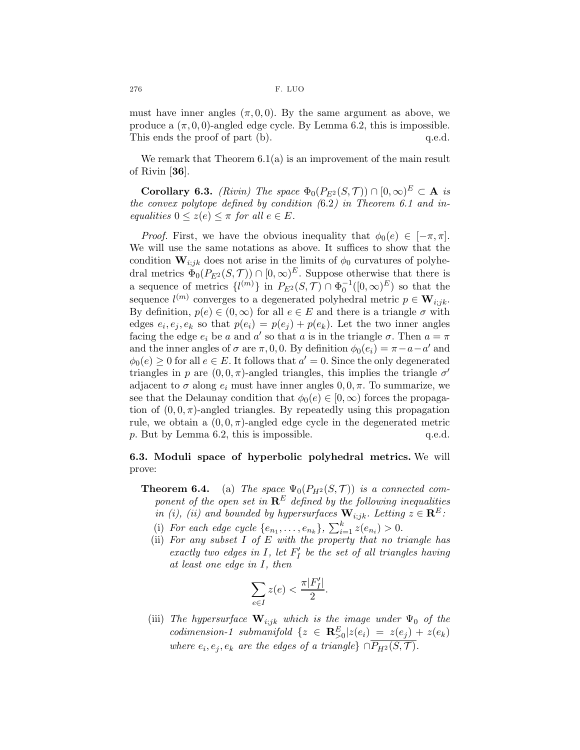must have inner angles  $(\pi, 0, 0)$ . By the same argument as above, we produce a  $(\pi, 0, 0)$ -angled edge cycle. By Lemma 6.2, this is impossible. This ends the proof of part (b).  $q.e.d.$ 

We remark that Theorem 6.1(a) is an improvement of the main result of Rivin [36].

**Corollary 6.3.** (Rivin) The space  $\Phi_0(P_{E^2}(S, \mathcal{T})) \cap [0, \infty)^E \subset \mathbf{A}$  is the convex polytope defined by condition  $(6.2)$  in Theorem 6.1 and inequalities  $0 \leq z(e) \leq \pi$  for all  $e \in E$ .

*Proof.* First, we have the obvious inequality that  $\phi_0(e) \in [-\pi, \pi]$ . We will use the same notations as above. It suffices to show that the condition  $\mathbf{W}_{i,jk}$  does not arise in the limits of  $\phi_0$  curvatures of polyhedral metrics  $\Phi_0(P_{E^2}(S,\mathcal{T})) \cap [0,\infty)^E$ . Suppose otherwise that there is a sequence of metrics  $\{l^{(m)}\}$  in  $P_{E^2}(S, \mathcal{T}) \cap \Phi_0^{-1}([0, \infty)^E)$  so that the sequence  $l^{(m)}$  converges to a degenerated polyhedral metric  $p \in \mathbf{W}_{i,jk}$ . By definition,  $p(e) \in (0, \infty)$  for all  $e \in E$  and there is a triangle  $\sigma$  with edges  $e_i, e_j, e_k$  so that  $p(e_i) = p(e_j) + p(e_k)$ . Let the two inner angles facing the edge  $e_i$  be a and a' so that a is in the triangle  $\sigma$ . Then  $a = \pi$ and the inner angles of  $\sigma$  are  $\pi$ , 0, 0. By definition  $\phi_0(e_i) = \pi - a - a'$  and  $\phi_0(e) \geq 0$  for all  $e \in E$ . It follows that  $a' = 0$ . Since the only degenerated triangles in p are  $(0,0,\pi)$ -angled triangles, this implies the triangle  $\sigma'$ adjacent to  $\sigma$  along  $e_i$  must have inner angles  $0, 0, \pi$ . To summarize, we see that the Delaunay condition that  $\phi_0(e) \in [0,\infty)$  forces the propagation of  $(0, 0, \pi)$ -angled triangles. By repeatedly using this propagation rule, we obtain a  $(0, 0, \pi)$ -angled edge cycle in the degenerated metric p. But by Lemma 6.2, this is impossible.  $q.e.d.$ 

## 6.3. Moduli space of hyperbolic polyhedral metrics. We will prove:

**Theorem 6.4.** (a) The space  $\Psi_0(P_{H^2}(S, \mathcal{T}))$  is a connected component of the open set in  $\mathbb{R}^E$  defined by the following inequalities in (i), (ii) and bounded by hypersurfaces  $\mathbf{W}_{i,jk}$ . Letting  $z \in \mathbb{R}^E$ :

- (i) For each edge cycle  $\{e_{n_1},...,e_{n_k}\}, \sum_{i=1}^k z(e_{n_i}) > 0.$
- (ii) For any subset  $I$  of  $E$  with the property that no triangle has exactly two edges in  $I$ , let  $F'_{I}$  be the set of all triangles having at least one edge in I, then

$$
\sum_{e \in I} z(e) < \frac{\pi |F'_I|}{2}.
$$

(iii) The hypersurface  $\mathbf{W}_{i,j,k}$  which is the image under  $\Psi_0$  of the codimension-1 submanifold  $\{z \in \mathbf{R}_{>0}^E | z(e_i) = z(e_j) + z(e_k) \}$ where  $e_i, e_j, e_k$  are the edges of a triangle}  $\cap P_{H^2}(S, \mathcal{T})$ .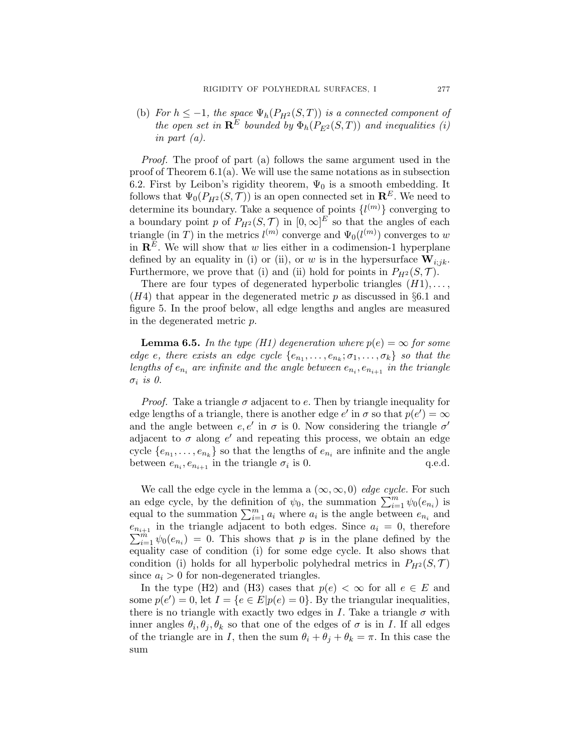(b) For  $h \leq -1$ , the space  $\Psi_h(P_{H^2}(S,T))$  is a connected component of the open set in  $\mathbf{R}^E$  bounded by  $\Phi_h(P_{F^2}(S,T))$  and inequalities (i) in part (a).

Proof. The proof of part (a) follows the same argument used in the proof of Theorem  $6.1(a)$ . We will use the same notations as in subsection 6.2. First by Leibon's rigidity theorem,  $\Psi_0$  is a smooth embedding. It follows that  $\Psi_0(P_{H^2}(S, \mathcal{T}))$  is an open connected set in  $\mathbb{R}^E$ . We need to determine its boundary. Take a sequence of points  $\{l^{(m)}\}$  converging to a boundary point p of  $P_{H^2}(S, \mathcal{T})$  in  $[0, \infty]^E$  so that the angles of each triangle (in T) in the metrics  $l^{(m)}$  converge and  $\Psi_0(l^{(m)})$  converges to w in  $\mathbb{R}^E$ . We will show that w lies either in a codimension-1 hyperplane defined by an equality in (i) or (ii), or w is in the hypersurface  $\mathbf{W}_{i;jk}$ . Furthermore, we prove that (i) and (ii) hold for points in  $P_{H^2}(S, \mathcal{T})$ .

There are four types of degenerated hyperbolic triangles  $(H1), \ldots,$  $(H4)$  that appear in the degenerated metric p as discussed in §6.1 and figure 5. In the proof below, all edge lengths and angles are measured in the degenerated metric p.

**Lemma 6.5.** In the type (H1) degeneration where  $p(e) = \infty$  for some edge e, there exists an edge cycle  $\{e_{n_1}, \ldots, e_{n_k}; \sigma_1, \ldots, \sigma_k\}$  so that the lengths of  $e_{n_i}$  are infinite and the angle between  $e_{n_i}, e_{n_{i+1}}$  in the triangle  $\sigma_i$  is 0.

*Proof.* Take a triangle  $\sigma$  adjacent to e. Then by triangle inequality for edge lengths of a triangle, there is another edge  $e'$  in  $\sigma$  so that  $p(e') = \infty$ and the angle between  $e, e'$  in  $\sigma$  is 0. Now considering the triangle  $\sigma'$ adjacent to  $\sigma$  along  $e'$  and repeating this process, we obtain an edge cycle  $\{e_{n_1}, \ldots, e_{n_k}\}$  so that the lengths of  $e_{n_i}$  are infinite and the angle between  $e_{n_i}, e_{n_{i+1}}$  in the triangle  $\sigma_i$ q.e.d.

We call the edge cycle in the lemma a  $(\infty, \infty, 0)$  edge cycle. For such an edge cycle, by the definition of  $\psi_0$ , the summation  $\sum_{i=1}^m \psi_0(e_{n_i})$  is equal to the summation  $\sum_{i=1}^{m} a_i$  where  $a_i$  is the angle between  $e_{n_i}$  and  $e_{n_{i+1}}$  in the triangle adjacent to both edges. Since  $a_i = 0$ , therefore  $\sum_{i=1}^{m} \psi_0(e_{n_i}) = 0$ . This shows that p is in the plane defined by the equality case of condition (i) for some edge cycle. It also shows that condition (i) holds for all hyperbolic polyhedral metrics in  $P_{H^2}(S, \mathcal{T})$ since  $a_i > 0$  for non-degenerated triangles.

In the type (H2) and (H3) cases that  $p(e) < \infty$  for all  $e \in E$  and some  $p(e') = 0$ , let  $I = \{e \in E | p(e) = 0\}$ . By the triangular inequalities, there is no triangle with exactly two edges in I. Take a triangle  $\sigma$  with inner angles  $\theta_i, \theta_j, \theta_k$  so that one of the edges of  $\sigma$  is in I. If all edges of the triangle are in I, then the sum  $\theta_i + \theta_j + \theta_k = \pi$ . In this case the sum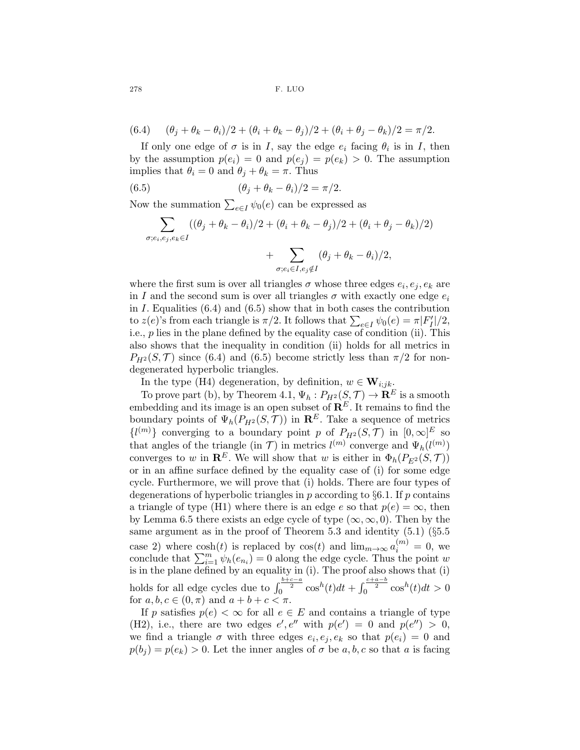278 F. LUO

(6.4) 
$$
(\theta_j + \theta_k - \theta_i)/2 + (\theta_i + \theta_k - \theta_j)/2 + (\theta_i + \theta_j - \theta_k)/2 = \pi/2.
$$

If only one edge of  $\sigma$  is in I, say the edge  $e_i$  facing  $\theta_i$  is in I, then by the assumption  $p(e_i) = 0$  and  $p(e_j) = p(e_k) > 0$ . The assumption implies that  $\theta_i = 0$  and  $\theta_j + \theta_k = \pi$ . Thus

(6.5) 
$$
(\theta_j + \theta_k - \theta_i)/2 = \pi/2.
$$

Now the summation  $\sum_{e \in I} \psi_0(e)$  can be expressed as

$$
\sum_{\sigma; e_i, e_j, e_k \in I} ((\theta_j + \theta_k - \theta_i)/2 + (\theta_i + \theta_k - \theta_j)/2 + (\theta_i + \theta_j - \theta_k)/2)
$$

$$
+\sum_{\sigma:e_i\in I,e_j\notin I}(\theta_j+\theta_k-\theta_i)/2,
$$

where the first sum is over all triangles  $\sigma$  whose three edges  $e_i, e_j, e_k$  are in I and the second sum is over all triangles  $\sigma$  with exactly one edge  $e_i$ in  $I$ . Equalities  $(6.4)$  and  $(6.5)$  show that in both cases the contribution to  $z(e)$ 's from each triangle is  $\pi/2$ . It follows that  $\sum_{e \in I} \psi_0(e) = \pi |F_I'|/2$ , i.e.,  $p$  lies in the plane defined by the equality case of condition (ii). This also shows that the inequality in condition (ii) holds for all metrics in  $P_{H^2}(S,\mathcal{T})$  since (6.4) and (6.5) become strictly less than  $\pi/2$  for nondegenerated hyperbolic triangles.

In the type (H4) degeneration, by definition,  $w \in W_{i,j,k}$ .

To prove part (b), by Theorem 4.1,  $\Psi_h: P_{H^2}(S, \mathcal{T}) \to \mathbf{R}^E$  is a smooth embedding and its image is an open subset of  $\mathbb{R}^E$ . It remains to find the boundary points of  $\Psi_h(P_{H^2}(S, \mathcal{T}))$  in  $\mathbb{R}^E$ . Take a sequence of metrics  $\{l^{(m)}\}$  converging to a boundary point p of  $P_{H^2}(S, \mathcal{T})$  in  $[0, \infty]^E$  so that angles of the triangle (in T) in metrics  $l^{(m)}$  converge and  $\Psi_h(l^{(m)})$ converges to w in  $\mathbb{R}^E$ . We will show that w is either in  $\Phi_h(P_{E^2}(S, \mathcal{T}))$ or in an affine surface defined by the equality case of (i) for some edge cycle. Furthermore, we will prove that (i) holds. There are four types of degenerations of hyperbolic triangles in  $p$  according to  $\S6.1$ . If  $p$  contains a triangle of type (H1) where there is an edge e so that  $p(e) = \infty$ , then by Lemma 6.5 there exists an edge cycle of type  $(\infty, \infty, 0)$ . Then by the same argument as in the proof of Theorem 5.3 and identity  $(5.1)$   $(\S 5.5)$ case 2) where  $\cosh(t)$  is replaced by  $\cos(t)$  and  $\lim_{m\to\infty} a_i^{(m)} = 0$ , we conclude that  $\sum_{i=1}^{m} \psi_h(e_{n_i}) = 0$  along the edge cycle. Thus the point w is in the plane defined by an equality in (i). The proof also shows that (i) holds for all edge cycles due to  $\int_0^{\frac{b+c-a}{2}} \cos^h(t)dt + \int_0^{\frac{c+a-b}{2}} \cos^h(t)dt > 0$ for  $a, b, c \in (0, \pi)$  and  $a + b + c < \pi$ .

If p satisfies  $p(e) < \infty$  for all  $e \in E$  and contains a triangle of type (H2), i.e., there are two edges  $e', e''$  with  $p(e') = 0$  and  $p(e'') > 0$ , we find a triangle  $\sigma$  with three edges  $e_i, e_j, e_k$  so that  $p(e_i) = 0$  and  $p(b_i) = p(e_k) > 0$ . Let the inner angles of  $\sigma$  be  $a, b, c$  so that  $a$  is facing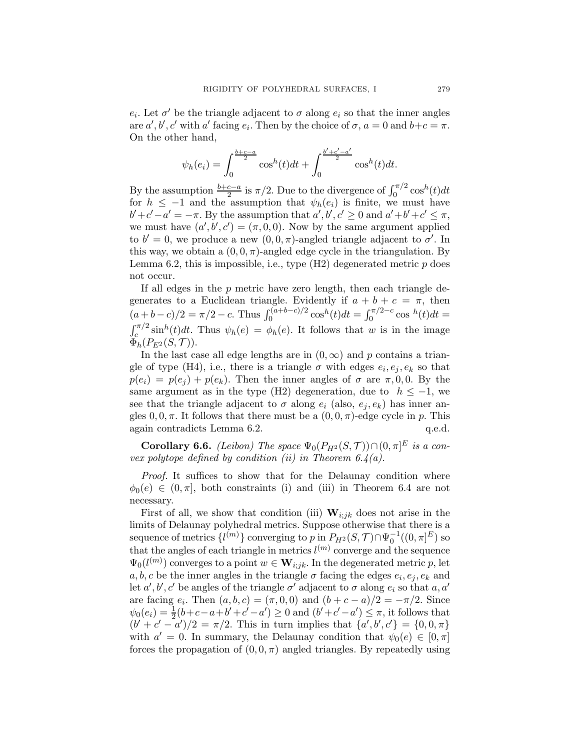$e_i$ . Let  $\sigma'$  be the triangle adjacent to  $\sigma$  along  $e_i$  so that the inner angles are  $a', b', c'$  with a' facing  $e_i$ . Then by the choice of  $\sigma$ ,  $a = 0$  and  $b+c = \pi$ . On the other hand,

$$
\psi_h(e_i) = \int_0^{\frac{b+c-a}{2}} \cos^h(t)dt + \int_0^{\frac{b'+c'-a'}{2}} \cos^h(t)dt.
$$

By the assumption  $\frac{b+c-a}{2}$  is  $\pi/2$ . Due to the divergence of  $\int_0^{\pi/2} \cos^h(t)dt$ for  $h \leq -1$  and the assumption that  $\psi_h(e_i)$  is finite, we must have  $b'+c'-a'=-\pi$ . By the assumption that  $a', b', c' \geq 0$  and  $a'+b'+c' \leq \pi$ , we must have  $(a', b', c') = (\pi, 0, 0)$ . Now by the same argument applied to  $b' = 0$ , we produce a new  $(0, 0, \pi)$ -angled triangle adjacent to  $\sigma'$ . In this way, we obtain a  $(0, 0, \pi)$ -angled edge cycle in the triangulation. By Lemma 6.2, this is impossible, i.e., type  $(H2)$  degenerated metric p does not occur.

If all edges in the  $p$  metric have zero length, then each triangle degenerates to a Euclidean triangle. Evidently if  $a + b + c = \pi$ , then  $(a+b-c)/2 = \pi/2 - c$ . Thus  $\int_0^{(a+b-c)/2} \cos^h(t) dt = \int_0^{\pi/2-c} \cos^h(t) dt =$  $\int_{c}^{\pi/2} \sinh(t) dt$ . Thus  $\psi_h(e) = \phi_h(e)$ . It follows that w is in the image  $\Phi_h(P_{E^2}(S, \mathcal{T})).$ 

In the last case all edge lengths are in  $(0, \infty)$  and p contains a triangle of type (H4), i.e., there is a triangle  $\sigma$  with edges  $e_i, e_j, e_k$  so that  $p(e_i) = p(e_i) + p(e_k)$ . Then the inner angles of  $\sigma$  are  $\pi, 0, 0$ . By the same argument as in the type (H2) degeneration, due to  $h \leq -1$ , we see that the triangle adjacent to  $\sigma$  along  $e_i$  (also,  $e_i, e_k$ ) has inner angles  $0, 0, \pi$ . It follows that there must be a  $(0, 0, \pi)$ -edge cycle in p. This again contradicts Lemma 6.2. q.e.d.

**Corollary 6.6.** *(Leibon)* The space  $\Psi_0(P_{H^2}(S, \mathcal{T})) \cap (0, \pi]^{E}$  is a convex polytope defined by condition (ii) in Theorem  $6.4(a)$ .

Proof. It suffices to show that for the Delaunay condition where  $\phi_0(e) \in (0, \pi]$ , both constraints (i) and (iii) in Theorem 6.4 are not necessary.

First of all, we show that condition (iii)  $W_{i,jk}$  does not arise in the limits of Delaunay polyhedral metrics. Suppose otherwise that there is a sequence of metrics  $\{l^{(m)}\}$  converging to  $p$  in  $P_{H^2}(S, \mathcal{T}) \cap \Psi_0^{-1}((0, \pi]^E)$  so that the angles of each triangle in metrics  $l^{(m)}$  converge and the sequence  $\Psi_0(l^{(m)})$  converges to a point  $w \in \mathbf{W}_{i,j,k}$ . In the degenerated metric p, let  $a, b, c$  be the inner angles in the triangle  $\sigma$  facing the edges  $e_i, e_j, e_k$  and let  $a', b', c'$  be angles of the triangle  $\sigma'$  adjacent to  $\sigma$  along  $e_i$  so that  $a, a'$ are facing  $e_i$ . Then  $(a, b, c) = (\pi, 0, 0)$  and  $(b + c - a)/2 = -\pi/2$ . Since  $\psi_0(e_i) = \frac{1}{2}(b+c-a+b'+c'-a') \ge 0$  and  $(b'+c'-a') \le \pi$ , it follows that  $(b' + c' - a')/2 = \pi/2$ . This in turn implies that  $\{a', b', c'\} = \{0, 0, \pi\}$ with  $a' = 0$ . In summary, the Delaunay condition that  $\psi_0(e) \in [0, \pi]$ forces the propagation of  $(0, 0, \pi)$  angled triangles. By repeatedly using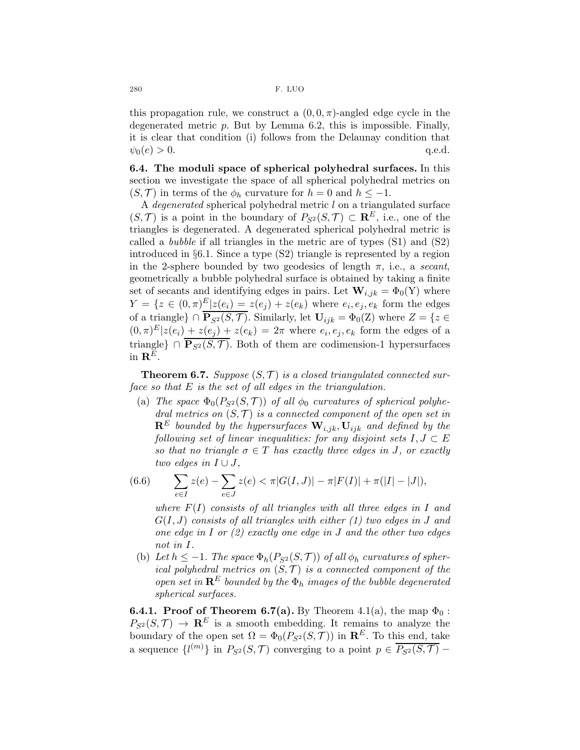this propagation rule, we construct a  $(0,0,\pi)$ -angled edge cycle in the degenerated metric p. But by Lemma 6.2, this is impossible. Finally, it is clear that condition (i) follows from the Delaunay condition that  $\psi_0(e) > 0.$  q.e.d.

6.4. The moduli space of spherical polyhedral surfaces. In this section we investigate the space of all spherical polyhedral metrics on  $(S, \mathcal{T})$  in terms of the  $\phi_h$  curvature for  $h = 0$  and  $h \leq -1$ .

A *degenerated* spherical polyhedral metric  $l$  on a triangulated surface  $(S,\mathcal{T})$  is a point in the boundary of  $P_{S^2}(S,\mathcal{T}) \subset \mathbb{R}^E$ , i.e., one of the triangles is degenerated. A degenerated spherical polyhedral metric is called a *bubble* if all triangles in the metric are of types  $(S1)$  and  $(S2)$ introduced in §6.1. Since a type (S2) triangle is represented by a region in the 2-sphere bounded by two geodesics of length  $\pi$ , i.e., a secant, geometrically a bubble polyhedral surface is obtained by taking a finite set of secants and identifying edges in pairs. Let  $\mathbf{W}_{i,jk} = \Phi_0(Y)$  where  $Y = \{z \in (0, \pi)^{\underline{E}} | z(e_i) = z(e_j) + z(e_k) \text{ where } e_i, e_j, e_k \text{ form the edges }$ of a triangle}  $\cap \overline{P_{S^2}(S, \mathcal{T})}$ . Similarly, let  $U_{ijk} = \Phi_0(Z)$  where  $Z = \{z \in \mathcal{T} \mid z \in \mathcal{T} \}$  $(0,\pi)^E|z(e_i) + z(e_j) + z(e_k) = 2\pi$  where  $e_i, e_j, e_k$  form the edges of a triangle} ∩  $\overline{P_{S^2}(S,\mathcal{T})}$ . Both of them are codimension-1 hypersurfaces in  $\mathbf{R}^E$ .

**Theorem 6.7.** Suppose  $(S, \mathcal{T})$  is a closed triangulated connected surface so that  $E$  is the set of all edges in the triangulation.

(a) The space  $\Phi_0(P_{S^2}(S, \mathcal{T}))$  of all  $\phi_0$  curvatures of spherical polyhedral metrics on  $(S, \mathcal{T})$  is a connected component of the open set in  $\mathbf{R}^E$  bounded by the hypersurfaces  $\mathbf{W}_{i,jk}, \mathbf{U}_{ijk}$  and defined by the following set of linear inequalities: for any disjoint sets  $I, J \subset E$ so that no triangle  $\sigma \in T$  has exactly three edges in J, or exactly two edges in  $I \cup J$ ,

(6.6) 
$$
\sum_{e \in I} z(e) - \sum_{e \in J} z(e) < \pi |G(I, J)| - \pi |F(I)| + \pi (|I| - |J|),
$$

where  $F(I)$  consists of all triangles with all three edges in I and  $G(I, J)$  consists of all triangles with either (1) two edges in J and one edge in I or  $(2)$  exactly one edge in J and the other two edges not in I.

(b) Let  $h \leq -1$ . The space  $\Phi_h(P_{S^2}(S, \mathcal{T}))$  of all  $\phi_h$  curvatures of spherical polyhedral metrics on  $(S, \mathcal{T})$  is a connected component of the open set in  $\mathbf{R}^E$  bounded by the  $\Phi_h$  images of the bubble degenerated spherical surfaces.

**6.4.1. Proof of Theorem 6.7(a).** By Theorem 4.1(a), the map  $\Phi_0$ :  $P_{S^2}(S,\mathcal{T}) \rightarrow \mathbb{R}^E$  is a smooth embedding. It remains to analyze the boundary of the open set  $\Omega = \Phi_0(P_{S^2}(S, \mathcal{T}))$  in  $\mathbb{R}^E$ . To this end, take a sequence  $\{l^{(m)}\}$  in  $P_{S^2}(S, \mathcal{T})$  converging to a point  $p \in \overline{P_{S^2}(S, \mathcal{T})}$  –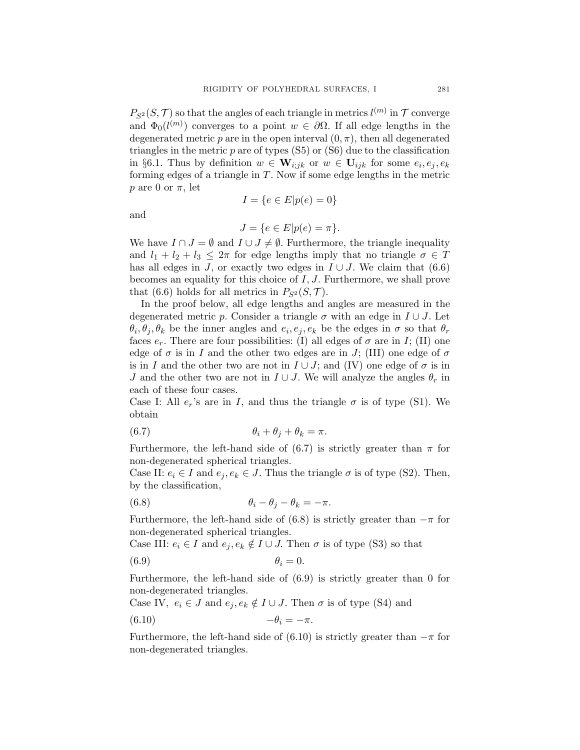$P_{S^2}(S, \mathcal{T})$  so that the angles of each triangle in metrics  $l^{(m)}$  in  $\mathcal{T}$  converge and  $\Phi_0(l^{(m)})$  converges to a point  $w \in \partial\Omega$ . If all edge lengths in the degenerated metric p are in the open interval  $(0, \pi)$ , then all degenerated triangles in the metric  $p$  are of types  $(S5)$  or  $(S6)$  due to the classification in §6.1. Thus by definition  $w \in \mathbf{W}_{i,jk}$  or  $w \in \mathbf{U}_{ijk}$  for some  $e_i, e_j, e_k$ forming edges of a triangle in  $T$ . Now if some edge lengths in the metric p are 0 or  $\pi$ , let

and

$$
I=\{e\in E|p(e)=0\}
$$

$$
J = \{e \in E | p(e) = \pi\}.
$$

We have  $I \cap J = \emptyset$  and  $I \cup J \neq \emptyset$ . Furthermore, the triangle inequality and  $l_1 + l_2 + l_3 \leq 2\pi$  for edge lengths imply that no triangle  $\sigma \in T$ has all edges in J, or exactly two edges in  $I \cup J$ . We claim that (6.6) becomes an equality for this choice of  $I, J$ . Furthermore, we shall prove that (6.6) holds for all metrics in  $P_{S^2}(S, \mathcal{T})$ .

In the proof below, all edge lengths and angles are measured in the degenerated metric p. Consider a triangle  $\sigma$  with an edge in  $I \cup J$ . Let  $\theta_i, \theta_j, \theta_k$  be the inner angles and  $e_i, e_j, e_k$  be the edges in  $\sigma$  so that  $\theta_r$ faces  $e_r$ . There are four possibilities: (I) all edges of  $\sigma$  are in I; (II) one edge of  $\sigma$  is in I and the other two edges are in J; (III) one edge of  $\sigma$ is in I and the other two are not in  $I \cup J$ ; and (IV) one edge of  $\sigma$  is in J and the other two are not in  $I \cup J$ . We will analyze the angles  $\theta_r$  in each of these four cases.

Case I: All  $e_r$ 's are in I, and thus the triangle  $\sigma$  is of type (S1). We obtain

(6.7) 
$$
\theta_i + \theta_j + \theta_k = \pi.
$$

Furthermore, the left-hand side of (6.7) is strictly greater than  $\pi$  for non-degenerated spherical triangles.

Case II:  $e_i \in I$  and  $e_j, e_k \in J$ . Thus the triangle  $\sigma$  is of type (S2). Then, by the classification,

(6.8) 
$$
\theta_i - \theta_j - \theta_k = -\pi.
$$

Furthermore, the left-hand side of (6.8) is strictly greater than  $-\pi$  for non-degenerated spherical triangles.

Case III:  $e_i \in I$  and  $e_j, e_k \notin I \cup J$ . Then  $\sigma$  is of type (S3) so that

$$
\theta_i = 0.
$$

Furthermore, the left-hand side of (6.9) is strictly greater than 0 for non-degenerated triangles.

Case IV,  $e_i \in J$  and  $e_j, e_k \notin I \cup J$ . Then  $\sigma$  is of type (S4) and

$$
(6.10) \t -\theta_i = -\pi.
$$

Furthermore, the left-hand side of  $(6.10)$  is strictly greater than  $-\pi$  for non-degenerated triangles.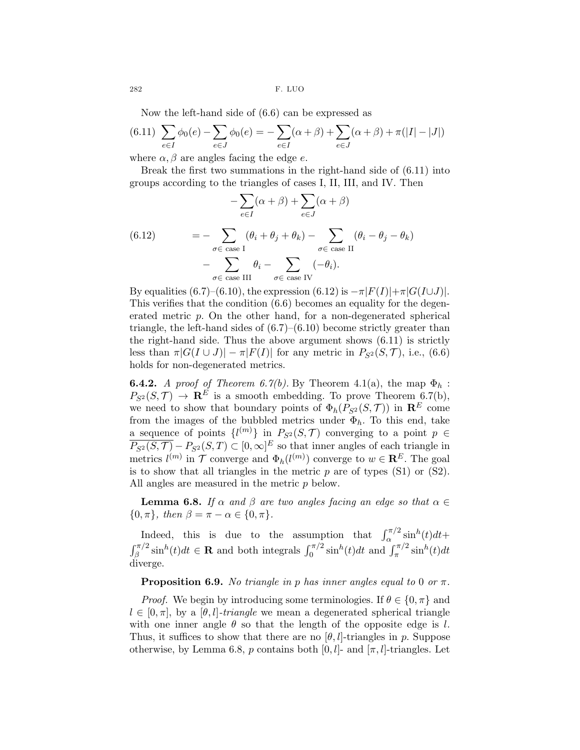282 F. LUO

Now the left-hand side of (6.6) can be expressed as

$$
(6.11)\ \sum_{e \in I} \phi_0(e) - \sum_{e \in J} \phi_0(e) = -\sum_{e \in I} (\alpha + \beta) + \sum_{e \in J} (\alpha + \beta) + \pi(|I| - |J|)
$$

where  $\alpha, \beta$  are angles facing the edge e.

Break the first two summations in the right-hand side of (6.11) into groups according to the triangles of cases I, II, III, and IV. Then

(6.12) 
$$
- \sum_{e \in I} (\alpha + \beta) + \sum_{e \in J} (\alpha + \beta)
$$

$$
= - \sum_{\sigma \in \text{ case } I} (\theta_i + \theta_j + \theta_k) - \sum_{\sigma \in \text{ case } II} (\theta_i - \theta_j - \theta_k)
$$

$$
- \sum_{\sigma \in \text{ case } III} \theta_i - \sum_{\sigma \in \text{ case } IV} (-\theta_i).
$$

By equalities (6.7)–(6.10), the expression (6.12) is  $-\pi|F(I)|+\pi|G(I\cup J)|$ . This verifies that the condition (6.6) becomes an equality for the degenerated metric p. On the other hand, for a non-degenerated spherical triangle, the left-hand sides of  $(6.7)$ – $(6.10)$  become strictly greater than the right-hand side. Thus the above argument shows (6.11) is strictly less than  $\pi |G(I \cup J)| - \pi |F(I)|$  for any metric in  $P_{S^2}(S, \mathcal{T})$ , i.e., (6.6) holds for non-degenerated metrics.

**6.4.2.** A proof of Theorem 6.7(b). By Theorem 4.1(a), the map  $\Phi_h$ :  $P_{S^2}(S,\mathcal{T}) \rightarrow \mathbf{R}^E$  is a smooth embedding. To prove Theorem 6.7(b), we need to show that boundary points of  $\Phi_h(P_{S^2}(S, \mathcal{T}))$  in  $\mathbb{R}^E$  come from the images of the bubbled metrics under  $\Phi_h$ . To this end, take a sequence of points  $\{l^{(m)}\}$  in  $P_{S^2}(S, \mathcal{T})$  converging to a point  $p \in$  $\overline{P_{S^2}(S,\mathcal{T})} - P_{S^2}(S,T) \subset [0,\infty]^E$  so that inner angles of each triangle in metrics  $l^{(m)}$  in  $\mathcal T$  converge and  $\Phi_h(l^{(m)})$  converge to  $w \in \mathbb{R}^E$ . The goal is to show that all triangles in the metric  $p$  are of types  $(S1)$  or  $(S2)$ . All angles are measured in the metric p below.

**Lemma 6.8.** If  $\alpha$  and  $\beta$  are two angles facing an edge so that  $\alpha \in \mathbb{R}$  ${0, \pi}, \text{ then } \beta = \pi - \alpha \in \{0, \pi\}.$ 

Indeed, this is due to the assumption that  $\int_{\alpha}^{\pi/2} \sin^h(t) dt +$  $\int_{\beta}^{\pi/2} \sin^h(t) dt \in \mathbf{R}$  and both integrals  $\int_0^{\pi/2} \sin^h(t) dt$  and  $\int_{\pi}^{\pi/2} \sin^h(t) dt$ diverge.

**Proposition 6.9.** No triangle in p has inner angles equal to 0 or  $\pi$ .

*Proof.* We begin by introducing some terminologies. If  $\theta \in \{0, \pi\}$  and  $l \in [0, \pi]$ , by a  $[\theta, l]$ -triangle we mean a degenerated spherical triangle with one inner angle  $\theta$  so that the length of the opposite edge is l. Thus, it suffices to show that there are no  $[\theta, l]$ -triangles in p. Suppose otherwise, by Lemma 6.8, p contains both  $[0, l]$ - and  $[\pi, l]$ -triangles. Let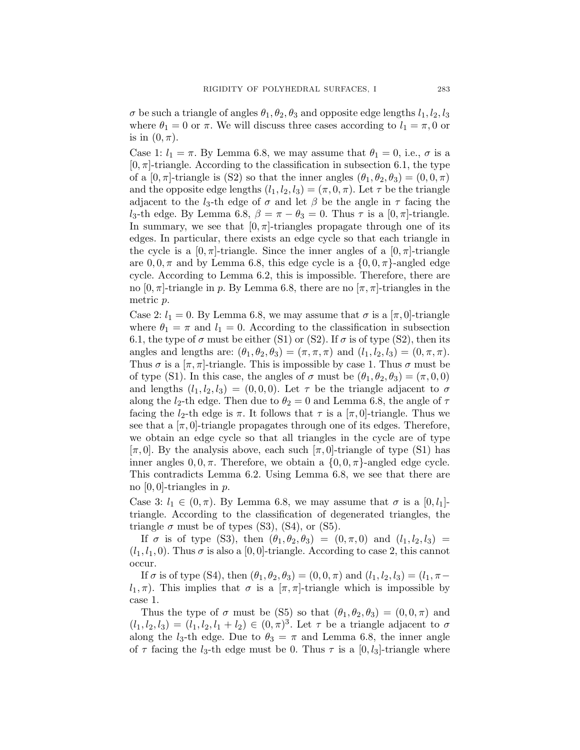$\sigma$  be such a triangle of angles  $\theta_1, \theta_2, \theta_3$  and opposite edge lengths  $l_1, l_2, l_3$ where  $\theta_1 = 0$  or  $\pi$ . We will discuss three cases according to  $l_1 = \pi$ , 0 or is in  $(0, \pi)$ .

Case 1:  $l_1 = \pi$ . By Lemma 6.8, we may assume that  $\theta_1 = 0$ , i.e.,  $\sigma$  is a  $[0, \pi]$ -triangle. According to the classification in subsection 6.1, the type of a  $[0, \pi]$ -triangle is (S2) so that the inner angles  $(\theta_1, \theta_2, \theta_3) = (0, 0, \pi)$ and the opposite edge lengths  $(l_1, l_2, l_3) = (\pi, 0, \pi)$ . Let  $\tau$  be the triangle adjacent to the  $l_3$ -th edge of  $\sigma$  and let  $\beta$  be the angle in  $\tau$  facing the l<sub>3</sub>-th edge. By Lemma 6.8,  $\beta = \pi - \theta_3 = 0$ . Thus  $\tau$  is a [0,  $\pi$ ]-triangle. In summary, we see that  $[0, \pi]$ -triangles propagate through one of its edges. In particular, there exists an edge cycle so that each triangle in the cycle is a  $[0, \pi]$ -triangle. Since the inner angles of a  $[0, \pi]$ -triangle are  $0, 0, \pi$  and by Lemma 6.8, this edge cycle is a  $\{0, 0, \pi\}$ -angled edge cycle. According to Lemma 6.2, this is impossible. Therefore, there are no  $[0, \pi]$ -triangle in p. By Lemma 6.8, there are no  $[\pi, \pi]$ -triangles in the metric p.

Case 2:  $l_1 = 0$ . By Lemma 6.8, we may assume that  $\sigma$  is a  $[\pi, 0]$ -triangle where  $\theta_1 = \pi$  and  $l_1 = 0$ . According to the classification in subsection 6.1, the type of  $\sigma$  must be either (S1) or (S2). If  $\sigma$  is of type (S2), then its angles and lengths are:  $(\theta_1, \theta_2, \theta_3) = (\pi, \pi, \pi)$  and  $(l_1, l_2, l_3) = (0, \pi, \pi)$ . Thus  $\sigma$  is a  $[\pi, \pi]$ -triangle. This is impossible by case 1. Thus  $\sigma$  must be of type (S1). In this case, the angles of  $\sigma$  must be  $(\theta_1, \theta_2, \theta_3) = (\pi, 0, 0)$ and lengths  $(l_1, l_2, l_3) = (0, 0, 0)$ . Let  $\tau$  be the triangle adjacent to  $\sigma$ along the *l*<sub>2</sub>-th edge. Then due to  $\theta_2 = 0$  and Lemma 6.8, the angle of  $\tau$ facing the  $l_2$ -th edge is  $\pi$ . It follows that  $\tau$  is a  $[\pi, 0]$ -triangle. Thus we see that a  $[\pi, 0]$ -triangle propagates through one of its edges. Therefore, we obtain an edge cycle so that all triangles in the cycle are of type  $[\pi, 0]$ . By the analysis above, each such  $[\pi, 0]$ -triangle of type (S1) has inner angles  $0, 0, \pi$ . Therefore, we obtain a  $\{0, 0, \pi\}$ -angled edge cycle. This contradicts Lemma 6.2. Using Lemma 6.8, we see that there are no  $[0, 0]$ -triangles in  $p$ .

Case 3:  $l_1 \in (0, \pi)$ . By Lemma 6.8, we may assume that  $\sigma$  is a  $[0, l_1]$ triangle. According to the classification of degenerated triangles, the triangle  $\sigma$  must be of types (S3), (S4), or (S5).

If  $\sigma$  is of type (S3), then  $(\theta_1, \theta_2, \theta_3) = (0, \pi, 0)$  and  $(l_1, l_2, l_3) =$  $(l_1, l_1, 0)$ . Thus  $\sigma$  is also a [0, 0]-triangle. According to case 2, this cannot occur.

If  $\sigma$  is of type (S4), then  $(\theta_1, \theta_2, \theta_3) = (0, 0, \pi)$  and  $(l_1, l_2, l_3) = (l_1, \pi$  $l_1, \pi$ ). This implies that  $\sigma$  is a  $[\pi, \pi]$ -triangle which is impossible by case 1.

Thus the type of  $\sigma$  must be (S5) so that  $(\theta_1, \theta_2, \theta_3) = (0, 0, \pi)$  and  $(l_1, l_2, l_3) = (l_1, l_2, l_1 + l_2) \in (0, \pi)^3$ . Let  $\tau$  be a triangle adjacent to  $\sigma$ along the  $l_3$ -th edge. Due to  $\theta_3 = \pi$  and Lemma 6.8, the inner angle of  $\tau$  facing the l<sub>3</sub>-th edge must be 0. Thus  $\tau$  is a [0, l<sub>3</sub>]-triangle where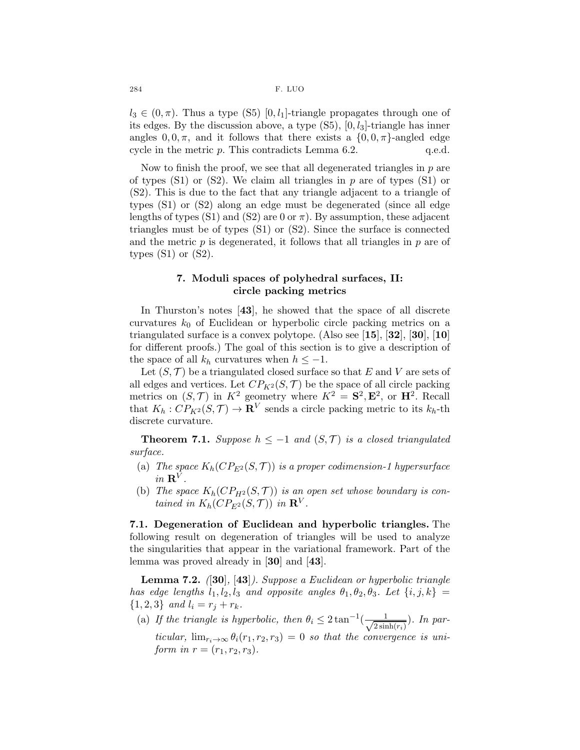$l_3 \in (0, \pi)$ . Thus a type (S5) [0, l<sub>1</sub>]-triangle propagates through one of its edges. By the discussion above, a type  $(S5)$ ,  $[0, l_3]$ -triangle has inner angles  $0, 0, \pi$ , and it follows that there exists a  $\{0, 0, \pi\}$ -angled edge cycle in the metric p. This contradicts Lemma 6.2. q.e.d. cycle in the metric  $p$ . This contradicts Lemma 6.2.

Now to finish the proof, we see that all degenerated triangles in  $p$  are of types  $(S1)$  or  $(S2)$ . We claim all triangles in p are of types  $(S1)$  or (S2). This is due to the fact that any triangle adjacent to a triangle of types (S1) or (S2) along an edge must be degenerated (since all edge lengths of types (S1) and (S2) are 0 or  $\pi$ ). By assumption, these adjacent triangles must be of types (S1) or (S2). Since the surface is connected and the metric  $p$  is degenerated, it follows that all triangles in  $p$  are of types  $(S1)$  or  $(S2)$ .

## 7. Moduli spaces of polyhedral surfaces, II: circle packing metrics

In Thurston's notes [43], he showed that the space of all discrete curvatures  $k_0$  of Euclidean or hyperbolic circle packing metrics on a triangulated surface is a convex polytope. (Also see  $[15]$ ,  $[32]$ ,  $[30]$ ,  $[10]$ for different proofs.) The goal of this section is to give a description of the space of all  $k_h$  curvatures when  $h \leq -1$ .

Let  $(S, \mathcal{T})$  be a triangulated closed surface so that E and V are sets of all edges and vertices. Let  $CP_{K^2}(S, \mathcal{T})$  be the space of all circle packing metrics on  $(S, \mathcal{T})$  in  $K^2$  geometry where  $K^2 = \mathbf{S}^2, \mathbf{E}^2$ , or  $\mathbf{H}^2$ . Recall that  $K_h: CP_{K^2}(S, \mathcal{T}) \to \mathbf{R}^V$  sends a circle packing metric to its  $k_h$ -th discrete curvature.

**Theorem 7.1.** Suppose  $h \leq -1$  and  $(S, \mathcal{T})$  is a closed triangulated surface.

- (a) The space  $K_h(CP_{E^2}(S, \mathcal{T}))$  is a proper codimension-1 hypersurface in  $\mathbf{R}^V$ .
- (b) The space  $K_h(CP_{H^2}(S,\mathcal{T}))$  is an open set whose boundary is contained in  $K_h(CP_{E^2}(S,\mathcal{T}))$  in  $\mathbf{R}^V$ .

7.1. Degeneration of Euclidean and hyperbolic triangles. The following result on degeneration of triangles will be used to analyze the singularities that appear in the variational framework. Part of the lemma was proved already in [30] and [43].

**Lemma 7.2.** ([30], [43]). Suppose a Euclidean or hyperbolic triangle has edge lengths  $l_1, l_2, l_3$  and opposite angles  $\theta_1, \theta_2, \theta_3$ . Let  $\{i, j, k\} =$  $\{1, 2, 3\}$  and  $l_i = r_j + r_k$ .

(a) If the triangle is hyperbolic, then  $\theta_i \leq 2 \tan^{-1}(\frac{1}{\sqrt{2 \sin^{-1}(1-\frac{1}{\sqrt{2 \sin^{-1}(1-\frac{1}{\sqrt{2 \sin^{-1}(1-\frac{1}{\sqrt{2 \cos^{-1}(1-\frac{1}{\sqrt{2 \cos^{-1}(1-\frac{1}{\sqrt{2 \cos^{-1}(1-\frac{1}{\sqrt{2 \cos^{-1}(1-\frac{1}{\sqrt{2 \cos^{-1}(1-\frac{1}{\sqrt{2 \cos^{-1}(1-\frac{1}{\sqrt{2 \cos^{-1}(1-\frac{1}{\sqrt{2 \cos^{-1}(1-\frac$  $\frac{1}{2\sinh(r_i)}$ ). In particular,  $\lim_{r_i\to\infty} \theta_i(r_1,r_2,r_3) = 0$  so that the convergence is uniform in  $r = (r_1, r_2, r_3)$ .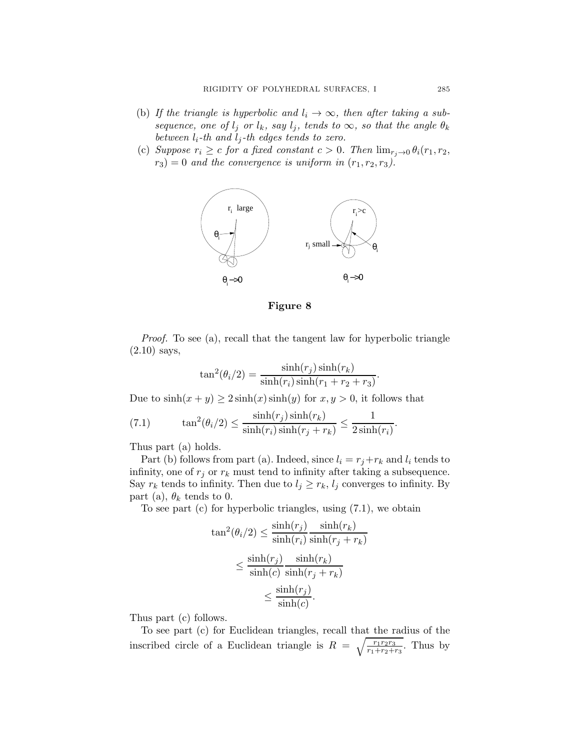- (b) If the triangle is hyperbolic and  $l_i \rightarrow \infty$ , then after taking a subsequence, one of  $l_i$  or  $l_k$ , say  $l_j$ , tends to  $\infty$ , so that the angle  $\theta_k$ between  $l_i$ -th and  $l_j$ -th edges tends to zero.
- (c) Suppose  $r_i \geq c$  for a fixed constant  $c > 0$ . Then  $\lim_{r_i \to 0} \theta_i(r_1, r_2)$ ,  $r_3$ ) = 0 and the convergence is uniform in  $(r_1, r_2, r_3)$ .



### Figure 8

Proof. To see (a), recall that the tangent law for hyperbolic triangle (2.10) says,

$$
\tan^2(\theta_i/2) = \frac{\sinh(r_j)\sinh(r_k)}{\sinh(r_i)\sinh(r_1 + r_2 + r_3)}
$$

.

Due to  $sinh(x + y) \ge 2 sinh(x) sinh(y)$  for  $x, y > 0$ , it follows that

(7.1) 
$$
\tan^2(\theta_i/2) \leq \frac{\sinh(r_j)\sinh(r_k)}{\sinh(r_i)\sinh(r_j+r_k)} \leq \frac{1}{2\sinh(r_i)}.
$$

Thus part (a) holds.

Part (b) follows from part (a). Indeed, since  $l_i = r_j + r_k$  and  $l_i$  tends to infinity, one of  $r_j$  or  $r_k$  must tend to infinity after taking a subsequence. Say  $r_k$  tends to infinity. Then due to  $l_j \geq r_k$ ,  $l_j$  converges to infinity. By part (a),  $\theta_k$  tends to 0.

To see part (c) for hyperbolic triangles, using (7.1), we obtain

$$
\tan^2(\theta_i/2) \le \frac{\sinh(r_j)}{\sinh(r_i)} \frac{\sinh(r_k)}{\sinh(r_j + r_k)}
$$

$$
\le \frac{\sinh(r_j)}{\sinh(c)} \frac{\sinh(r_k)}{\sinh(r_j + r_k)}
$$

$$
\le \frac{\sinh(r_j)}{\sinh(c)}.
$$

Thus part (c) follows.

To see part (c) for Euclidean triangles, recall that the radius of the inscribed circle of a Euclidean triangle is  $R = \sqrt{\frac{r_1r_2r_3}{r_1+r_2+r_3}}$ . Thus by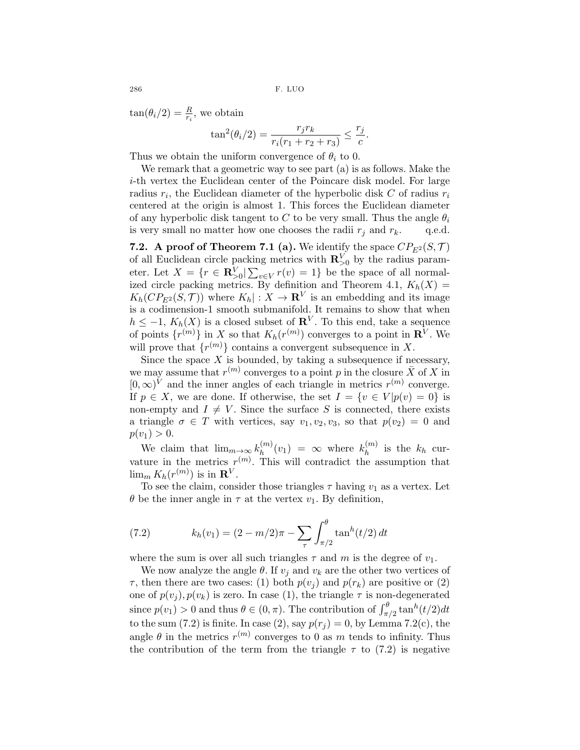286 F. LUO

 $tan(\theta_i/2) = \frac{R}{r_i}$ , we obtain

$$
\tan^2(\theta_i/2) = \frac{r_j r_k}{r_i(r_1 + r_2 + r_3)} \le \frac{r_j}{c}.
$$

Thus we obtain the uniform convergence of  $\theta_i$  to 0.

We remark that a geometric way to see part (a) is as follows. Make the i-th vertex the Euclidean center of the Poincare disk model. For large radius  $r_i$ , the Euclidean diameter of the hyperbolic disk C of radius  $r_i$ centered at the origin is almost 1. This forces the Euclidean diameter of any hyperbolic disk tangent to C to be very small. Thus the angle  $\theta_i$ is very small no matter how one chooses the radii  $r_i$  and  $r_k$ . q.e.d.

7.2. A proof of Theorem 7.1 (a). We identify the space  $CP_{E^2}(S, \mathcal{T})$ of all Euclidean circle packing metrics with  $\mathbf{R}_{>0}^V$  by the radius parameter. Let  $X = \{r \in \mathbf{R}_{>0}^V | \sum_{v \in V} r(v) = 1\}$  be the space of all normalized circle packing metrics. By definition and Theorem 4.1,  $K_h(X) =$  $K_h(CP_{E^2}(S,\mathcal{T}))$  where  $K_h$  :  $X \to \mathbf{R}^V$  is an embedding and its image is a codimension-1 smooth submanifold. It remains to show that when  $h \leq -1$ ,  $K_h(X)$  is a closed subset of  $\mathbf{R}^V$ . To this end, take a sequence of points  $\{r^{(m)}\}$  in X so that  $K_h(r^{(m)})$  converges to a point in  $\mathbf{R}^V$ . We will prove that  $\{r^{(m)}\}$  contains a convergent subsequence in X.

Since the space  $X$  is bounded, by taking a subsequence if necessary, we may assume that  $r^{(m)}$  converges to a point p in the closure  $\bar{X}$  of X in [0,∞)<sup>*V*</sup> and the inner angles of each triangle in metrics  $r^{(m)}$  converge. If  $p \in X$ , we are done. If otherwise, the set  $I = \{v \in V | p(v) = 0\}$  is non-empty and  $I \neq V$ . Since the surface S is connected, there exists a triangle  $\sigma \in T$  with vertices, say  $v_1, v_2, v_3$ , so that  $p(v_2) = 0$  and  $p(v_1) > 0.$ 

We claim that  $\lim_{m\to\infty} k_h^{(m)}$  $\binom{m}{h}(v_1) = \infty$  where  $k_h^{(m)}$  $h^{(m)}$  is the  $k_h$  curvature in the metrics  $r^{(m)}$ . This will contradict the assumption that  $\lim_{m} K_h(r^{(m)})$  is in  $\mathbf{R}^V$ .

To see the claim, consider those triangles  $\tau$  having  $v_1$  as a vertex. Let  $\theta$  be the inner angle in  $\tau$  at the vertex  $v_1$ . By definition,

(7.2) 
$$
k_h(v_1) = (2 - m/2)\pi - \sum_{\tau} \int_{\pi/2}^{\theta} \tan^h(t/2) dt
$$

where the sum is over all such triangles  $\tau$  and m is the degree of  $v_1$ .

We now analyze the angle  $\theta$ . If  $v_i$  and  $v_k$  are the other two vertices of  $\tau$ , then there are two cases: (1) both  $p(v_i)$  and  $p(r_k)$  are positive or (2) one of  $p(v_j)$ ,  $p(v_k)$  is zero. In case (1), the triangle  $\tau$  is non-degenerated since  $p(v_1) > 0$  and thus  $\theta \in (0, \pi)$ . The contribution of  $\int_{\pi/2}^{\theta} \tan^h(t/2) dt$ to the sum (7.2) is finite. In case (2), say  $p(r_i) = 0$ , by Lemma 7.2(c), the angle  $\theta$  in the metrics  $r^{(m)}$  converges to 0 as m tends to infinity. Thus the contribution of the term from the triangle  $\tau$  to (7.2) is negative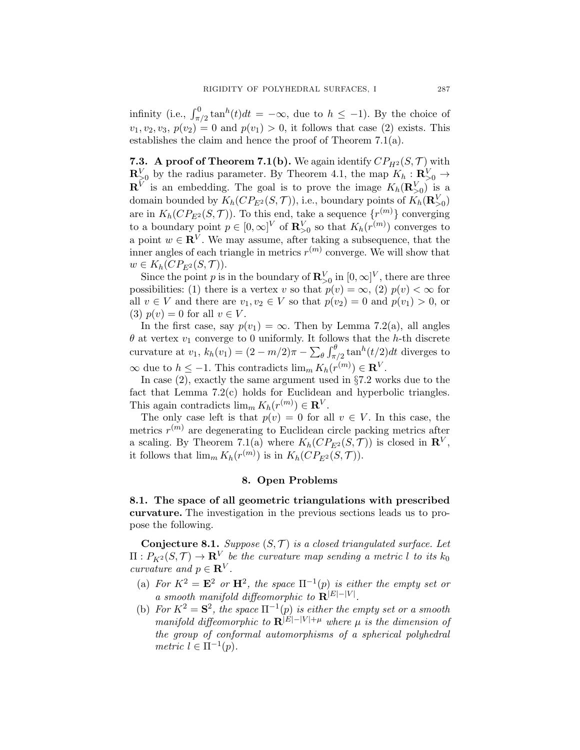infinity (i.e.,  $\int_{\pi/2}^0 \tan^h(t)dt = -\infty$ , due to  $h \le -1$ ). By the choice of  $v_1, v_2, v_3, p(v_2) = 0$  and  $p(v_1) > 0$ , it follows that case (2) exists. This establishes the claim and hence the proof of Theorem 7.1(a).

**7.3.** A proof of Theorem 7.1(b). We again identify  $CP_{H^2}(S, \mathcal{T})$  with  $\mathbf{R}_{\geq 0}^V$  by the radius parameter. By Theorem 4.1, the map  $K_h: \mathbf{R}_{\geq 0}^V \to$  $\mathbf{R}^V$  is an embedding. The goal is to prove the image  $K_h(\mathbf{R}_{>0}^V)$  is a domain bounded by  $K_h(CP_{E^2}(S, \mathcal{T}))$ , i.e., boundary points of  $K_h(\mathbf{R}_{>0}^V)$ are in  $K_h(CP_{E^2}(S, \mathcal{T}))$ . To this end, take a sequence  $\{r^{(m)}\}$  converging to a boundary point  $p \in [0, \infty]^V$  of  $\mathbb{R}^V_{>0}$  so that  $K_h(r^{(m)})$  converges to a point  $w \in \mathbb{R}^V$ . We may assume, after taking a subsequence, that the inner angles of each triangle in metrics  $r^{(m)}$  converge. We will show that  $w \in K_h(CP_{E^2}(S, \mathcal{T})).$ 

Since the point p is in the boundary of  $\mathbb{R}_{\geq 0}^V$  in  $[0,\infty]^V$ , there are three possibilities: (1) there is a vertex v so that  $p(v) = \infty$ , (2)  $p(v) < \infty$  for all  $v \in V$  and there are  $v_1, v_2 \in V$  so that  $p(v_2) = 0$  and  $p(v_1) > 0$ , or (3)  $p(v) = 0$  for all  $v \in V$ .

In the first case, say  $p(v_1) = \infty$ . Then by Lemma 7.2(a), all angles  $\theta$  at vertex  $v_1$  converge to 0 uniformly. It follows that the h-th discrete curvature at  $v_1$ ,  $k_h(v_1) = (2 - m/2)\pi - \sum_{\theta} \int_{\pi/2}^{\theta} \tan^h(t/2) dt$  diverges to  $\infty$  due to  $h \leq -1$ . This contradicts  $\lim_{m} K_h(r^{(m)}) \in \mathbf{R}^V$ .

In case  $(2)$ , exactly the same argument used in  $\S 7.2$  works due to the fact that Lemma 7.2(c) holds for Euclidean and hyperbolic triangles. This again contradicts  $\lim_{m} K_h(r^{(m)}) \in \mathbf{R}^V$ .

The only case left is that  $p(v) = 0$  for all  $v \in V$ . In this case, the metrics  $r^{(m)}$  are degenerating to Euclidean circle packing metrics after a scaling. By Theorem 7.1(a) where  $K_h(CP_{E^2}(S, \mathcal{T}))$  is closed in  $\mathbb{R}^V$ , it follows that  $\lim_{m} K_h(r^{(m)})$  is in  $K_h(CP_{E^2}(S, \mathcal{T}))$ .

### 8. Open Problems

8.1. The space of all geometric triangulations with prescribed curvature. The investigation in the previous sections leads us to propose the following.

**Conjecture 8.1.** Suppose  $(S, \mathcal{T})$  is a closed triangulated surface. Let  $\Pi: P_{K^2}(S,\mathcal{T}) \to \mathbf{R}^V$  be the curvature map sending a metric l to its  $k_0$ curvature and  $p \in \mathbf{R}^V$ .

- (a) For  $K^2 = \mathbf{E}^2$  or  $\mathbf{H}^2$ , the space  $\Pi^{-1}(p)$  is either the empty set or a smooth manifold diffeomorphic to  $\mathbf{R}^{|E|-|V|}$ .
- (b) For  $K^2 = S^2$ , the space  $\Pi^{-1}(p)$  is either the empty set or a smooth manifold diffeomorphic to  $\mathbf{R}^{|E|-|V|+\mu}$  where  $\mu$  is the dimension of the group of conformal automorphisms of a spherical polyhedral metric  $l \in \Pi^{-1}(p)$ .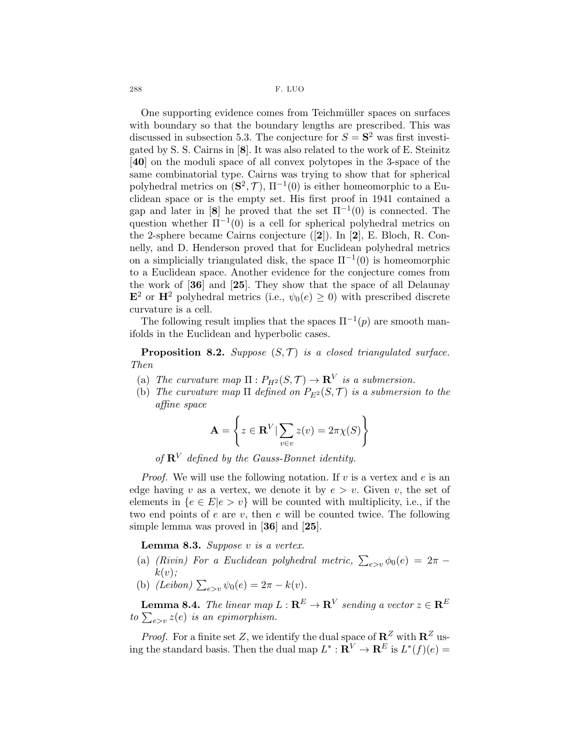288 F. LUO

One supporting evidence comes from Teichmüller spaces on surfaces with boundary so that the boundary lengths are prescribed. This was discussed in subsection 5.3. The conjecture for  $S = S^2$  was first investigated by S. S. Cairns in [8]. It was also related to the work of E. Steinitz [40] on the moduli space of all convex polytopes in the 3-space of the same combinatorial type. Cairns was trying to show that for spherical polyhedral metrics on  $(\mathbf{S}^2, \mathcal{T}), \Pi^{-1}(0)$  is either homeomorphic to a Euclidean space or is the empty set. His first proof in 1941 contained a gap and later in [8] he proved that the set  $\Pi^{-1}(0)$  is connected. The question whether  $\Pi^{-1}(0)$  is a cell for spherical polyhedral metrics on the 2-sphere became Cairns conjecture ([2]). In [2], E. Bloch, R. Connelly, and D. Henderson proved that for Euclidean polyhedral metrics on a simplicially triangulated disk, the space  $\Pi^{-1}(0)$  is homeomorphic to a Euclidean space. Another evidence for the conjecture comes from the work of [36] and [25]. They show that the space of all Delaunay  $\mathbf{E}^2$  or  $\mathbf{H}^2$  polyhedral metrics (i.e.,  $\psi_0(e) \geq 0$ ) with prescribed discrete curvature is a cell.

The following result implies that the spaces  $\Pi^{-1}(p)$  are smooth manifolds in the Euclidean and hyperbolic cases.

**Proposition 8.2.** Suppose  $(S, \mathcal{T})$  is a closed triangulated surface. Then

- (a) The curvature map  $\Pi: P_{H^2}(S, \mathcal{T}) \to \mathbf{R}^V$  is a submersion.
- (b) The curvature map  $\Pi$  defined on  $P_{E^2}(S, \mathcal{T})$  is a submersion to the affine space

$$
\mathbf{A} = \left\{ z \in \mathbf{R}^V | \sum_{v \in v} z(v) = 2\pi \chi(S) \right\}
$$

of  $\mathbb{R}^V$  defined by the Gauss-Bonnet identity.

*Proof.* We will use the following notation. If v is a vertex and e is an edge having v as a vertex, we denote it by  $e > v$ . Given v, the set of elements in  ${e \in E | e > v}$  will be counted with multiplicity, i.e., if the two end points of  $e$  are  $v$ , then  $e$  will be counted twice. The following simple lemma was proved in [36] and [25].

**Lemma 8.3.** Suppose  $v$  is a vertex.

- (a) (Rivin) For a Euclidean polyhedral metric,  $\sum_{e>v} \phi_0(e) = 2\pi$  $k(v);$
- (b)  $(Leibon) \sum_{e>v} \psi_0(e) = 2\pi k(v).$

**Lemma 8.4.** The linear map  $L: \mathbf{R}^E \to \mathbf{R}^V$  sending a vector  $z \in \mathbf{R}^E$ to  $\sum_{e>v} z(e)$  is an epimorphism.

*Proof.* For a finite set Z, we identify the dual space of  $\mathbb{R}^Z$  with  $\mathbb{R}^Z$  using the standard basis. Then the dual map  $L^* : \mathbf{R}^V \to \mathbf{R}^E$  is  $L^*(f)(e) =$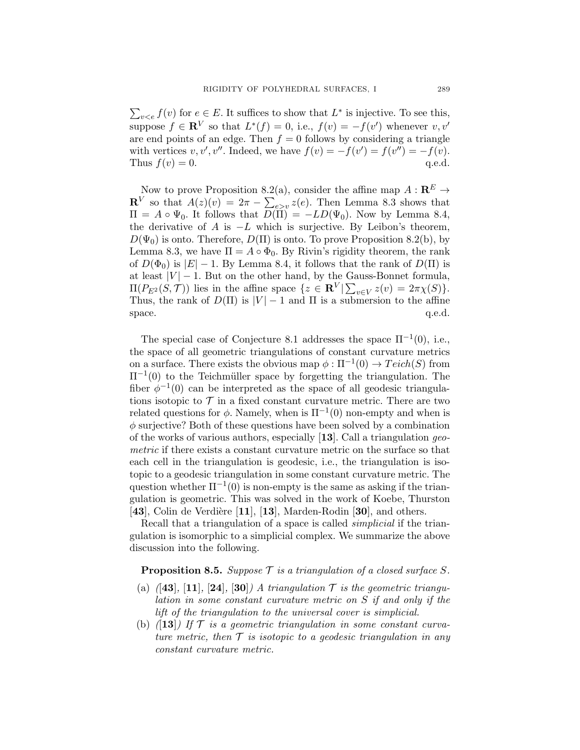$\sum_{v \leq e} f(v)$  for  $e \in E$ . It suffices to show that  $L^*$  is injective. To see this, suppose  $f \in \mathbb{R}^V$  so that  $L^*(f) = 0$ , i.e.,  $f(v) = -f(v')$  whenever  $v, v'$ are end points of an edge. Then  $f = 0$  follows by considering a triangle with vertices  $v, v', v''$ . Indeed, we have  $f(v) = -f(v') = f(v'') = -f(v)$ . Thus  $f(v) = 0$ . q.e.d.

Now to prove Proposition 8.2(a), consider the affine map  $A: \mathbb{R}^E \to$  $\mathbf{R}^V$  so that  $A(z)(v) = 2\pi - \sum_{e>v} z(e)$ . Then Lemma 8.3 shows that  $\Pi = A \circ \Psi_0$ . It follows that  $D(\Pi) = -LD(\Psi_0)$ . Now by Lemma 8.4, the derivative of A is  $-L$  which is surjective. By Leibon's theorem,  $D(\Psi_0)$  is onto. Therefore,  $D(\Pi)$  is onto. To prove Proposition 8.2(b), by Lemma 8.3, we have  $\Pi = A \circ \Phi_0$ . By Rivin's rigidity theorem, the rank of  $D(\Phi_0)$  is  $|E| - 1$ . By Lemma 8.4, it follows that the rank of  $D(\Pi)$  is at least  $|V| - 1$ . But on the other hand, by the Gauss-Bonnet formula,  $\Pi(P_{E^2}(S, \mathcal{T}))$  lies in the affine space  $\{z \in \mathbf{R}^V | \sum_{v \in V} z(v) = 2\pi \chi(S)\}.$ Thus, the rank of  $D(\Pi)$  is  $|V| - 1$  and  $\Pi$  is a submersion to the affine space. space.  $q.e.d.$ 

The special case of Conjecture 8.1 addresses the space  $\Pi^{-1}(0)$ , i.e., the space of all geometric triangulations of constant curvature metrics on a surface. There exists the obvious map  $\phi : \Pi^{-1}(0) \to Teich(S)$  from  $\Pi^{-1}(0)$  to the Teichmüller space by forgetting the triangulation. The fiber  $\phi^{-1}(0)$  can be interpreted as the space of all geodesic triangulations isotopic to  $\mathcal T$  in a fixed constant curvature metric. There are two related questions for  $\phi$ . Namely, when is  $\Pi^{-1}(0)$  non-empty and when is  $\phi$  surjective? Both of these questions have been solved by a combination of the works of various authors, especially  $[13]$ . Call a triangulation geometric if there exists a constant curvature metric on the surface so that each cell in the triangulation is geodesic, i.e., the triangulation is isotopic to a geodesic triangulation in some constant curvature metric. The question whether  $\Pi^{-1}(0)$  is non-empty is the same as asking if the triangulation is geometric. This was solved in the work of Koebe, Thurston [43], Colin de Verdière  $[11]$ ,  $[13]$ , Marden-Rodin [30], and others.

Recall that a triangulation of a space is called *simplicial* if the triangulation is isomorphic to a simplicial complex. We summarize the above discussion into the following.

### **Proposition 8.5.** Suppose  $\mathcal T$  is a triangulation of a closed surface S.

- (a)  $(43)$ , [11], [24], [30]) A triangulation  $\mathcal T$  is the geometric triangulation in some constant curvature metric on S if and only if the lift of the triangulation to the universal cover is simplicial.
- (b)  $(13)$  If  $\mathcal T$  is a geometric triangulation in some constant curvature metric, then  $\mathcal T$  is isotopic to a geodesic triangulation in any constant curvature metric.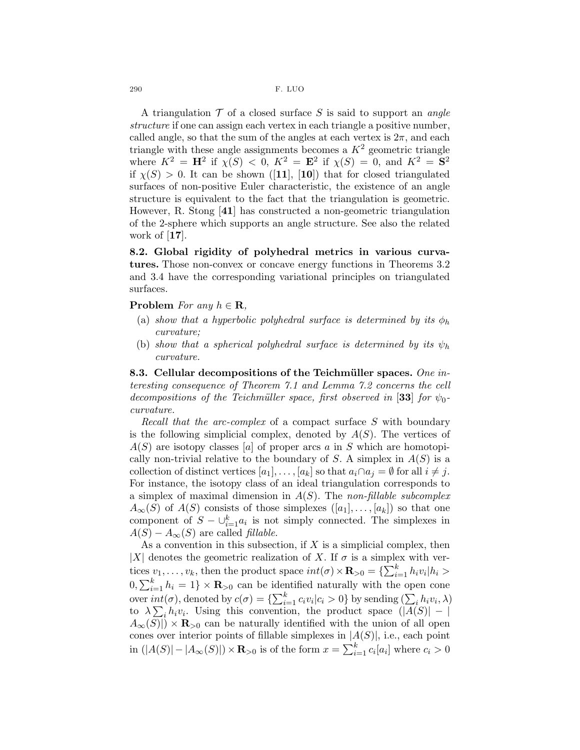290 F. LUO

A triangulation  $\mathcal T$  of a closed surface S is said to support an angle structure if one can assign each vertex in each triangle a positive number, called angle, so that the sum of the angles at each vertex is  $2\pi$ , and each triangle with these angle assignments becomes a  $K^2$  geometric triangle where  $K^2 = H^2$  if  $\chi(S) < 0$ ,  $K^2 = E^2$  if  $\chi(S) = 0$ , and  $K^2 = S^2$ if  $\chi(S) > 0$ . It can be shown ([11], [10]) that for closed triangulated surfaces of non-positive Euler characteristic, the existence of an angle structure is equivalent to the fact that the triangulation is geometric. However, R. Stong [41] has constructed a non-geometric triangulation of the 2-sphere which supports an angle structure. See also the related work of [17].

8.2. Global rigidity of polyhedral metrics in various curvatures. Those non-convex or concave energy functions in Theorems 3.2 and 3.4 have the corresponding variational principles on triangulated surfaces.

#### Problem For any  $h \in \mathbf{R}$ ,

- (a) show that a hyperbolic polyhedral surface is determined by its  $\phi_h$ curvature;
- (b) show that a spherical polyhedral surface is determined by its  $\psi_h$ curvature.

8.3. Cellular decompositions of the Teichmüller spaces. One interesting consequence of Theorem 7.1 and Lemma 7.2 concerns the cell decompositions of the Teichmüller space, first observed in [33] for  $\psi_0$ curvature.

Recall that the arc-complex of a compact surface S with boundary is the following simplicial complex, denoted by  $A(S)$ . The vertices of  $A(S)$  are isotopy classes [a] of proper arcs a in S which are homotopically non-trivial relative to the boundary of S. A simplex in  $A(S)$  is a collection of distinct vertices  $[a_1], \ldots, [a_k]$  so that  $a_i \cap a_j = \emptyset$  for all  $i \neq j$ . For instance, the isotopy class of an ideal triangulation corresponds to a simplex of maximal dimension in  $A(S)$ . The non-fillable subcomplex  $A_{\infty}(S)$  of  $A(S)$  consists of those simplexes  $([a_1], \ldots, [a_k])$  so that one component of  $S - \bigcup_{i=1}^{k} a_i$  is not simply connected. The simplexes in  $A(S) - A_{\infty}(S)$  are called *fillable*.

As a convention in this subsection, if  $X$  is a simplicial complex, then |X| denotes the geometric realization of X. If  $\sigma$  is a simplex with vertices  $v_1, \ldots, v_k$ , then the product space  $int(\sigma) \times \mathbf{R}_{>0} = {\sum_{i=1}^k h_i v_i | h_i} >$  $[0, \sum_{i=1}^{k} h_i = 1] \times \mathbf{R}_{>0}$  can be identified naturally with the open cone over  $int(\sigma)$ , denoted by  $c(\sigma) = {\sum_{i=1}^{k} c_i v_i | c_i > 0}$  by sending  $(\sum_i h_i v_i, \lambda)$ to  $\lambda \sum_i h_i v_i$ . Using this convention, the product space  $(|A(S)| - |S|)$  $A_{\infty}(S)| \times \mathbf{R}_{>0}$  can be naturally identified with the union of all open cones over interior points of fillable simplexes in  $|A(S)|$ , i.e., each point in  $(|A(S)| - |A_{\infty}(S)|) \times \mathbf{R}_{>0}$  is of the form  $x = \sum_{i=1}^{k} c_i [a_i]$  where  $c_i > 0$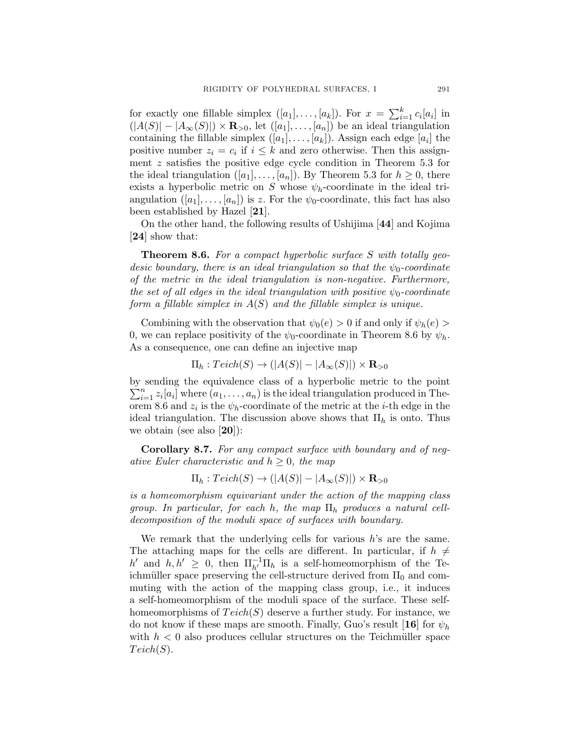for exactly one fillable simplex  $([a_1], \ldots, [a_k])$ . For  $x = \sum_{i=1}^k c_i [a_i]$  in  $(|A(S)| - |A_{\infty}(S)| \times \mathbf{R}_{>0}$ , let  $([a_1], \ldots, [a_n])$  be an ideal triangulation containing the fillable simplex  $([a_1], \ldots, [a_k])$ . Assign each edge  $[a_i]$  the positive number  $z_i = c_i$  if  $i \leq k$  and zero otherwise. Then this assignment z satisfies the positive edge cycle condition in Theorem 5.3 for the ideal triangulation  $([a_1], \ldots, [a_n])$ . By Theorem 5.3 for  $h \geq 0$ , there exists a hyperbolic metric on S whose  $\psi_h$ -coordinate in the ideal triangulation  $([a_1], \ldots, [a_n])$  is z. For the  $\psi_0$ -coordinate, this fact has also been established by Hazel [21].

On the other hand, the following results of Ushijima [44] and Kojima [24] show that:

Theorem 8.6. For a compact hyperbolic surface S with totally geodesic boundary, there is an ideal triangulation so that the  $\psi_0$ -coordinate of the metric in the ideal triangulation is non-negative. Furthermore, the set of all edges in the ideal triangulation with positive  $\psi_0$ -coordinate form a fillable simplex in  $A(S)$  and the fillable simplex is unique.

Combining with the observation that  $\psi_0(e) > 0$  if and only if  $\psi_h(e) > 0$ 0, we can replace positivity of the  $\psi_0$ -coordinate in Theorem 8.6 by  $\psi_h$ . As a consequence, one can define an injective map

$$
\Pi_h: Teich(S) \to (|A(S)| - |A_{\infty}(S)|) \times \mathbf{R}_{>0}
$$

by sending the equivalence class of a hyperbolic metric to th e point  $\sum_{i=1}^{n} z_i [a_i]$  where  $(a_1, \ldots, a_n)$  is the ideal triangulation produced in Theorem 8.6 and  $z_i$  is the  $\psi_h$ -coordinate of the metric at the *i*-th edge in the ideal triangulation. The discussion above shows that  $\Pi_h$  is onto. Thus we obtain (see also  $[20]$ ):

Corollary 8.7. For any compact surface with boundary and of negative Euler characteristic and  $h \geq 0$ , the map

 $\Pi_h : Teich(S) \to (|A(S)| - |A_{\infty}(S)|) \times \mathbf{R}_{>0}$ 

is a homeomorphism equivariant under the action of the mapping class group. In particular, for each h, the map  $\Pi_h$  produces a natural celldecomposition of the moduli space of surfaces with boundary.

We remark that the underlying cells for various  $h$ 's are the same. The attaching maps for the cells are different. In particular, if  $h \neq$ h' and  $h, h' \geq 0$ , then  $\prod_{h'}^{-1} \prod_h$  is a self-homeomorphism of the Teichmüller space preserving the cell-structure derived from  $\Pi_0$  and commuting with the action of the mapping class group, i.e., it induces a self-homeomorphism of the moduli space of the surface. These selfhomeomorphisms of  $Teich(S)$  deserve a further study. For instance, we do not know if these maps are smooth. Finally, Guo's result [16] for  $\psi_h$ with  $h < 0$  also produces cellular structures on the Teichmüller space  $Teich(S)$ .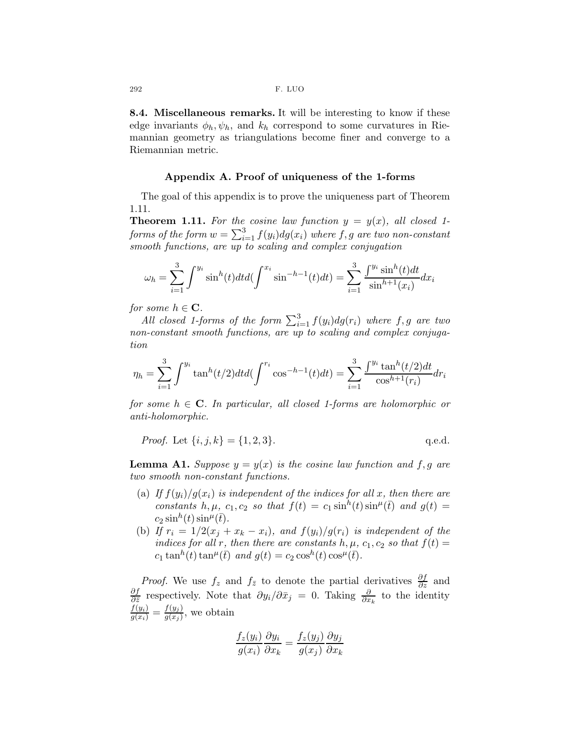8.4. Miscellaneous remarks. It will be interesting to know if these edge invariants  $\phi_h, \psi_h$ , and  $k_h$  correspond to some curvatures in Riemannian geometry as triangulations become finer and converge to a Riemannian metric.

#### Appendix A. Proof of uniqueness of the 1-forms

The goal of this appendix is to prove the uniqueness part of Theorem 1.11.

**Theorem 1.11.** For the cosine law function  $y = y(x)$ , all closed 1forms of the form  $w = \sum_{i=1}^3 f(y_i) dg(x_i)$  where  $f,g$  are two non-constant smooth functions, are up to scaling and complex conjugation

$$
\omega_h = \sum_{i=1}^3 \int^{y_i} \sin^h(t) dt d\left(\int^{x_i} \sin^{-h-1}(t) dt\right) = \sum_{i=1}^3 \frac{\int^{y_i} \sin^h(t) dt}{\sin^{h+1}(x_i)} dx_i
$$

for some  $h \in \mathbf{C}$ .

All closed 1-forms of the form  $\sum_{i=1}^{3} f(y_i) dg(r_i)$  where  $f, g$  are two non-constant smooth functions, are up to scaling and complex conjugation

$$
\eta_h = \sum_{i=1}^3 \int^{y_i} \tan^h(t/2) dt d(\int^{r_i} \cos^{-h-1}(t) dt) = \sum_{i=1}^3 \frac{\int^{y_i} \tan^h(t/2) dt}{\cos^{h+1}(r_i)} dr_i
$$

for some  $h \in \mathbb{C}$ . In particular, all closed 1-forms are holomorphic or anti-holomorphic.

*Proof.* Let 
$$
\{i, j, k\} = \{1, 2, 3\}.
$$
 q.e.d.

**Lemma A1.** Suppose  $y = y(x)$  is the cosine law function and f, g are two smooth non-constant functions.

- (a) If  $f(y_i)/g(x_i)$  is independent of the indices for all x, then there are constants h,  $\mu$ ,  $c_1$ ,  $c_2$  so that  $f(t) = c_1 \sinh(t) \sinh(t)$  and  $g(t) =$  $c_2 \sinh(t) \sinh(\bar{t}).$
- (b) If  $r_i = 1/2(x_j + x_k x_i)$ , and  $f(y_i)/g(r_i)$  is independent of the indices for all r, then there are constants h,  $\mu$ ,  $c_1$ ,  $c_2$  so that  $f(t) =$  $c_1 \tan^h(t) \tan^{\mu}(\bar{t})$  and  $g(t) = c_2 \cos^h(t) \cos^{\mu}(\bar{t}).$

*Proof.* We use  $f_z$  and  $f_{\bar{z}}$  to denote the partial derivatives  $\frac{\partial f}{\partial z}$  and ∂f  $\frac{\partial f}{\partial \bar{z}}$  respectively. Note that  $\partial y_i/\partial \bar{x}_j = 0$ . Taking  $\frac{\partial}{\partial x_k}$  to the identity  $\frac{f(y_i)}{g(x_i)} = \frac{f(y_j)}{g(x_j)}$  $\frac{f(y_j)}{g(x_j)}$ , we obtain

$$
\frac{f_z(y_i)}{g(x_i)}\frac{\partial y_i}{\partial x_k} = \frac{f_z(y_j)}{g(x_j)}\frac{\partial y_j}{\partial x_k}
$$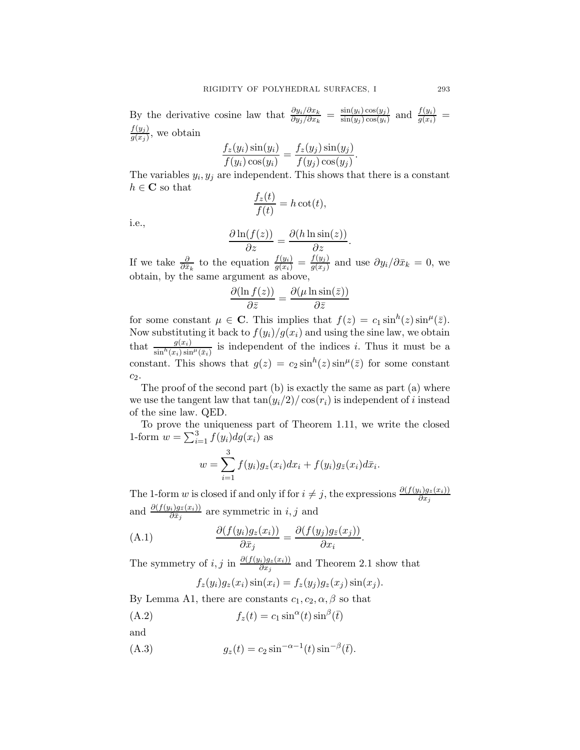By the derivative cosine law that  $\frac{\partial y_i/\partial x_k}{\partial y_j/\partial x_k} = \frac{\sin(y_i)\cos(y_j)}{\sin(y_j)\cos(y_i)}$  $\frac{\sin(y_i)\cos(y_j)}{\sin(y_j)\cos(y_i)}$  and  $\frac{f(y_i)}{g(x_i)}$  =  $f(y_j)$  $\frac{f(y_j)}{g(x_j)}$ , we obtain

$$
\frac{f_z(y_i)\sin(y_i)}{f(y_i)\cos(y_i)} = \frac{f_z(y_j)\sin(y_j)}{f(y_j)\cos(y_j)}.
$$

The variables  $y_i, y_j$  are independent. This shows that there is a constant  $h \in \mathbf{C}$  so that

$$
\frac{f_z(t)}{f(t)} = h \cot(t),
$$

i.e.,

$$
\frac{\partial \ln(f(z))}{\partial z} = \frac{\partial (h \ln \sin(z))}{\partial z}.
$$

If we take  $\frac{\partial}{\partial \bar{x}_k}$  to the equation  $\frac{f(y_i)}{g(x_i)} = \frac{f(y_j)}{g(x_j)}$  $\frac{f(y_j)}{g(x_j)}$  and use  $\partial y_i / \partial \bar{x}_k = 0$ , we obtain, by the same argument as above,

$$
\frac{\partial(\ln f(z))}{\partial \bar{z}} = \frac{\partial(\mu \ln \sin(\bar{z}))}{\partial \bar{z}}
$$

for some constant  $\mu \in \mathbf{C}$ . This implies that  $f(z) = c_1 \sin^h(z) \sin^{\mu}(\bar{z})$ . Now substituting it back to  $f(y_i)/g(x_i)$  and using the sine law, we obtain that  $\frac{g(x_i)}{\sin^h(x_i)\sin^h(\bar{x}_i)}$  is independent of the indices *i*. Thus it must be a constant. This shows that  $g(z) = c_2 \sin^h(z) \sin^{\mu}(\bar{z})$  for some constant  $c_2$ .

The proof of the second part (b) is exactly the same as part (a) where we use the tangent law that  $tan(y_i/2)/cos(r_i)$  is independent of i instead of the sine law. QED.

To prove the uniqueness part of Theorem 1.11, we write the closed 1-form  $w = \sum_{i=1}^{3} f(y_i) dg(x_i)$  as

$$
w = \sum_{i=1}^{3} f(y_i)g_z(x_i)dx_i + f(y_i)g_{\bar{z}}(x_i)d\bar{x}_i.
$$

The 1-form w is closed if and only if for  $i \neq j$ , the expressions  $\frac{\partial (f(y_i)g_z(x_i))}{\partial x_j}$ and  $\frac{\partial (f(y_i)g_{\bar{z}}(x_i))}{\partial \bar{x}_j}$  are symmetric in *i*, *j* and

.

(A.1) 
$$
\frac{\partial (f(y_i)g_z(x_i))}{\partial \bar{x}_j} = \frac{\partial (f(y_j)g_{\bar{z}}(x_j))}{\partial x_i}
$$

The symmetry of *i*, *j* in  $\frac{\partial (f(y_i)g_z(x_i))}{\partial x_j}$  and Theorem 2.1 show that

$$
f_z(y_i)g_z(x_i)\sin(x_i) = f_z(y_j)g_z(x_j)\sin(x_j).
$$

By Lemma A1, there are constants  $c_1, c_2, \alpha, \beta$  so that

(A.2) 
$$
f_z(t) = c_1 \sin^\alpha(t) \sin^\beta(\bar{t})
$$

and

(A.3) 
$$
g_z(t) = c_2 \sin^{-\alpha - 1}(t) \sin^{-\beta}(\bar{t}).
$$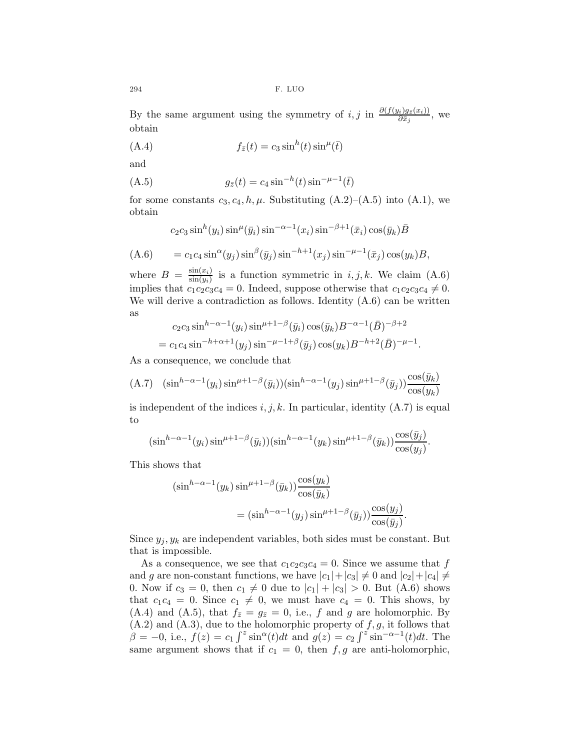By the same argument using the symmetry of  $i, j$  in  $\frac{\partial (f(y_i)g_{\bar{x}}(x_i))}{\partial \bar{x}_j}$ , we obtain

(A.4) 
$$
f_{\bar{z}}(t) = c_3 \sin^h(t) \sin^{\mu}(\bar{t})
$$

and

(A.5) 
$$
g_{\bar{z}}(t) = c_4 \sin^{-h}(t) \sin^{-\mu-1}(\bar{t})
$$

for some constants  $c_3, c_4, h, \mu$ . Substituting  $(A.2)$ – $(A.5)$  into  $(A.1)$ , we obtain

$$
c_2c_3\sin^h(y_i)\sin^{\mu}(\bar{y}_i)\sin^{-\alpha-1}(x_i)\sin^{-\beta+1}(\bar{x}_i)\cos(\bar{y}_k)\bar{B}
$$

$$
(A.6) \qquad = c_1 c_4 \sin^{\alpha}(y_j) \sin^{\beta}(\bar{y}_j) \sin^{-h+1}(x_j) \sin^{-\mu-1}(\bar{x}_j) \cos(y_k)B,
$$

where  $B = \frac{\sin(x_i)}{\sin(y_i)}$  $\frac{\sin(x_i)}{\sin(y_i)}$  is a function symmetric in  $i, j, k$ . We claim  $(A.6)$ implies that  $c_1c_2c_3c_4 = 0$ . Indeed, suppose otherwise that  $c_1c_2c_3c_4 \neq 0$ . We will derive a contradiction as follows. Identity  $(A.6)$  can be written as

$$
c_2c_3\sin^{h-\alpha-1}(y_i)\sin^{\mu+1-\beta}(\bar{y}_i)\cos(\bar{y}_k)B^{-\alpha-1}(\bar{B})^{-\beta+2}
$$
  
=  $c_1c_4\sin^{-h+\alpha+1}(y_j)\sin^{-\mu-1+\beta}(\bar{y}_j)\cos(y_k)B^{-h+2}(\bar{B})^{-\mu-1}$ .

As a consequence, we conclude that

$$
(A.7) \quad (\sin^{h-\alpha-1}(y_i)\sin^{\mu+1-\beta}(\bar{y}_i))(\sin^{h-\alpha-1}(y_j)\sin^{\mu+1-\beta}(\bar{y}_j))\frac{\cos(\bar{y}_k)}{\cos(y_k)}
$$

is independent of the indices  $i, j, k$ . In particular, identity  $(A.7)$  is equal to

$$
(\sin^{h-\alpha-1}(y_i)\sin^{\mu+1-\beta}(\bar{y}_i))(\sin^{h-\alpha-1}(y_k)\sin^{\mu+1-\beta}(\bar{y}_k))\frac{\cos(\bar{y}_j)}{\cos(y_j)}.
$$

This shows that

$$
\begin{aligned} \left(\sin^{h-\alpha-1}(y_k)\sin^{\mu+1-\beta}(\bar{y}_k)\right) & \frac{\cos(y_k)}{\cos(\bar{y}_k)}\\ & = \left(\sin^{h-\alpha-1}(y_j)\sin^{\mu+1-\beta}(\bar{y}_j)\right) & \frac{\cos(y_j)}{\cos(\bar{y}_j)}.\end{aligned}
$$

Since  $y_i, y_k$  are independent variables, both sides must be constant. But that is impossible.

As a consequence, we see that  $c_1c_2c_3c_4 = 0$ . Since we assume that f and g are non-constant functions, we have  $|c_1|+|c_3|\neq 0$  and  $|c_2|+|c_4|\neq 0$ 0. Now if  $c_3 = 0$ , then  $c_1 \neq 0$  due to  $|c_1| + |c_3| > 0$ . But (A.6) shows that  $c_1c_4 = 0$ . Since  $c_1 \neq 0$ , we must have  $c_4 = 0$ . This shows, by (A.4) and (A.5), that  $f_{\bar{z}}=g_{\bar{z}}=0$ , i.e., f and g are holomorphic. By  $(A.2)$  and  $(A.3)$ , due to the holomorphic property of  $f, g$ , it follows that  $\beta = -0$ , i.e.,  $f(z) = c_1 \int^z \sin^\alpha(t) dt$  and  $g(z) = c_2 \int^z \sin^{-\alpha-1}(t) dt$ . The same argument shows that if  $c_1 = 0$ , then  $f, g$  are anti-holomorphic,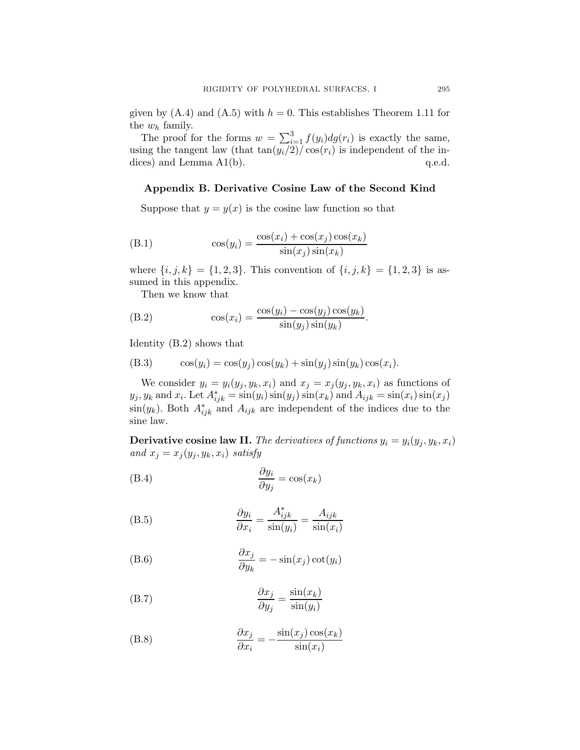given by  $(A.4)$  and  $(A.5)$  with  $h = 0$ . This establishes Theorem 1.11 for the  $w_h$  family.

The proof for the forms  $w = \sum_{i=1}^{3} f(y_i) dg(r_i)$  is exactly the same, using the tangent law (that  $\tan(y_i/2)/\cos(r_i)$  is independent of the indices) and Lemma  $A1(b)$ .  $q.e.d.$ 

## Appendix B. Derivative Cosine Law of the Second Kind

Suppose that  $y = y(x)$  is the cosine law function so that

(B.1) 
$$
\cos(y_i) = \frac{\cos(x_i) + \cos(x_j)\cos(x_k)}{\sin(x_j)\sin(x_k)}
$$

where  $\{i, j, k\} = \{1, 2, 3\}$ . This convention of  $\{i, j, k\} = \{1, 2, 3\}$  is assumed in this appendix.

Then we know that

(B.2) 
$$
\cos(x_i) = \frac{\cos(y_i) - \cos(y_j)\cos(y_k)}{\sin(y_j)\sin(y_k)}.
$$

Identity (B.2) shows that

(B.3) 
$$
\cos(y_i) = \cos(y_j)\cos(y_k) + \sin(y_j)\sin(y_k)\cos(x_i).
$$

We consider  $y_i = y_i(y_j, y_k, x_i)$  and  $x_j = x_j(y_j, y_k, x_i)$  as functions of  $y_j, y_k$  and  $x_i$ . Let  $A_{ijk}^* = \sin(y_i)\sin(y_j)\sin(x_k)$  and  $A_{ijk} = \sin(x_i)\sin(x_j)$  $\sin(y_k)$ . Both  $A^*_{ijk}$  and  $A_{ijk}$  are independent of the indices due to the sine law.

**Derivative cosine law II.** The derivatives of functions  $y_i = y_i(y_i, y_k, x_i)$ and  $x_j = x_j(y_j, y_k, x_i)$  satisfy

(B.4) 
$$
\frac{\partial y_i}{\partial y_j} = \cos(x_k)
$$

(B.5) 
$$
\frac{\partial y_i}{\partial x_i} = \frac{A_{ijk}^*}{\sin(y_i)} = \frac{A_{ijk}}{\sin(x_i)}
$$

(B.6) 
$$
\frac{\partial x_j}{\partial y_k} = -\sin(x_j)\cot(y_i)
$$

(B.7) 
$$
\frac{\partial x_j}{\partial y_j} = \frac{\sin(x_k)}{\sin(y_i)}
$$

(B.8) 
$$
\frac{\partial x_j}{\partial x_i} = -\frac{\sin(x_j)\cos(x_k)}{\sin(x_i)}
$$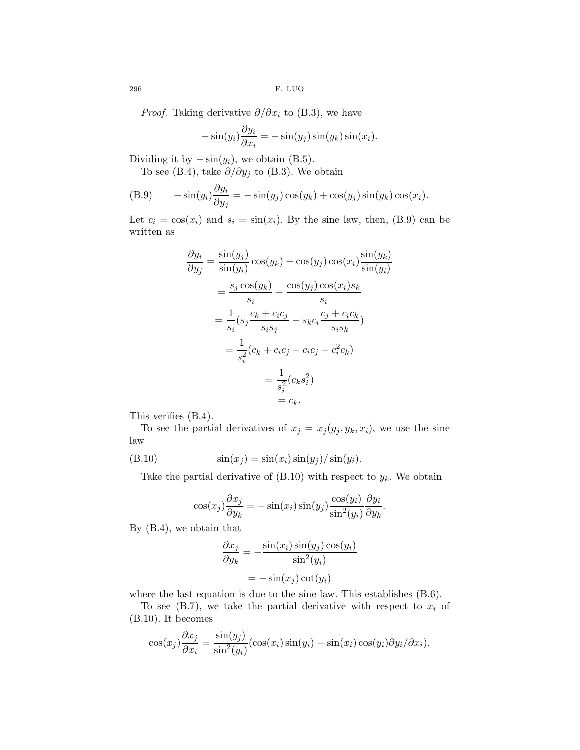296 F. LUO

*Proof.* Taking derivative  $\partial/\partial x_i$  to (B.3), we have

$$
-\sin(y_i)\frac{\partial y_i}{\partial x_i} = -\sin(y_j)\sin(y_k)\sin(x_i).
$$

Dividing it by  $-\sin(y_i)$ , we obtain (B.5).

To see (B.4), take  $\partial/\partial y_j$  to (B.3). We obtain

(B.9) 
$$
-\sin(y_i)\frac{\partial y_i}{\partial y_j} = -\sin(y_j)\cos(y_k) + \cos(y_j)\sin(y_k)\cos(x_i).
$$

Let  $c_i = \cos(x_i)$  and  $s_i = \sin(x_i)$ . By the sine law, then, (B.9) can be written as

$$
\frac{\partial y_i}{\partial y_j} = \frac{\sin(y_j)}{\sin(y_i)} \cos(y_k) - \cos(y_j) \cos(x_i) \frac{\sin(y_k)}{\sin(y_i)}
$$

$$
= \frac{s_j \cos(y_k)}{s_i} - \frac{\cos(y_j) \cos(x_i) s_k}{s_i}
$$

$$
= \frac{1}{s_i} (s_j \frac{c_k + c_i c_j}{s_i s_j} - s_k c_i \frac{c_j + c_i c_k}{s_i s_k})
$$

$$
= \frac{1}{s_i^2} (c_k + c_i c_j - c_i c_j - c_i^2 c_k)
$$

$$
= \frac{1}{s_i^2} (c_k s_i^2)
$$

$$
= c_k.
$$

This verifies (B.4).

To see the partial derivatives of  $x_j = x_j (y_j, y_k, x_i)$ , we use the sine law

$$
(B.10) \qquad \qquad \sin(x_j) = \sin(x_i)\sin(y_j)/\sin(y_i).
$$

Take the partial derivative of  $(B.10)$  with respect to  $y_k$ . We obtain

$$
\cos(x_j)\frac{\partial x_j}{\partial y_k} = -\sin(x_i)\sin(y_j)\frac{\cos(y_i)}{\sin^2(y_i)}\frac{\partial y_i}{\partial y_k}.
$$

By (B.4), we obtain that

$$
\frac{\partial x_j}{\partial y_k} = -\frac{\sin(x_i)\sin(y_j)\cos(y_i)}{\sin^2(y_i)}
$$

$$
= -\sin(x_j)\cot(y_i)
$$

where the last equation is due to the sine law. This establishes (B.6).

To see  $(B.7)$ , we take the partial derivative with respect to  $x_i$  of (B.10). It becomes

$$
\cos(x_j)\frac{\partial x_j}{\partial x_i} = \frac{\sin(y_j)}{\sin^2(y_i)}(\cos(x_i)\sin(y_i) - \sin(x_i)\cos(y_i)\partial y_i/\partial x_i).
$$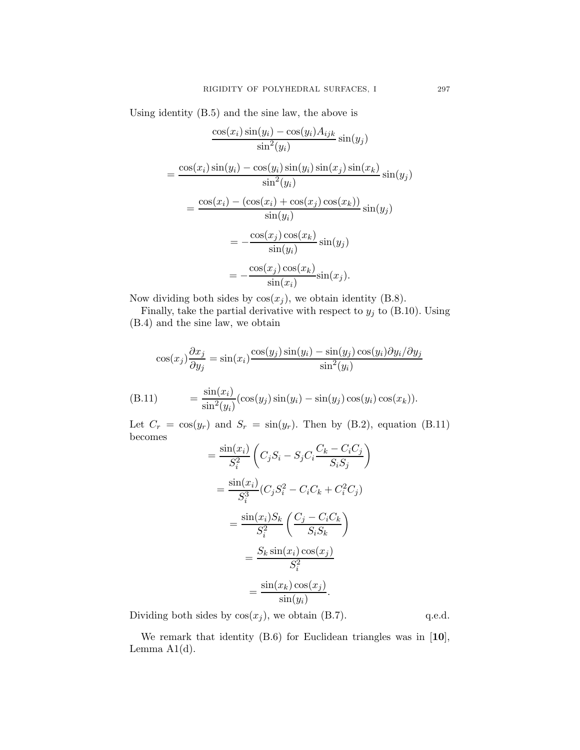Using identity (B.5) and the sine law, the above is

$$
\frac{\cos(x_i)\sin(y_i) - \cos(y_i)A_{ijk}}{\sin^2(y_i)}\sin(y_j)
$$

$$
= \frac{\cos(x_i)\sin(y_i) - \cos(y_i)\sin(y_i)\sin(x_j)\sin(x_k)}{\sin^2(y_i)}\sin(y_j)
$$

$$
= \frac{\cos(x_i) - (\cos(x_i) + \cos(x_j)\cos(x_k))}{\sin(y_i)}\sin(y_j)
$$

$$
= -\frac{\cos(x_j)\cos(x_k)}{\sin(y_i)}\sin(y_j)
$$

$$
= -\frac{\cos(x_j)\cos(x_k)}{\sin(x_i)}\sin(x_j).
$$

Now dividing both sides by  $cos(x_i)$ , we obtain identity (B.8).

Finally, take the partial derivative with respect to  $y_j$  to (B.10). Using (B.4) and the sine law, we obtain

$$
\cos(x_j)\frac{\partial x_j}{\partial y_j} = \sin(x_i)\frac{\cos(y_j)\sin(y_i) - \sin(y_j)\cos(y_i)\partial y_i/\partial y_j}{\sin^2(y_i)}
$$

$$
(B.11) \qquad \qquad = \frac{\sin(x_i)}{\sin^2(y_i)} (\cos(y_j)\sin(y_i) - \sin(y_j)\cos(y_i)\cos(x_k)).
$$

Let  $C_r = \cos(y_r)$  and  $S_r = \sin(y_r)$ . Then by (B.2), equation (B.11) becomes

$$
= \frac{\sin(x_i)}{S_i^2} \left( C_j S_i - S_j C_i \frac{C_k - C_i C_j}{S_i S_j} \right)
$$
  

$$
= \frac{\sin(x_i)}{S_i^3} (C_j S_i^2 - C_i C_k + C_i^2 C_j)
$$
  

$$
= \frac{\sin(x_i) S_k}{S_i^2} \left( \frac{C_j - C_i C_k}{S_i S_k} \right)
$$
  

$$
= \frac{S_k \sin(x_i) \cos(x_j)}{S_i^2}
$$
  

$$
= \frac{\sin(x_k) \cos(x_j)}{\sin(y_i)}.
$$

Dividing both sides by  $cos(x_j)$ , we obtain (B.7). q.e.d.

We remark that identity (B.6) for Euclidean triangles was in [10], Lemma  $A1(d)$ .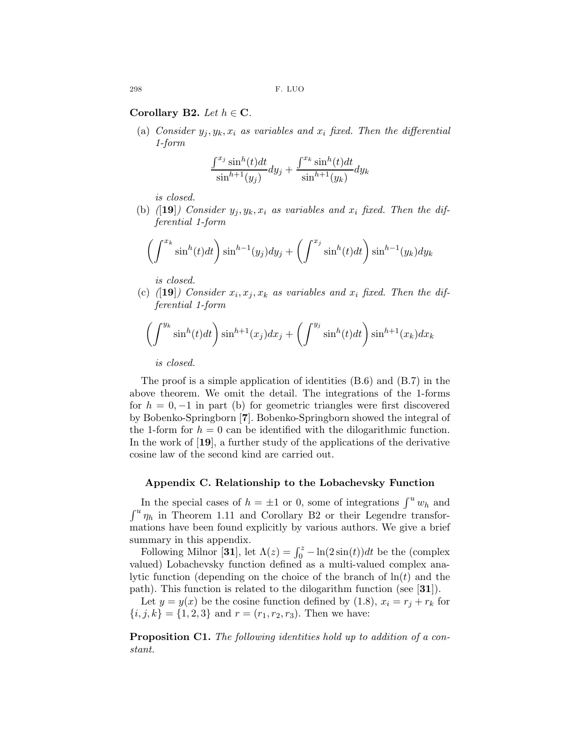Corollary B2. Let  $h \in \mathbf{C}$ .

(a) Consider  $y_j, y_k, x_i$  as variables and  $x_i$  fixed. Then the differential 1-form

$$
\frac{\int^{x_j} \sin^h(t)dt}{\sin^{h+1}(y_j)} dy_j + \frac{\int^{x_k} \sin^h(t)dt}{\sin^{h+1}(y_k)} dy_k
$$

is closed.

(b) ([19]) Consider  $y_i, y_k, x_i$  as variables and  $x_i$  fixed. Then the differential 1-form

$$
\left(\int^{x_k} \sin^h(t)dt\right) \sin^{h-1}(y_j)dy_j + \left(\int^{x_j} \sin^h(t)dt\right) \sin^{h-1}(y_k)dy_k
$$

is closed.

(c) ([19]) Consider  $x_i, x_j, x_k$  as variables and  $x_i$  fixed. Then the differential 1-form

$$
\left(\int^{y_k} \sin^h(t)dt\right) \sin^{h+1}(x_j)dx_j + \left(\int^{y_j} \sin^h(t)dt\right) \sin^{h+1}(x_k)dx_k
$$

is closed.

The proof is a simple application of identities (B.6) and (B.7) in the above theorem. We omit the detail. The integrations of the 1-forms for  $h = 0, -1$  in part (b) for geometric triangles were first discovered by Bobenko-Springborn [7]. Bobenko-Springborn showed the integral of the 1-form for  $h = 0$  can be identified with the dilogarithmic function. In the work of [19], a further study of the applications of the derivative cosine law of the second kind are carried out.

### Appendix C. Relationship to the Lobachevsky Function

In the special cases of  $h = \pm 1$  or 0, some of integrations  $\int^u w_h$  and  $\int^u \eta_h$  in Theorem 1.11 and Corollary B2 or their Legendre transformations have been found explicitly by various authors. We give a brief summary in this appendix.

Following Milnor [31], let  $\Lambda(z) = \int_0^z -\ln(2\sin(t))dt$  be the (complex valued) Lobachevsky function defined as a multi-valued complex analytic function (depending on the choice of the branch of  $\ln(t)$  and the path). This function is related to the dilogarithm function (see [31]).

Let  $y = y(x)$  be the cosine function defined by (1.8),  $x_i = r_j + r_k$  for  ${i, j, k} = {1, 2, 3}$  and  $r = (r_1, r_2, r_3)$ . Then we have:

Proposition C1. The following identities hold up to addition of a constant.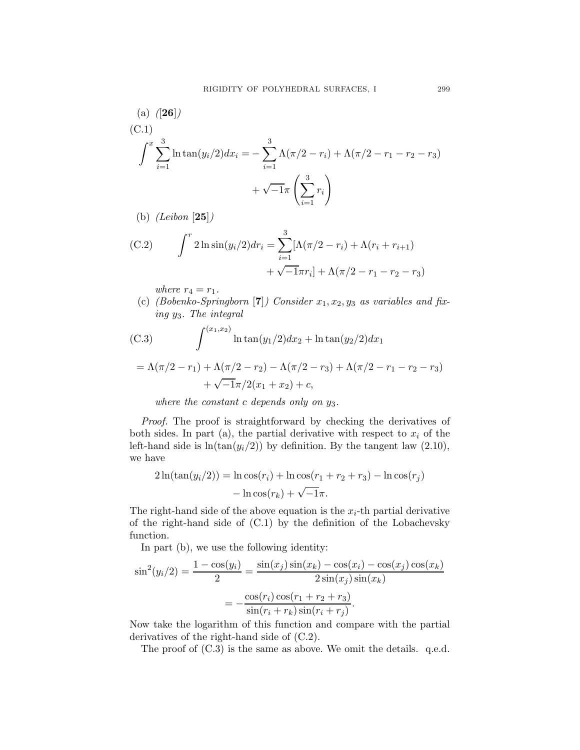(a) ([26])  
\n(C.1)  
\n
$$
\int^x \sum_{i=1}^3 \ln \tan(y_i/2) dx_i = -\sum_{i=1}^3 \Lambda(\pi/2 - r_i) + \Lambda(\pi/2 - r_1 - r_2 - r_3) + \sqrt{-1}\pi \left(\sum_{i=1}^3 r_i\right)
$$

(b)  $(Leibon [25])$ 

(C.2) 
$$
\int^r 2 \ln \sin(y_i/2) dr_i = \sum_{i=1}^3 [\Lambda(\pi/2 - r_i) + \Lambda(r_i + r_{i+1}) + \sqrt{-1}\pi r_i] + \Lambda(\pi/2 - r_1 - r_2 - r_3)
$$

where  $r_4 = r_1$ .

(c) (Bobenko-Springborn [7]) Consider  $x_1, x_2, y_3$  as variables and fixing y3. The integral

(C.3) 
$$
\int^{(x_1, x_2)} \ln \tan(y_1/2) dx_2 + \ln \tan(y_2/2) dx_1
$$

$$
= \Lambda(\pi/2 - r_1) + \Lambda(\pi/2 - r_2) - \Lambda(\pi/2 - r_3) + \Lambda(\pi/2 - r_1 - r_2 - r_3)
$$

$$
+ \sqrt{-1}\pi/2(x_1 + x_2) + c,
$$

where the constant c depends only on  $y_3$ .

Proof. The proof is straightforward by checking the derivatives of both sides. In part (a), the partial derivative with respect to  $x_i$  of the left-hand side is  $ln(tan(y_i/2))$  by definition. By the tangent law (2.10), we have

$$
2\ln(\tan(y_i/2)) = \ln \cos(r_i) + \ln \cos(r_1 + r_2 + r_3) - \ln \cos(r_j) - \ln \cos(r_k) + \sqrt{-1}\pi.
$$

The right-hand side of the above equation is the  $x_i$ -th partial derivative of the right-hand side of (C.1) by the definition of the Lobachevsky function.

In part (b), we use the following identity:

$$
\sin^2(y_i/2) = \frac{1 - \cos(y_i)}{2} = \frac{\sin(x_j)\sin(x_k) - \cos(x_i) - \cos(x_j)\cos(x_k)}{2\sin(x_j)\sin(x_k)}
$$

$$
= -\frac{\cos(r_i)\cos(r_1 + r_2 + r_3)}{\sin(r_i + r_k)\sin(r_i + r_j)}.
$$

Now take the logarithm of this function and compare with the partial derivatives of the right-hand side of (C.2).

The proof of  $(C.3)$  is the same as above. We omit the details. q.e.d.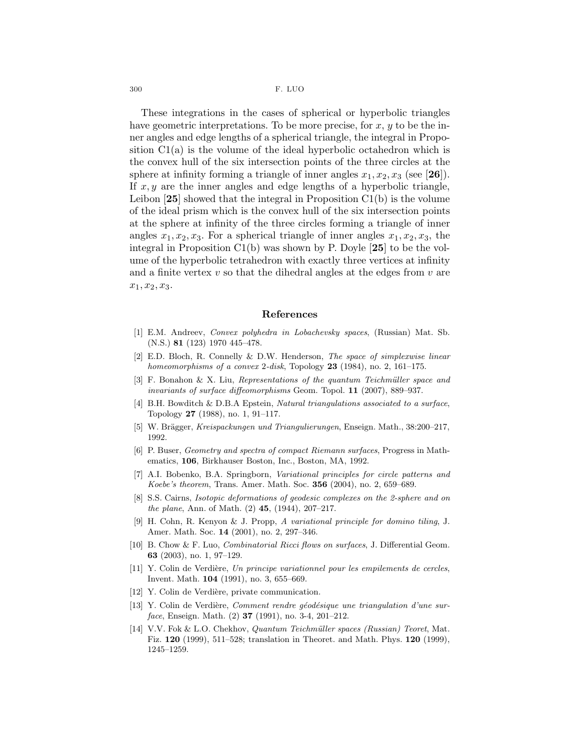300 F. LUO

These integrations in the cases of spherical or hyperbolic triangles have geometric interpretations. To be more precise, for  $x, y$  to be the inner angles and edge lengths of a spherical triangle, the integral in Proposition C1(a) is the volume of the ideal hyperbolic octahedron which is the convex hull of the six intersection points of the three circles at the sphere at infinity forming a triangle of inner angles  $x_1, x_2, x_3$  (see [26]). If  $x, y$  are the inner angles and edge lengths of a hyperbolic triangle, Leibon  $[25]$  showed that the integral in Proposition  $C1(b)$  is the volume of the ideal prism which is the convex hull of the six intersection points at the sphere at infinity of the three circles forming a triangle of inner angles  $x_1, x_2, x_3$ . For a spherical triangle of inner angles  $x_1, x_2, x_3$ , the integral in Proposition C1(b) was shown by P. Doyle [25] to be the volume of the hyperbolic tetrahedron with exactly three vertices at infinity and a finite vertex  $v$  so that the dihedral angles at the edges from  $v$  are  $x_1, x_2, x_3.$ 

#### References

- [1] E.M. Andreev, Convex polyhedra in Lobachevsky spaces, (Russian) Mat. Sb. (N.S.) 81 (123) 1970 445–478.
- [2] E.D. Bloch, R. Connelly & D.W. Henderson, The space of simplexwise linear homeomorphisms of a convex 2-disk, Topology  $23$  (1984), no. 2, 161–175.
- [3] F. Bonahon & X. Liu, Representations of the quantum Teichmüller space and invariants of surface diffeomorphisms Geom. Topol. 11 (2007), 889–937.
- [4] B.H. Bowditch & D.B.A Epstein, Natural triangulations associated to a surface, Topology 27 (1988), no. 1, 91–117.
- [5] W. Brägger, Kreispackungen und Triangulierungen, Enseign. Math., 38:200–217, 1992.
- [6] P. Buser, Geometry and spectra of compact Riemann surfaces, Progress in Mathematics, 106, Birkhauser Boston, Inc., Boston, MA, 1992.
- [7] A.I. Bobenko, B.A. Springborn, Variational principles for circle patterns and Koebe's theorem, Trans. Amer. Math. Soc. 356 (2004), no. 2, 659–689.
- [8] S.S. Cairns, Isotopic deformations of geodesic complexes on the 2-sphere and on the plane, Ann. of Math.  $(2)$  45,  $(1944)$ , 207–217.
- [9] H. Cohn, R. Kenyon & J. Propp, A variational principle for domino tiling, J. Amer. Math. Soc. 14 (2001), no. 2, 297–346.
- [10] B. Chow & F. Luo, Combinatorial Ricci flows on surfaces, J. Differential Geom. 63 (2003), no. 1, 97–129.
- [11] Y. Colin de Verdière, Un principe variationnel pour les empilements de cercles, Invent. Math. 104 (1991), no. 3, 655–669.
- [12] Y. Colin de Verdière, private communication.
- $[13]$  Y. Colin de Verdière, Comment rendre géodésique une triangulation d'une surface, Enseign. Math.  $(2)$  37  $(1991)$ , no. 3-4, 201-212.
- [14] V.V. Fok & L.O. Chekhov, Quantum Teichm¨uller spaces (Russian) Teoret, Mat. Fiz. 120 (1999), 511–528; translation in Theoret. and Math. Phys. 120 (1999), 1245–1259.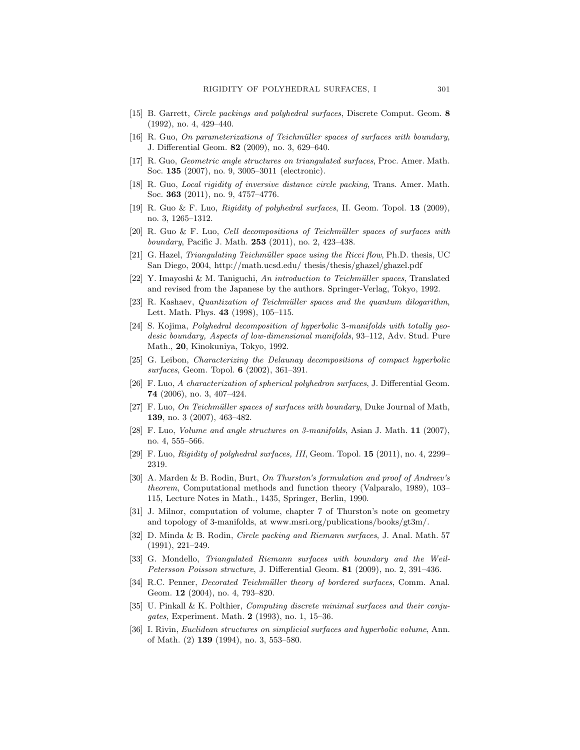- [15] B. Garrett, Circle packings and polyhedral surfaces, Discrete Comput. Geom. 8 (1992), no. 4, 429–440.
- [16] R. Guo, On parameterizations of Teichmüller spaces of surfaces with boundary, J. Differential Geom. 82 (2009), no. 3, 629–640.
- [17] R. Guo, Geometric angle structures on triangulated surfaces, Proc. Amer. Math. Soc. 135 (2007), no. 9, 3005–3011 (electronic).
- [18] R. Guo, Local rigidity of inversive distance circle packing, Trans. Amer. Math. Soc. 363 (2011), no. 9, 4757–4776.
- [19] R. Guo & F. Luo, Rigidity of polyhedral surfaces, II. Geom. Topol. 13 (2009), no. 3, 1265–1312.
- $[20]$  R. Guo & F. Luo, Cell decompositions of Teichmüller spaces of surfaces with boundary, Pacific J. Math. 253 (2011), no. 2, 423–438.
- [21] G. Hazel, *Triangulating Teichmüller space using the Ricci flow*, Ph.D. thesis, UC San Diego, 2004, http://math.ucsd.edu/ thesis/thesis/ghazel/ghazel.pdf
- [22] Y. Imayoshi & M. Taniguchi, An introduction to Teichmüller spaces, Translated and revised from the Japanese by the authors. Springer-Verlag, Tokyo, 1992.
- [23] R. Kashaev, Quantization of Teichmüller spaces and the quantum dilogarithm, Lett. Math. Phys. 43 (1998), 105–115.
- [24] S. Kojima, Polyhedral decomposition of hyperbolic 3-manifolds with totally geodesic boundary, Aspects of low-dimensional manifolds, 93–112, Adv. Stud. Pure Math., 20, Kinokuniya, Tokyo, 1992.
- [25] G. Leibon, Characterizing the Delaunay decompositions of compact hyperbolic surfaces, Geom. Topol. 6 (2002), 361–391.
- [26] F. Luo, A characterization of spherical polyhedron surfaces, J. Differential Geom. 74 (2006), no. 3, 407–424.
- [27] F. Luo, On Teichmüller spaces of surfaces with boundary, Duke Journal of Math, 139, no. 3 (2007), 463–482.
- [28] F. Luo, Volume and angle structures on 3-manifolds, Asian J. Math. 11 (2007), no. 4, 555–566.
- [29] F. Luo, Rigidity of polyhedral surfaces, III, Geom. Topol. 15 (2011), no. 4, 2299– 2319.
- [30] A. Marden & B. Rodin, Burt, On Thurston's formulation and proof of Andreev's theorem, Computational methods and function theory (Valparalo, 1989), 103– 115, Lecture Notes in Math., 1435, Springer, Berlin, 1990.
- [31] J. Milnor, computation of volume, chapter 7 of Thurston's note on geometry and topology of 3-manifolds, at www.msri.org/publications/books/gt3m/.
- [32] D. Minda & B. Rodin, Circle packing and Riemann surfaces, J. Anal. Math. 57 (1991), 221–249.
- [33] G. Mondello, Triangulated Riemann surfaces with boundary and the Weil-Petersson Poisson structure, J. Differential Geom. 81 (2009), no. 2, 391–436.
- [34] R.C. Penner, *Decorated Teichmüller theory of bordered surfaces*, Comm. Anal. Geom. 12 (2004), no. 4, 793–820.
- [35] U. Pinkall & K. Polthier, Computing discrete minimal surfaces and their conjugates, Experiment. Math. 2 (1993), no. 1, 15–36.
- [36] I. Rivin, Euclidean structures on simplicial surfaces and hyperbolic volume, Ann. of Math. (2) 139 (1994), no. 3, 553–580.